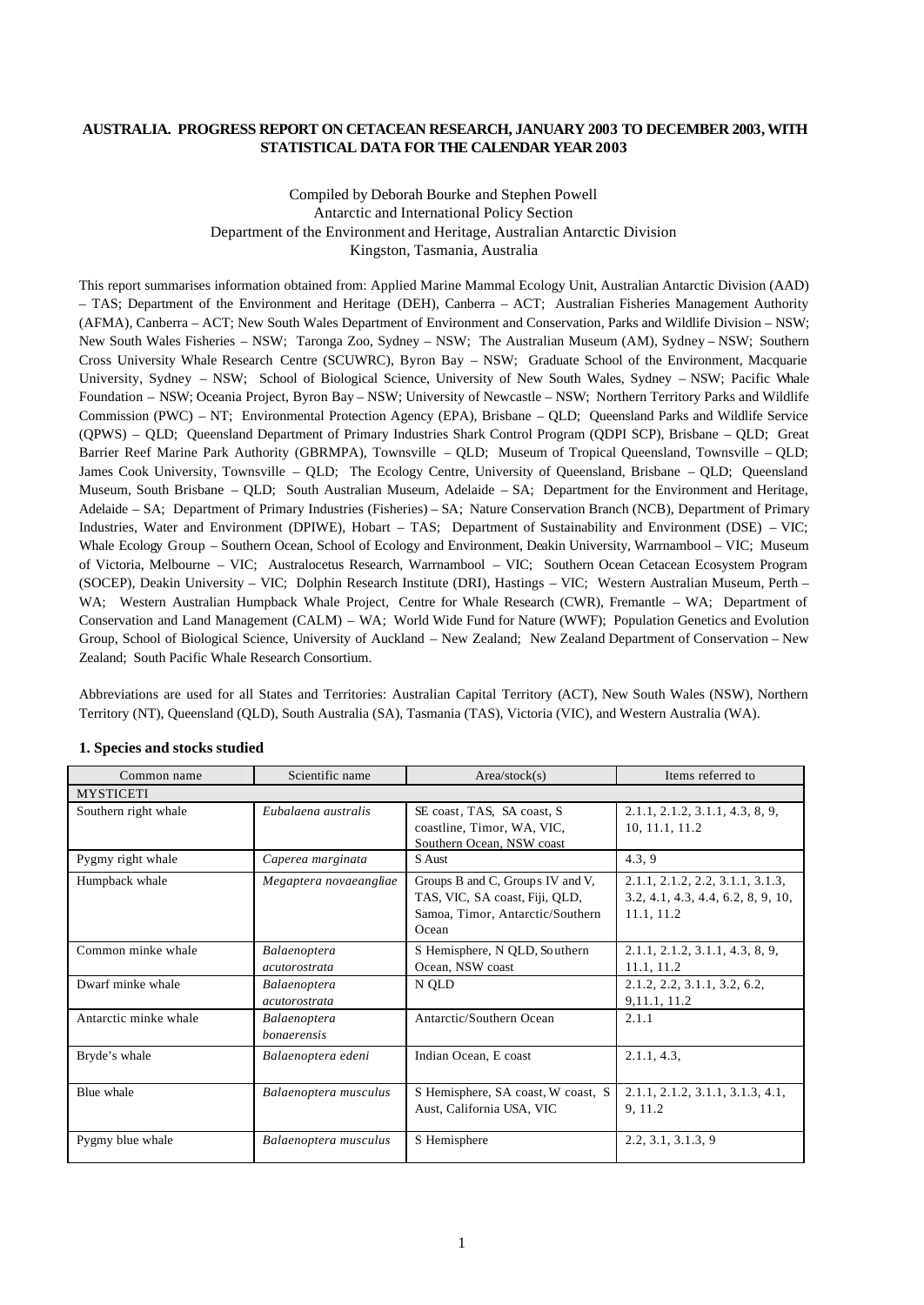## **AUSTRALIA. PROGRESS REPORT ON CETACEAN RESEARCH, JANUARY 2003 TO DECEMBER 2003, WITH STATISTICAL DATA FOR THE CALENDAR YEAR 2003**

Compiled by Deborah Bourke and Stephen Powell Antarctic and International Policy Section Department of the Environment and Heritage, Australian Antarctic Division Kingston, Tasmania, Australia

This report summarises information obtained from: Applied Marine Mammal Ecology Unit, Australian Antarctic Division (AAD) – TAS; Department of the Environment and Heritage (DEH), Canberra – ACT; Australian Fisheries Management Authority (AFMA), Canberra – ACT; New South Wales Department of Environment and Conservation, Parks and Wildlife Division – NSW; New South Wales Fisheries – NSW; Taronga Zoo, Sydney – NSW; The Australian Museum (AM), Sydney – NSW; Southern Cross University Whale Research Centre (SCUWRC), Byron Bay – NSW; Graduate School of the Environment, Macquarie University, Sydney – NSW; School of Biological Science, University of New South Wales, Sydney – NSW; Pacific Whale Foundation – NSW; Oceania Project, Byron Bay – NSW; University of Newcastle – NSW; Northern Territory Parks and Wildlife Commission (PWC) – NT; Environmental Protection Agency (EPA), Brisbane – QLD; Queensland Parks and Wildlife Service (QPWS) – QLD; Queensland Department of Primary Industries Shark Control Program (QDPI SCP), Brisbane – QLD; Great Barrier Reef Marine Park Authority (GBRMPA), Townsville – QLD; Museum of Tropical Queensland, Townsville – QLD; James Cook University, Townsville – QLD; The Ecology Centre, University of Queensland, Brisbane – QLD; Queensland Museum, South Brisbane – QLD; South Australian Museum, Adelaide – SA; Department for the Environment and Heritage, Adelaide – SA; Department of Primary Industries (Fisheries) – SA; Nature Conservation Branch (NCB), Department of Primary Industries, Water and Environment (DPIWE), Hobart – TAS; Department of Sustainability and Environment (DSE) – VIC; Whale Ecology Group – Southern Ocean, School of Ecology and Environment, Deakin University, Warrnambool – VIC; Museum of Victoria, Melbourne – VIC; Australocetus Research, Warrnambool – VIC; Southern Ocean Cetacean Ecosystem Program (SOCEP), Deakin University – VIC; Dolphin Research Institute (DRI), Hastings – VIC; Western Australian Museum, Perth – WA; Western Australian Humpback Whale Project, Centre for Whale Research (CWR), Fremantle - WA; Department of Conservation and Land Management (CALM) – WA; World Wide Fund for Nature (WWF); Population Genetics and Evolution Group, School of Biological Science, University of Auckland – New Zealand; New Zealand Department of Conservation – New Zealand; South Pacific Whale Research Consortium.

Abbreviations are used for all States and Territories: Australian Capital Territory (ACT), New South Wales (NSW), Northern Territory (NT), Queensland (QLD), South Australia (SA), Tasmania (TAS), Victoria (VIC), and Western Australia (WA).

| Common name           | Scientific name                             | Area/stock(s)                                                                                                   | Items referred to                                                                    |
|-----------------------|---------------------------------------------|-----------------------------------------------------------------------------------------------------------------|--------------------------------------------------------------------------------------|
| <b>MYSTICETI</b>      |                                             |                                                                                                                 |                                                                                      |
| Southern right whale  | Eubalaena australis                         | SE coast, TAS, SA coast, S<br>coastline, Timor, WA, VIC,<br>Southern Ocean, NSW coast                           | 2.1.1, 2.1.2, 3.1.1, 4.3, 8, 9,<br>10, 11.1, 11.2                                    |
| Pygmy right whale     | Caperea marginata                           | S Aust                                                                                                          | 4.3, 9                                                                               |
| Humpback whale        | Megaptera novaeangliae                      | Groups B and C, Groups IV and V,<br>TAS, VIC, SA coast, Fiji, QLD,<br>Samoa, Timor, Antarctic/Southern<br>Ocean | 2.1.1, 2.1.2, 2.2, 3.1.1, 3.1.3,<br>3.2, 4.1, 4.3, 4.4, 6.2, 8, 9, 10,<br>11.1, 11.2 |
| Common minke whale    | <b>Balaenoptera</b><br><i>acutorostrata</i> | S Hemisphere, N QLD, Southern<br>Ocean, NSW coast                                                               | 2.1.1, 2.1.2, 3.1.1, 4.3, 8, 9,<br>11.1, 11.2                                        |
| Dwarf minke whale     | Balaenoptera<br>acutorostrata               | N QLD                                                                                                           | 2.1.2, 2.2, 3.1.1, 3.2, 6.2,<br>9, 11.1, 11.2                                        |
| Antarctic minke whale | Balaenoptera<br><i>bonaerensis</i>          | Antarctic/Southern Ocean                                                                                        | 2.1.1                                                                                |
| Bryde's whale         | Balaenoptera edeni                          | Indian Ocean, E coast                                                                                           | 2.1.1, 4.3,                                                                          |
| Blue whale            | Balaenoptera musculus                       | S Hemisphere, SA coast, W coast, S<br>Aust, California USA, VIC                                                 | 2.1.1, 2.1.2, 3.1.1, 3.1.3, 4.1,<br>9, 11.2                                          |
| Pygmy blue whale      | Balaenoptera musculus                       | S Hemisphere                                                                                                    | 2.2, 3.1, 3.1.3, 9                                                                   |

#### **1. Species and stocks studied**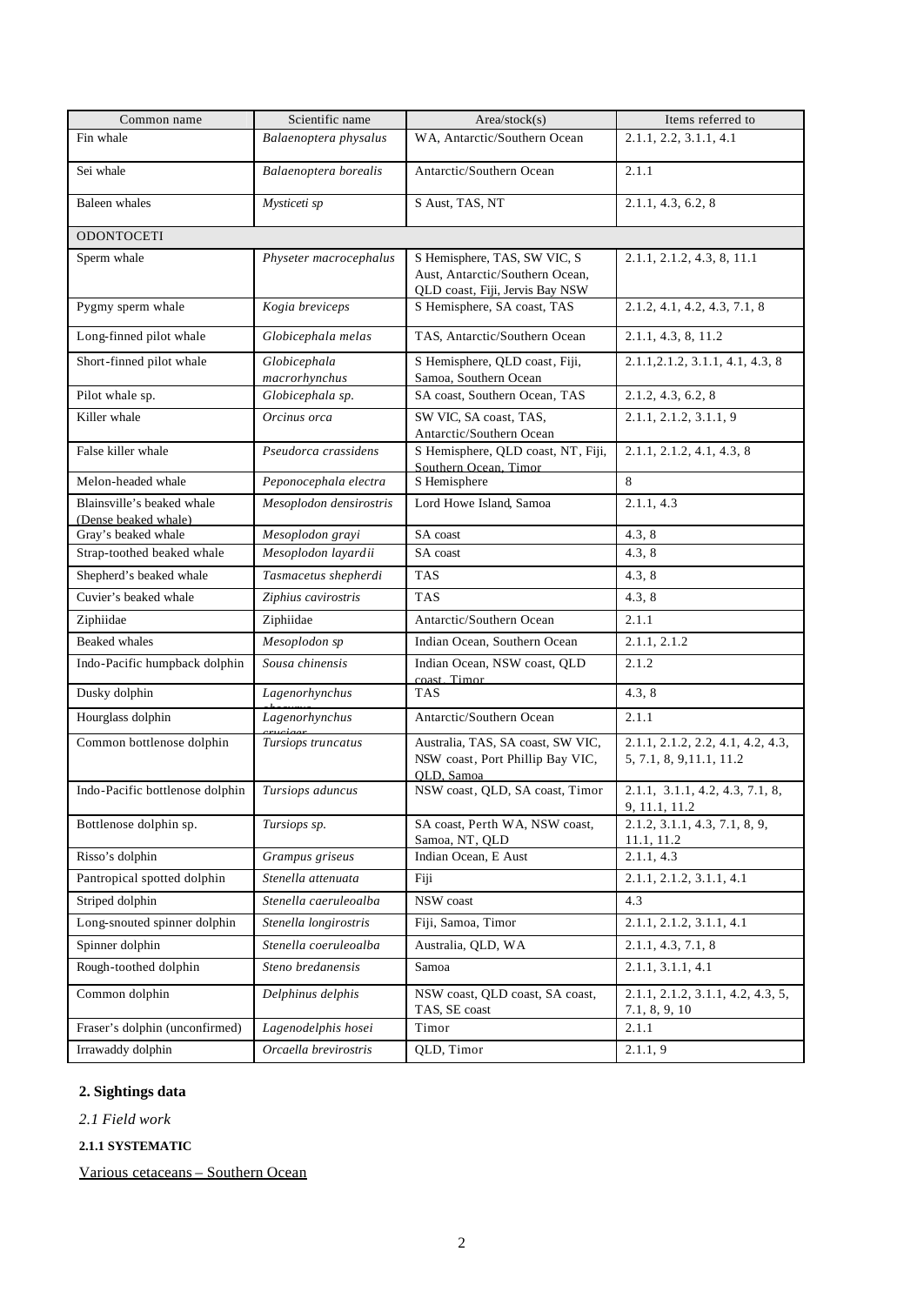| Common name                                        | Scientific name         | Area/stock(s)                                                  | Items referred to                                   |
|----------------------------------------------------|-------------------------|----------------------------------------------------------------|-----------------------------------------------------|
| Fin whale                                          | Balaenoptera physalus   | WA, Antarctic/Southern Ocean                                   | 2.1.1, 2.2, 3.1.1, 4.1                              |
|                                                    |                         |                                                                |                                                     |
| Sei whale                                          | Balaenoptera borealis   | Antarctic/Southern Ocean                                       | 2.1.1                                               |
| <b>Baleen</b> whales                               | Mysticeti sp            | S Aust, TAS, NT                                                | 2.1.1, 4.3, 6.2, 8                                  |
| <b>ODONTOCETI</b>                                  |                         |                                                                |                                                     |
| Sperm whale                                        | Physeter macrocephalus  | S Hemisphere, TAS, SW VIC, S                                   | 2.1.1, 2.1.2, 4.3, 8, 11.1                          |
|                                                    |                         | Aust, Antarctic/Southern Ocean,                                |                                                     |
| Pygmy sperm whale                                  | Kogia breviceps         | QLD coast, Fiji, Jervis Bay NSW<br>S Hemisphere, SA coast, TAS | 2.1.2, 4.1, 4.2, 4.3, 7.1, 8                        |
|                                                    |                         |                                                                |                                                     |
| Long-finned pilot whale                            | Globicephala melas      | TAS, Antarctic/Southern Ocean                                  | 2.1.1, 4.3, 8, 11.2                                 |
| Short-finned pilot whale                           | Globicephala            | S Hemisphere, QLD coast, Fiji,                                 | 2.1.1, 2.1.2, 3.1.1, 4.1, 4.3, 8                    |
|                                                    | macrorhynchus           | Samoa, Southern Ocean                                          |                                                     |
| Pilot whale sp.                                    | Globicephala sp.        | SA coast, Southern Ocean, TAS                                  | 2.1.2, 4.3, 6.2, 8                                  |
| Killer whale                                       | Orcinus orca            | SW VIC, SA coast, TAS,<br>Antarctic/Southern Ocean             | 2.1.1, 2.1.2, 3.1.1, 9                              |
| False killer whale                                 | Pseudorca crassidens    | S Hemisphere, QLD coast, NT, Fiji,                             | 2.1.1, 2.1.2, 4.1, 4.3, 8                           |
|                                                    |                         | Southern Ocean. Timor                                          |                                                     |
| Melon-headed whale                                 | Peponocephala electra   | S Hemisphere                                                   | $8\,$                                               |
| Blainsville's beaked whale<br>(Dense beaked whale) | Mesoplodon densirostris | Lord Howe Island, Samoa                                        | 2.1.1, 4.3                                          |
| Gray's beaked whale                                | Mesoplodon grayi        | SA coast                                                       | 4.3, 8                                              |
| Strap-toothed beaked whale                         | Mesoplodon layardii     | SA coast                                                       | 4.3, 8                                              |
| Shepherd's beaked whale                            | Tasmacetus shepherdi    | <b>TAS</b>                                                     | 4.3, 8                                              |
| Cuvier's beaked whale                              | Ziphius cavirostris     | <b>TAS</b>                                                     | 4.3, 8                                              |
| Ziphiidae                                          | Ziphiidae               | Antarctic/Southern Ocean                                       | 2.1.1                                               |
| Beaked whales                                      | Mesoplodon sp           | Indian Ocean, Southern Ocean                                   | 2.1.1, 2.1.2                                        |
| Indo-Pacific humpback dolphin                      | Sousa chinensis         | Indian Ocean, NSW coast, QLD                                   | 2.1.2                                               |
| Dusky dolphin                                      | Lagenorhynchus          | coast Timor<br><b>TAS</b>                                      | 4.3, 8                                              |
| Hourglass dolphin                                  | Lagenorhynchus          | Antarctic/Southern Ocean                                       | 2.1.1                                               |
| Common bottlenose dolphin                          | Tursiops truncatus      | Australia, TAS, SA coast, SW VIC,                              | 2.1.1, 2.1.2, 2.2, 4.1, 4.2, 4.3,                   |
|                                                    |                         | NSW coast, Port Phillip Bay VIC,                               | 5, 7.1, 8, 9, 11.1, 11.2                            |
|                                                    |                         | OLD, Samoa                                                     |                                                     |
| Indo-Pacific bottlenose dolphin                    | Tursiops aduncus        | NSW coast, QLD, SA coast, Timor                                | 2.1.1, 3.1.1, 4.2, 4.3, 7.1, 8,<br>9, 11.1, 11.2    |
| Bottlenose dolphin sp.                             | Tursiops sp.            | SA coast, Perth WA, NSW coast,                                 | 2.1.2, 3.1.1, 4.3, 7.1, 8, 9,                       |
| Risso's dolphin                                    | Grampus griseus         | Samoa, NT, QLD<br>Indian Ocean, E Aust                         | 11.1, 11.2<br>2.1.1, 4.3                            |
| Pantropical spotted dolphin                        | Stenella attenuata      | Fiji                                                           | 2.1.1, 2.1.2, 3.1.1, 4.1                            |
| Striped dolphin                                    | Stenella caeruleoalba   | NSW coast                                                      | 4.3                                                 |
| Long-snouted spinner dolphin                       | Stenella longirostris   | Fiji, Samoa, Timor                                             | 2.1.1, 2.1.2, 3.1.1, 4.1                            |
| Spinner dolphin                                    | Stenella coeruleoalba   | Australia, OLD, WA                                             | 2.1.1, 4.3, 7.1, 8                                  |
| Rough-toothed dolphin                              | Steno bredanensis       | Samoa                                                          | 2.1.1, 3.1.1, 4.1                                   |
| Common dolphin                                     | Delphinus delphis       | NSW coast, QLD coast, SA coast,                                | $2.1.1$ , $2.1.2$ , $3.1.1$ , $4.2$ , $4.3$ , $5$ , |
|                                                    |                         | TAS, SE coast                                                  | 7.1, 8, 9, 10                                       |
| Fraser's dolphin (unconfirmed)                     | Lagenodelphis hosei     | Timor                                                          | 2.1.1                                               |
| Irrawaddy dolphin                                  | Orcaella brevirostris   | QLD, Timor                                                     | 2.1.1, 9                                            |

# **2. Sightings data**

*2.1 Field work*

**2.1.1 SYSTEMATIC**

Various cetaceans – Southern Ocean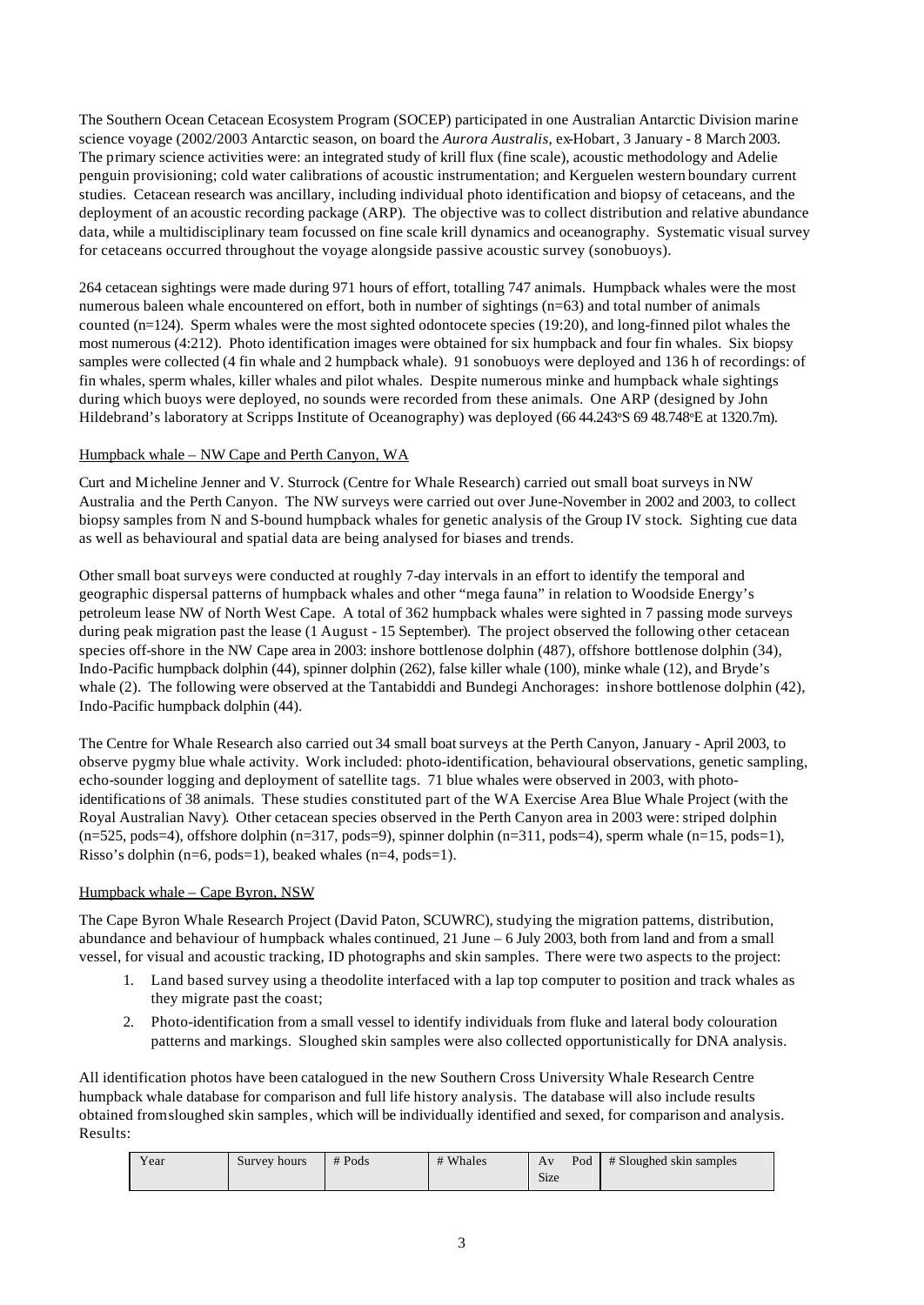The Southern Ocean Cetacean Ecosystem Program (SOCEP) participated in one Australian Antarctic Division marine science voyage (2002/2003 Antarctic season, on board the *Aurora Australis*, ex-Hobart, 3 January - 8 March 2003. The primary science activities were: an integrated study of krill flux (fine scale), acoustic methodology and Adelie penguin provisioning; cold water calibrations of acoustic instrumentation; and Kerguelen western boundary current studies. Cetacean research was ancillary, including individual photo identification and biopsy of cetaceans, and the deployment of an acoustic recording package (ARP). The objective was to collect distribution and relative abundance data, while a multidisciplinary team focussed on fine scale krill dynamics and oceanography. Systematic visual survey for cetaceans occurred throughout the voyage alongside passive acoustic survey (sonobuoys).

264 cetacean sightings were made during 971 hours of effort, totalling 747 animals. Humpback whales were the most numerous baleen whale encountered on effort, both in number of sightings (n=63) and total number of animals counted (n=124). Sperm whales were the most sighted odontocete species (19:20), and long-finned pilot whales the most numerous (4:212). Photo identification images were obtained for six humpback and four fin whales. Six biopsy samples were collected (4 fin whale and 2 humpback whale). 91 sonobuoys were deployed and 136 h of recordings: of fin whales, sperm whales, killer whales and pilot whales. Despite numerous minke and humpback whale sightings during which buoys were deployed, no sounds were recorded from these animals. One ARP (designed by John Hildebrand's laboratory at Scripps Institute of Oceanography) was deployed (66 44.243**°**S 69 48.748**°**E at 1320.7m).

# Humpback whale – NW Cape and Perth Canyon, WA

Curt and Micheline Jenner and V. Sturrock (Centre for Whale Research) carried out small boat surveys in NW Australia and the Perth Canyon. The NW surveys were carried out over June-November in 2002 and 2003, to collect biopsy samples from N and S-bound humpback whales for genetic analysis of the Group IV stock. Sighting cue data as well as behavioural and spatial data are being analysed for biases and trends.

Other small boat surveys were conducted at roughly 7-day intervals in an effort to identify the temporal and geographic dispersal patterns of humpback whales and other "mega fauna" in relation to Woodside Energy's petroleum lease NW of North West Cape. A total of 362 humpback whales were sighted in 7 passing mode surveys during peak migration past the lease (1 August - 15 September). The project observed the following other cetacean species off-shore in the NW Cape area in 2003: inshore bottlenose dolphin (487), offshore bottlenose dolphin (34), Indo-Pacific humpback dolphin (44), spinner dolphin (262), false killer whale (100), minke whale (12), and Bryde's whale (2). The following were observed at the Tantabiddi and Bundegi Anchorages: inshore bottlenose dolphin (42), Indo-Pacific humpback dolphin (44).

The Centre for Whale Research also carried out 34 small boat surveys at the Perth Canyon, January - April 2003, to observe pygmy blue whale activity. Work included: photo-identification, behavioural observations, genetic sampling, echo-sounder logging and deployment of satellite tags. 71 blue whales were observed in 2003, with photoidentifications of 38 animals. These studies constituted part of the WA Exercise Area Blue Whale Project (with the Royal Australian Navy). Other cetacean species observed in the Perth Canyon area in 2003 were: striped dolphin (n=525, pods=4), offshore dolphin (n=317, pods=9), spinner dolphin (n=311, pods=4), sperm whale (n=15, pods=1), Risso's dolphin (n=6, pods=1), beaked whales (n=4, pods=1).

## Humpback whale – Cape Byron, NSW

The Cape Byron Whale Research Project (David Paton, SCUWRC), studying the migration patterns, distribution, abundance and behaviour of humpback whales continued, 21 June – 6 July 2003, both from land and from a small vessel, for visual and acoustic tracking, ID photographs and skin samples. There were two aspects to the project:

- 1. Land based survey using a theodolite interfaced with a lap top computer to position and track whales as they migrate past the coast;
- 2. Photo-identification from a small vessel to identify individuals from fluke and lateral body colouration patterns and markings. Sloughed skin samples were also collected opportunistically for DNA analysis.

All identification photos have been catalogued in the new Southern Cross University Whale Research Centre humpback whale database for comparison and full life history analysis. The database will also include results obtained from sloughed skin samples, which will be individually identified and sexed, for comparison and analysis. Results:

| Year | Survey hours | $#$ Pods | # Whales | Av<br>Size | Pod | # Sloughed skin samples |
|------|--------------|----------|----------|------------|-----|-------------------------|
|      |              |          |          |            |     |                         |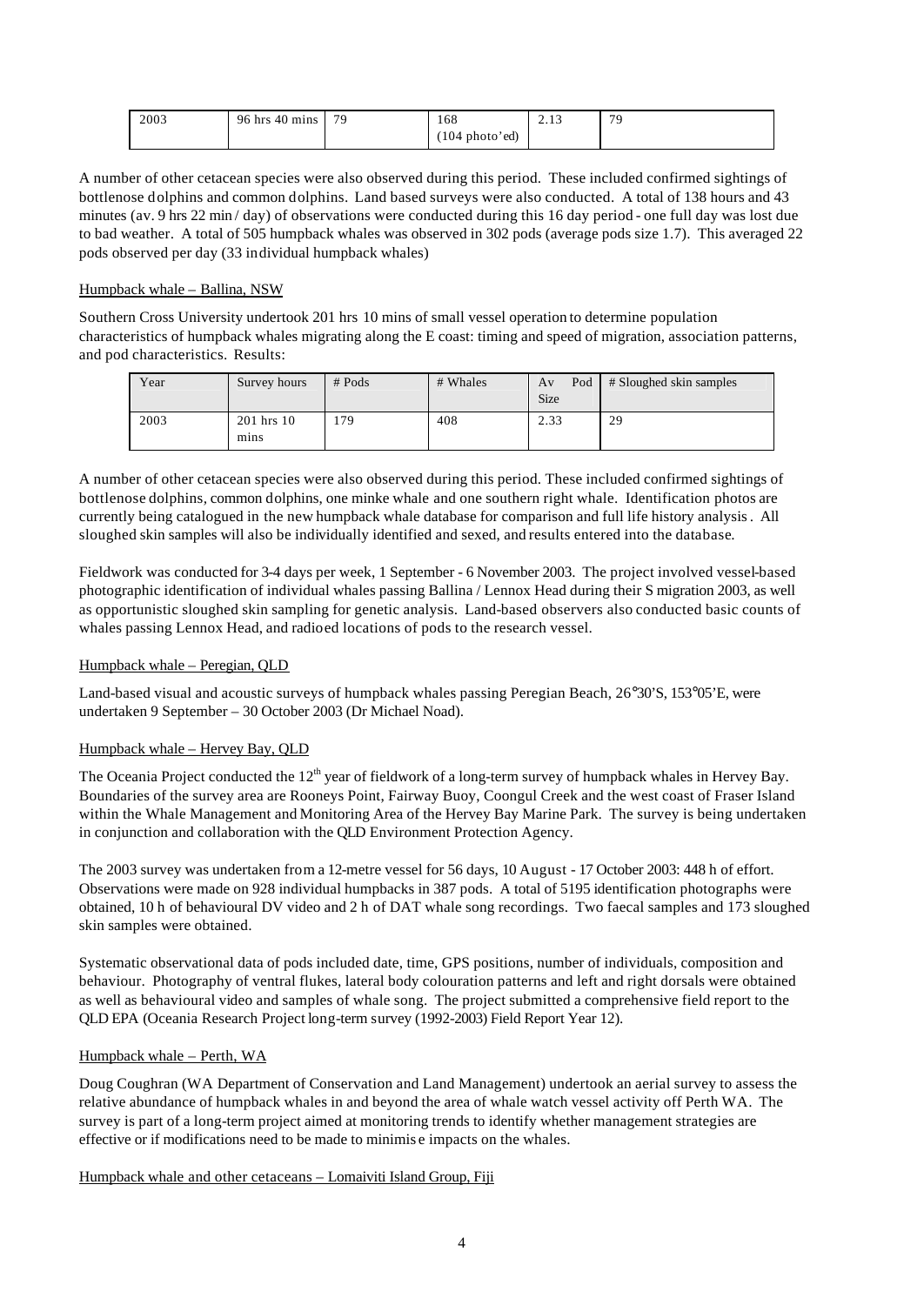| 2003 | $96$ hrs $40$ mins | 79 | 168                                   | ر ب | 70 |
|------|--------------------|----|---------------------------------------|-----|----|
|      |                    |    | $(104 \text{ photo} \cdot \text{ed})$ |     |    |

A number of other cetacean species were also observed during this period. These included confirmed sightings of bottlenose dolphins and common dolphins. Land based surveys were also conducted. A total of 138 hours and 43 minutes (av. 9 hrs 22 min / day) of observations were conducted during this 16 day period - one full day was lost due to bad weather. A total of 505 humpback whales was observed in 302 pods (average pods size 1.7). This averaged 22 pods observed per day (33 individual humpback whales)

## Humpback whale – Ballina, NSW

Southern Cross University undertook 201 hrs 10 mins of small vessel operation to determine population characteristics of humpback whales migrating along the E coast: timing and speed of migration, association patterns, and pod characteristics. Results:

| Year | Survey hours       | $#$ Pods | # Whales | Pod<br>Av<br>Size | # Sloughed skin samples |
|------|--------------------|----------|----------|-------------------|-------------------------|
| 2003 | 201 hrs 10<br>mins | .79      | 408      | 2.33              | 29                      |

A number of other cetacean species were also observed during this period. These included confirmed sightings of bottlenose dolphins*,* common dolphins, one minke whale and one southern right whale. Identification photos are currently being catalogued in the new humpback whale database for comparison and full life history analysis. All sloughed skin samples will also be individually identified and sexed, and results entered into the database.

Fieldwork was conducted for 3-4 days per week, 1 September - 6 November 2003. The project involved vessel-based photographic identification of individual whales passing Ballina / Lennox Head during their S migration 2003, as well as opportunistic sloughed skin sampling for genetic analysis. Land-based observers also conducted basic counts of whales passing Lennox Head, and radioed locations of pods to the research vessel.

## Humpback whale – Peregian, QLD

Land-based visual and acoustic surveys of humpback whales passing Peregian Beach, 26°30'S, 153°05'E, were undertaken 9 September – 30 October 2003 (Dr Michael Noad).

## Humpback whale – Hervey Bay, QLD

The Oceania Project conducted the  $12<sup>th</sup>$  year of fieldwork of a long-term survey of humpback whales in Hervey Bay. Boundaries of the survey area are Rooneys Point, Fairway Buoy, Coongul Creek and the west coast of Fraser Island within the Whale Management and Monitoring Area of the Hervey Bay Marine Park. The survey is being undertaken in conjunction and collaboration with the QLD Environment Protection Agency.

The 2003 survey was undertaken from a 12-metre vessel for 56 days, 10 August - 17 October 2003: 448 h of effort. Observations were made on 928 individual humpbacks in 387 pods. A total of 5195 identification photographs were obtained, 10 h of behavioural DV video and 2 h of DAT whale song recordings. Two faecal samples and 173 sloughed skin samples were obtained.

Systematic observational data of pods included date, time, GPS positions, number of individuals, composition and behaviour. Photography of ventral flukes, lateral body colouration patterns and left and right dorsals were obtained as well as behavioural video and samples of whale song. The project submitted a comprehensive field report to the QLD EPA (Oceania Research Project long-term survey (1992-2003) Field Report Year 12).

## Humpback whale – Perth, WA

Doug Coughran (WA Department of Conservation and Land Management) undertook an aerial survey to assess the relative abundance of humpback whales in and beyond the area of whale watch vessel activity off Perth WA. The survey is part of a long-term project aimed at monitoring trends to identify whether management strategies are effective or if modifications need to be made to minimis e impacts on the whales.

## Humpback whale and other cetaceans – Lomaiviti Island Group, Fiji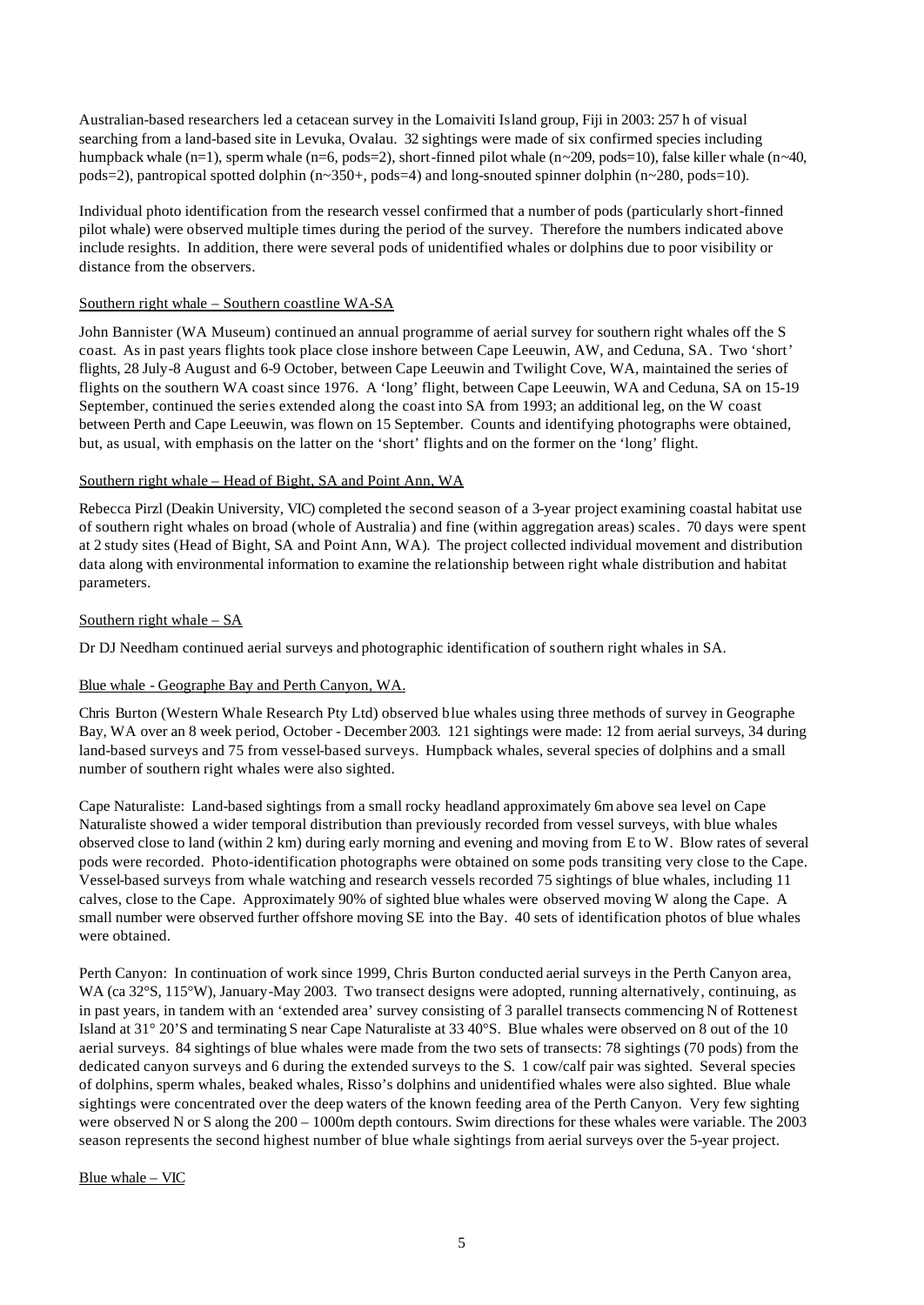Australian-based researchers led a cetacean survey in the Lomaiviti Island group, Fiji in 2003: 257 h of visual searching from a land-based site in Levuka, Ovalau. 32 sightings were made of six confirmed species including humpback whale (n=1), sperm whale (n=6, pods=2), short-finned pilot whale (n~209, pods=10), false killer whale (n~40, pods=2), pantropical spotted dolphin (n~350+, pods=4) and long-snouted spinner dolphin (n~280, pods=10).

Individual photo identification from the research vessel confirmed that a number of pods (particularly short-finned pilot whale) were observed multiple times during the period of the survey. Therefore the numbers indicated above include resights. In addition, there were several pods of unidentified whales or dolphins due to poor visibility or distance from the observers.

#### Southern right whale – Southern coastline WA-SA

John Bannister (WA Museum) continued an annual programme of aerial survey for southern right whales off the S coast. As in past years flights took place close inshore between Cape Leeuwin, AW, and Ceduna, SA. Two 'short' flights, 28 July-8 August and 6-9 October, between Cape Leeuwin and Twilight Cove, WA, maintained the series of flights on the southern WA coast since 1976. A 'long' flight, between Cape Leeuwin, WA and Ceduna, SA on 15-19 September, continued the series extended along the coast into SA from 1993; an additional leg, on the W coast between Perth and Cape Leeuwin, was flown on 15 September. Counts and identifying photographs were obtained, but, as usual, with emphasis on the latter on the 'short' flights and on the former on the 'long' flight.

#### Southern right whale – Head of Bight, SA and Point Ann, WA

Rebecca Pirzl (Deakin University, VIC) completed the second season of a 3-year project examining coastal habitat use of southern right whales on broad (whole of Australia) and fine (within aggregation areas) scales. 70 days were spent at 2 study sites (Head of Bight, SA and Point Ann, WA). The project collected individual movement and distribution data along with environmental information to examine the relationship between right whale distribution and habitat parameters.

#### Southern right whale – SA

Dr DJ Needham continued aerial surveys and photographic identification of southern right whales in SA.

#### Blue whale - Geographe Bay and Perth Canyon, WA.

Chris Burton (Western Whale Research Pty Ltd) observed blue whales using three methods of survey in Geographe Bay, WA over an 8 week period, October - December 2003. 121 sightings were made: 12 from aerial surveys, 34 during land-based surveys and 75 from vessel-based surveys. Humpback whales, several species of dolphins and a small number of southern right whales were also sighted.

Cape Naturaliste: Land-based sightings from a small rocky headland approximately 6m above sea level on Cape Naturaliste showed a wider temporal distribution than previously recorded from vessel surveys, with blue whales observed close to land (within 2 km) during early morning and evening and moving from E to W. Blow rates of several pods were recorded. Photo-identification photographs were obtained on some pods transiting very close to the Cape. Vessel-based surveys from whale watching and research vessels recorded 75 sightings of blue whales, including 11 calves, close to the Cape. Approximately 90% of sighted blue whales were observed moving W along the Cape. A small number were observed further offshore moving SE into the Bay. 40 sets of identification photos of blue whales were obtained.

Perth Canyon: In continuation of work since 1999, Chris Burton conducted aerial surveys in the Perth Canyon area, WA (ca 32°S, 115°W), January-May 2003. Two transect designs were adopted, running alternatively, continuing, as in past years, in tandem with an 'extended area' survey consisting of 3 parallel transects commencing N of Rottenest Island at 31° 20'S and terminating S near Cape Naturaliste at 33 40°S. Blue whales were observed on 8 out of the 10 aerial surveys. 84 sightings of blue whales were made from the two sets of transects: 78 sightings (70 pods) from the dedicated canyon surveys and 6 during the extended surveys to the S. 1 cow/calf pair was sighted. Several species of dolphins, sperm whales, beaked whales, Risso's dolphins and unidentified whales were also sighted. Blue whale sightings were concentrated over the deep waters of the known feeding area of the Perth Canyon. Very few sighting were observed N or S along the 200 – 1000m depth contours. Swim directions for these whales were variable. The 2003 season represents the second highest number of blue whale sightings from aerial surveys over the 5-year project.

#### Blue whale – VIC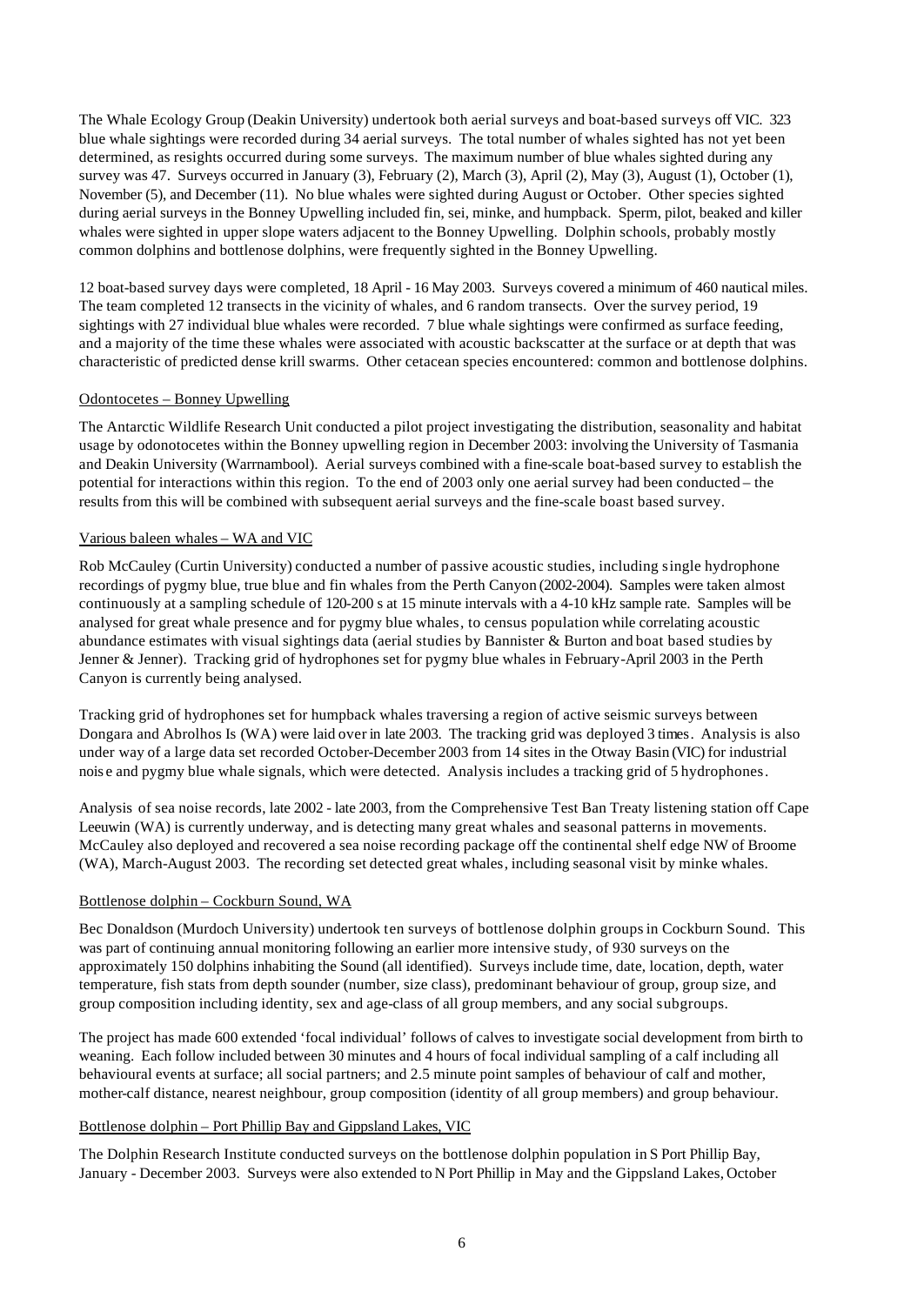The Whale Ecology Group (Deakin University) undertook both aerial surveys and boat-based surveys off VIC. 323 blue whale sightings were recorded during 34 aerial surveys. The total number of whales sighted has not yet been determined, as resights occurred during some surveys. The maximum number of blue whales sighted during any survey was 47. Surveys occurred in January (3), February (2), March (3), April (2), May (3), August (1), October (1), November (5), and December (11). No blue whales were sighted during August or October. Other species sighted during aerial surveys in the Bonney Upwelling included fin, sei, minke, and humpback. Sperm, pilot, beaked and killer whales were sighted in upper slope waters adjacent to the Bonney Upwelling. Dolphin schools, probably mostly common dolphins and bottlenose dolphins, were frequently sighted in the Bonney Upwelling.

12 boat-based survey days were completed, 18 April - 16 May 2003. Surveys covered a minimum of 460 nautical miles. The team completed 12 transects in the vicinity of whales, and 6 random transects. Over the survey period, 19 sightings with 27 individual blue whales were recorded. 7 blue whale sightings were confirmed as surface feeding, and a majority of the time these whales were associated with acoustic backscatter at the surface or at depth that was characteristic of predicted dense krill swarms. Other cetacean species encountered: common and bottlenose dolphins.

## Odontocetes – Bonney Upwelling

The Antarctic Wildlife Research Unit conducted a pilot project investigating the distribution, seasonality and habitat usage by odonotocetes within the Bonney upwelling region in December 2003: involving the University of Tasmania and Deakin University (Warrnambool). Aerial surveys combined with a fine-scale boat-based survey to establish the potential for interactions within this region. To the end of 2003 only one aerial survey had been conducted – the results from this will be combined with subsequent aerial surveys and the fine-scale boast based survey.

## Various baleen whales – WA and VIC

Rob McCauley (Curtin University) conducted a number of passive acoustic studies, including single hydrophone recordings of pygmy blue, true blue and fin whales from the Perth Canyon (2002-2004). Samples were taken almost continuously at a sampling schedule of 120-200 s at 15 minute intervals with a 4-10 kHz sample rate. Samples will be analysed for great whale presence and for pygmy blue whales, to census population while correlating acoustic abundance estimates with visual sightings data (aerial studies by Bannister & Burton and boat based studies by Jenner & Jenner). Tracking grid of hydrophones set for pygmy blue whales in February-April 2003 in the Perth Canyon is currently being analysed.

Tracking grid of hydrophones set for humpback whales traversing a region of active seismic surveys between Dongara and Abrolhos Is (WA) were laid over in late 2003. The tracking grid was deployed 3 times. Analysis is also under way of a large data set recorded October-December 2003 from 14 sites in the Otway Basin (VIC) for industrial nois e and pygmy blue whale signals, which were detected. Analysis includes a tracking grid of 5 hydrophones.

Analysis of sea noise records, late 2002 - late 2003, from the Comprehensive Test Ban Treaty listening station off Cape Leeuwin (WA) is currently underway, and is detecting many great whales and seasonal patterns in movements. McCauley also deployed and recovered a sea noise recording package off the continental shelf edge NW of Broome (WA), March-August 2003. The recording set detected great whales, including seasonal visit by minke whales.

## Bottlenose dolphin – Cockburn Sound, WA

Bec Donaldson (Murdoch University) undertook ten surveys of bottlenose dolphin groups in Cockburn Sound. This was part of continuing annual monitoring following an earlier more intensive study, of 930 surveys on the approximately 150 dolphins inhabiting the Sound (all identified). Surveys include time, date, location, depth, water temperature, fish stats from depth sounder (number, size class), predominant behaviour of group, group size, and group composition including identity, sex and age-class of all group members, and any social subgroups.

The project has made 600 extended 'focal individual' follows of calves to investigate social development from birth to weaning. Each follow included between 30 minutes and 4 hours of focal individual sampling of a calf including all behavioural events at surface; all social partners; and 2.5 minute point samples of behaviour of calf and mother, mother-calf distance, nearest neighbour, group composition (identity of all group members) and group behaviour.

#### Bottlenose dolphin – Port Phillip Bay and Gippsland Lakes, VIC

The Dolphin Research Institute conducted surveys on the bottlenose dolphin population in S Port Phillip Bay, January - December 2003. Surveys were also extended to N Port Phillip in May and the Gippsland Lakes, October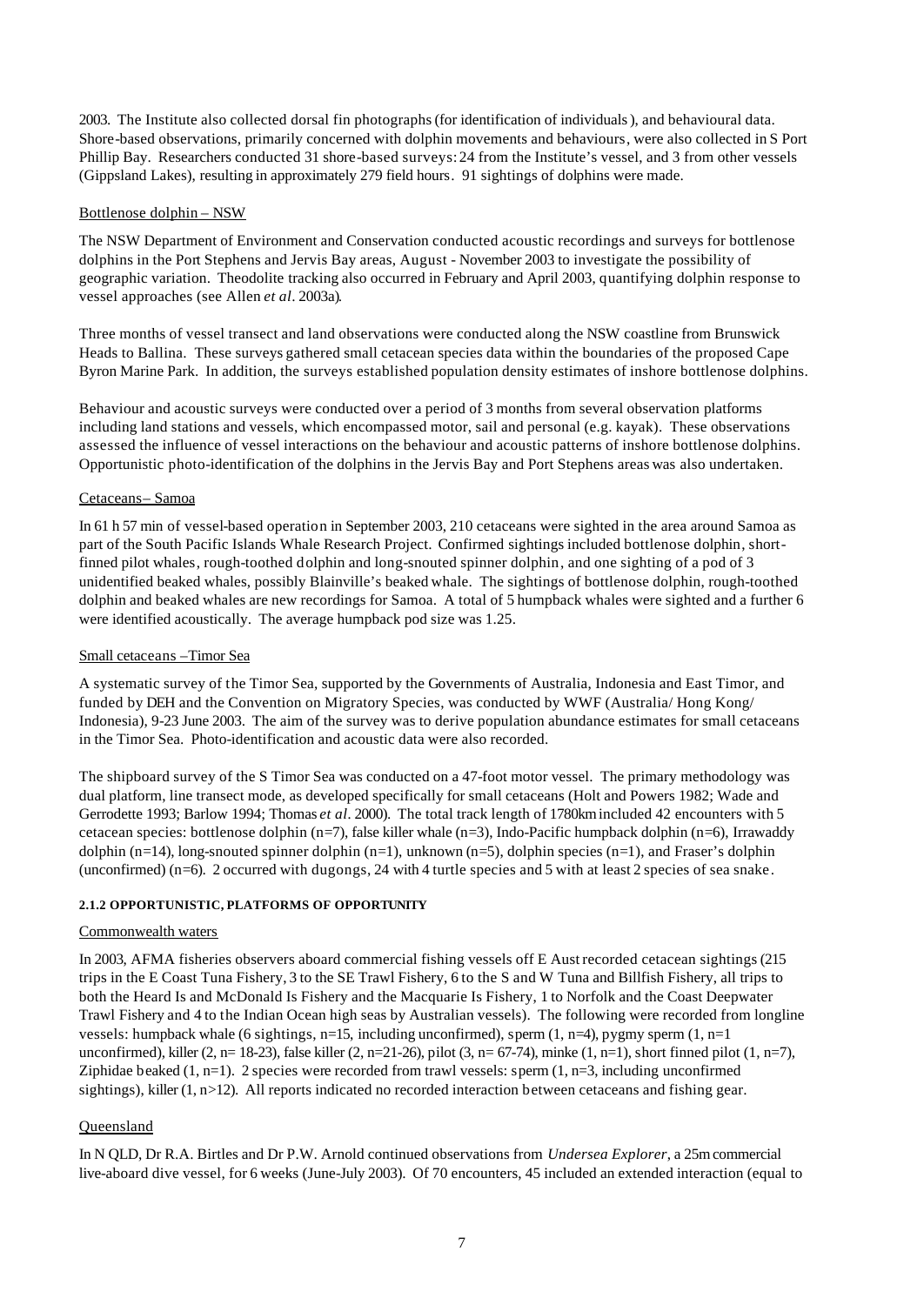2003. The Institute also collected dorsal fin photographs (for identification of individuals), and behavioural data. Shore-based observations, primarily concerned with dolphin movements and behaviours, were also collected in S Port Phillip Bay. Researchers conducted 31 shore-based surveys: 24 from the Institute's vessel, and 3 from other vessels (Gippsland Lakes), resulting in approximately 279 field hours. 91 sightings of dolphins were made.

## Bottlenose dolphin – NSW

The NSW Department of Environment and Conservation conducted acoustic recordings and surveys for bottlenose dolphins in the Port Stephens and Jervis Bay areas, August - November 2003 to investigate the possibility of geographic variation. Theodolite tracking also occurred in February and April 2003, quantifying dolphin response to vessel approaches (see Allen *et al*. 2003a).

Three months of vessel transect and land observations were conducted along the NSW coastline from Brunswick Heads to Ballina. These surveys gathered small cetacean species data within the boundaries of the proposed Cape Byron Marine Park. In addition, the surveys established population density estimates of inshore bottlenose dolphins.

Behaviour and acoustic surveys were conducted over a period of 3 months from several observation platforms including land stations and vessels, which encompassed motor, sail and personal (e.g. kayak). These observations assessed the influence of vessel interactions on the behaviour and acoustic patterns of inshore bottlenose dolphins. Opportunistic photo-identification of the dolphins in the Jervis Bay and Port Stephens areas was also undertaken.

# Cetaceans– Samoa

In 61 h 57 min of vessel-based operation in September 2003, 210 cetaceans were sighted in the area around Samoa as part of the South Pacific Islands Whale Research Project. Confirmed sightings included bottlenose dolphin, shortfinned pilot whales, rough-toothed dolphin and long-snouted spinner dolphin, and one sighting of a pod of 3 unidentified beaked whales, possibly Blainville's beaked whale. The sightings of bottlenose dolphin, rough-toothed dolphin and beaked whales are new recordings for Samoa. A total of 5 humpback whales were sighted and a further 6 were identified acoustically. The average humpback pod size was 1.25.

## Small cetaceans –Timor Sea

A systematic survey of the Timor Sea, supported by the Governments of Australia, Indonesia and East Timor, and funded by DEH and the Convention on Migratory Species, was conducted by WWF (Australia/ Hong Kong/ Indonesia), 9-23 June 2003. The aim of the survey was to derive population abundance estimates for small cetaceans in the Timor Sea. Photo-identification and acoustic data were also recorded.

The shipboard survey of the S Timor Sea was conducted on a 47-foot motor vessel. The primary methodology was dual platform, line transect mode, as developed specifically for small cetaceans (Holt and Powers 1982; Wade and Gerrodette 1993; Barlow 1994; Thomas *et al.* 2000). The total track length of 1780km included 42 encounters with 5 cetacean species: bottlenose dolphin (n=7), false killer whale (n=3), Indo-Pacific humpback dolphin (n=6), Irrawaddy dolphin (n=14), long-snouted spinner dolphin (n=1), unknown (n=5), dolphin species (n=1), and Fraser's dolphin (unconfirmed) (n=6). 2 occurred with dugongs, 24 with 4 turtle species and 5 with at least 2 species of sea snake.

## **2.1.2 OPPORTUNISTIC, PLATFORMS OF OPPORTUNITY**

## Commonwealth waters

In 2003, AFMA fisheries observers aboard commercial fishing vessels off E Aust recorded cetacean sightings (215 trips in the E Coast Tuna Fishery, 3 to the SE Trawl Fishery, 6 to the S and W Tuna and Billfish Fishery, all trips to both the Heard Is and McDonald Is Fishery and the Macquarie Is Fishery, 1 to Norfolk and the Coast Deepwater Trawl Fishery and 4 to the Indian Ocean high seas by Australian vessels). The following were recorded from longline vessels: humpback whale (6 sightings, n=15, including unconfirmed), sperm  $(1, n=4)$ , pygmy sperm  $(1, n=1)$ unconfirmed), killer (2, n= 18-23), false killer (2, n=21-26), pilot (3, n= 67-74), minke (1, n=1), short finned pilot (1, n=7), Ziphidae beaked  $(1, n=1)$ . 2 species were recorded from trawl vessels: sperm  $(1, n=3)$ , including unconfirmed sightings), killer  $(1, n>12)$ . All reports indicated no recorded interaction between cetaceans and fishing gear.

# Queensland

In N QLD, Dr R.A. Birtles and Dr P.W. Arnold continued observations from *Undersea Explorer*, a 25m commercial live-aboard dive vessel, for 6 weeks (June-July 2003). Of 70 encounters, 45 included an extended interaction (equal to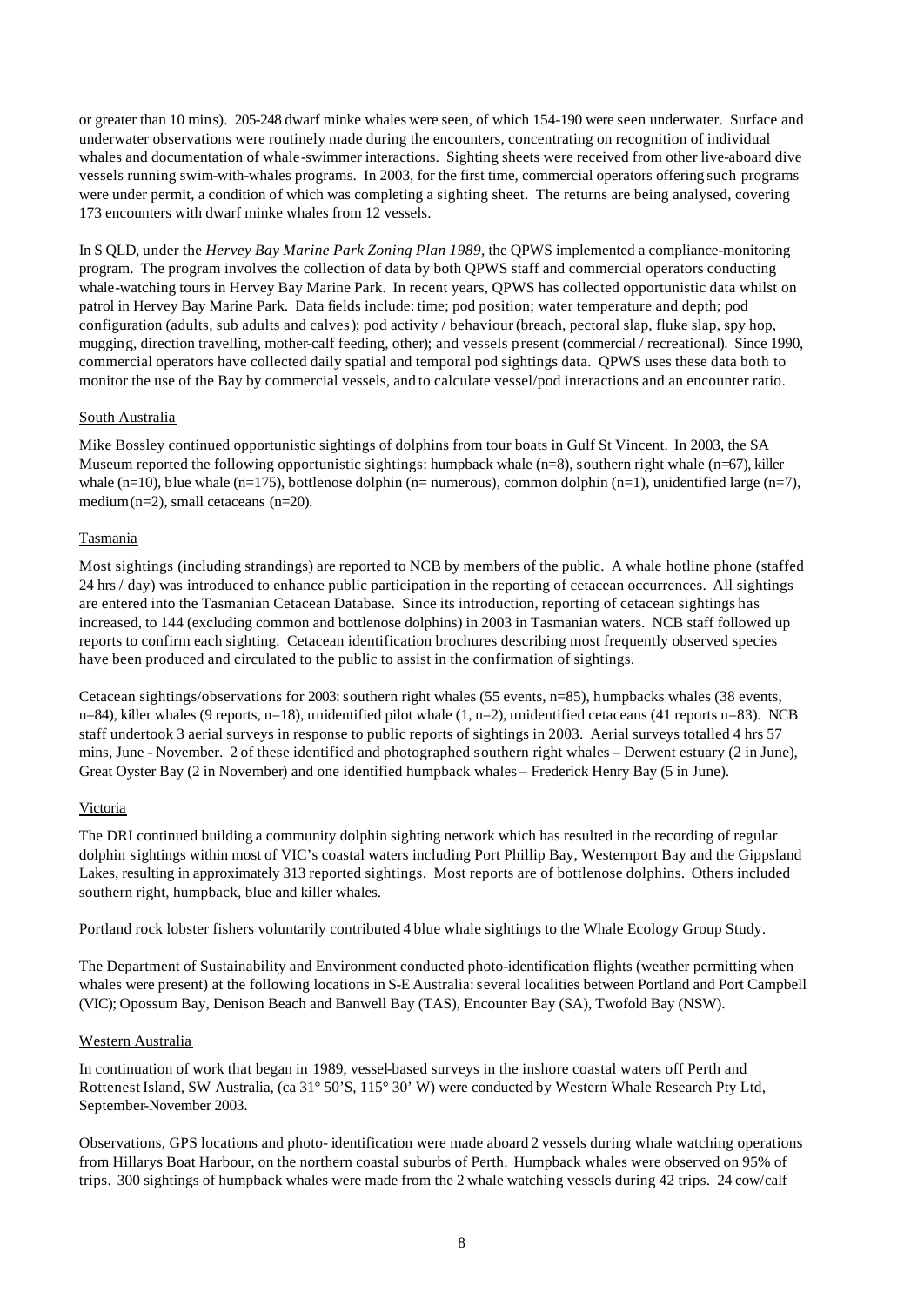or greater than 10 mins). 205-248 dwarf minke whales were seen, of which 154-190 were seen underwater. Surface and underwater observations were routinely made during the encounters, concentrating on recognition of individual whales and documentation of whale-swimmer interactions. Sighting sheets were received from other live-aboard dive vessels running swim-with-whales programs. In 2003, for the first time, commercial operators offering such programs were under permit, a condition of which was completing a sighting sheet. The returns are being analysed, covering 173 encounters with dwarf minke whales from 12 vessels.

In S QLD, under the *Hervey Bay Marine Park Zoning Plan 1989*, the QPWS implemented a compliance-monitoring program. The program involves the collection of data by both QPWS staff and commercial operators conducting whale-watching tours in Hervey Bay Marine Park. In recent years, QPWS has collected opportunistic data whilst on patrol in Hervey Bay Marine Park. Data fields include: time; pod position; water temperature and depth; pod configuration (adults, sub adults and calves); pod activity / behaviour (breach, pectoral slap, fluke slap, spy hop, mugging, direction travelling, mother-calf feeding, other); and vessels present (commercial / recreational). Since 1990, commercial operators have collected daily spatial and temporal pod sightings data. QPWS uses these data both to monitor the use of the Bay by commercial vessels, and to calculate vessel/pod interactions and an encounter ratio.

#### South Australia

Mike Bossley continued opportunistic sightings of dolphins from tour boats in Gulf St Vincent. In 2003, the SA Museum reported the following opportunistic sightings: humpback whale (n=8), southern right whale (n=67), killer whale (n=10), blue whale (n=175), bottlenose dolphin (n= numerous), common dolphin (n=1), unidentified large (n=7), medium  $(n=2)$ , small cetaceans  $(n=20)$ .

#### Tasmania

Most sightings (including strandings) are reported to NCB by members of the public. A whale hotline phone (staffed 24 hrs / day) was introduced to enhance public participation in the reporting of cetacean occurrences. All sightings are entered into the Tasmanian Cetacean Database. Since its introduction, reporting of cetacean sightings has increased, to 144 (excluding common and bottlenose dolphins) in 2003 in Tasmanian waters. NCB staff followed up reports to confirm each sighting. Cetacean identification brochures describing most frequently observed species have been produced and circulated to the public to assist in the confirmation of sightings.

Cetacean sightings/observations for 2003: southern right whales (55 events, n=85), humpbacks whales (38 events, n=84), killer whales (9 reports, n=18), unidentified pilot whale (1, n=2), unidentified cetaceans (41 reports n=83). NCB staff undertook 3 aerial surveys in response to public reports of sightings in 2003. Aerial surveys totalled 4 hrs 57 mins, June - November. 2 of these identified and photographed southern right whales – Derwent estuary (2 in June), Great Oyster Bay (2 in November) and one identified humpback whales – Frederick Henry Bay (5 in June).

#### **Victoria**

The DRI continued building a community dolphin sighting network which has resulted in the recording of regular dolphin sightings within most of VIC's coastal waters including Port Phillip Bay, Westernport Bay and the Gippsland Lakes, resulting in approximately 313 reported sightings. Most reports are of bottlenose dolphins. Others included southern right, humpback, blue and killer whales.

Portland rock lobster fishers voluntarily contributed 4 blue whale sightings to the Whale Ecology Group Study.

The Department of Sustainability and Environment conducted photo-identification flights (weather permitting when whales were present) at the following locations in S-E Australia: several localities between Portland and Port Campbell (VIC); Opossum Bay, Denison Beach and Banwell Bay (TAS), Encounter Bay (SA), Twofold Bay (NSW).

#### Western Australia

In continuation of work that began in 1989, vessel-based surveys in the inshore coastal waters off Perth and Rottenest Island, SW Australia, (ca 31° 50'S, 115° 30' W) were conducted by Western Whale Research Pty Ltd, September-November 2003.

Observations, GPS locations and photo- identification were made aboard 2 vessels during whale watching operations from Hillarys Boat Harbour, on the northern coastal suburbs of Perth. Humpback whales were observed on 95% of trips. 300 sightings of humpback whales were made from the 2 whale watching vessels during 42 trips. 24 cow/calf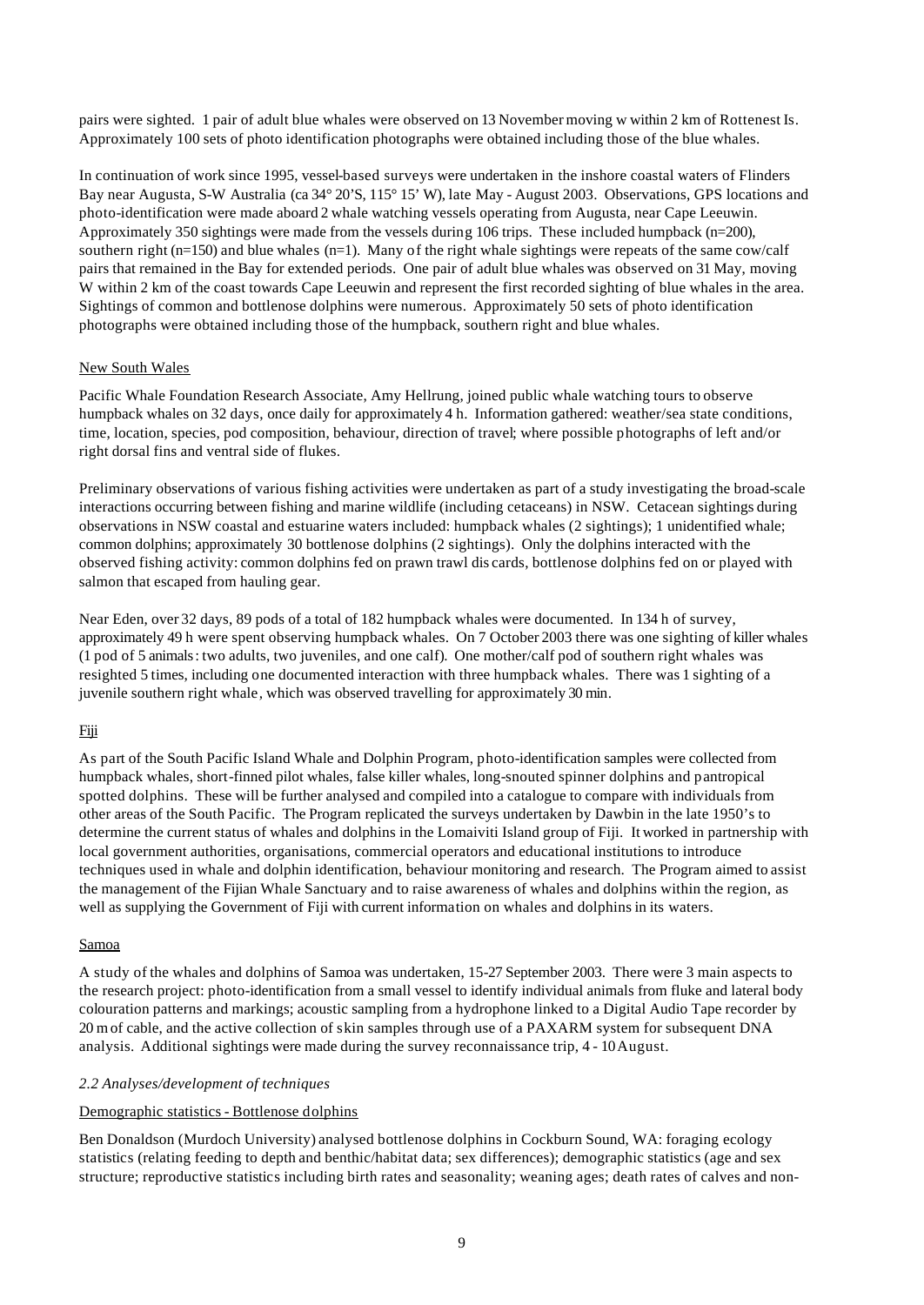pairs were sighted. 1 pair of adult blue whales were observed on 13 November moving w within 2 km of Rottenest Is. Approximately 100 sets of photo identification photographs were obtained including those of the blue whales.

In continuation of work since 1995, vessel-based surveys were undertaken in the inshore coastal waters of Flinders Bay near Augusta, S-W Australia (ca 34° 20'S, 115° 15' W), late May - August 2003. Observations, GPS locations and photo-identification were made aboard 2 whale watching vessels operating from Augusta, near Cape Leeuwin. Approximately 350 sightings were made from the vessels during 106 trips. These included humpback (n=200), southern right ( $n=150$ ) and blue whales ( $n=1$ ). Many of the right whale sightings were repeats of the same cow/calf pairs that remained in the Bay for extended periods. One pair of adult blue whales was observed on 31 May, moving W within 2 km of the coast towards Cape Leeuwin and represent the first recorded sighting of blue whales in the area. Sightings of common and bottlenose dolphins were numerous. Approximately 50 sets of photo identification photographs were obtained including those of the humpback, southern right and blue whales.

## New South Wales

Pacific Whale Foundation Research Associate, Amy Hellrung, joined public whale watching tours to observe humpback whales on 32 days, once daily for approximately 4 h. Information gathered: weather/sea state conditions, time, location, species, pod composition, behaviour, direction of travel; where possible photographs of left and/or right dorsal fins and ventral side of flukes.

Preliminary observations of various fishing activities were undertaken as part of a study investigating the broad-scale interactions occurring between fishing and marine wildlife (including cetaceans) in NSW. Cetacean sightings during observations in NSW coastal and estuarine waters included: humpback whales (2 sightings); 1 unidentified whale; common dolphins; approximately 30 bottlenose dolphins (2 sightings). Only the dolphins interacted with the observed fishing activity: common dolphins fed on prawn trawl dis cards, bottlenose dolphins fed on or played with salmon that escaped from hauling gear.

Near Eden, over 32 days, 89 pods of a total of 182 humpback whales were documented. In 134 h of survey, approximately 49 h were spent observing humpback whales. On 7 October 2003 there was one sighting of killer whales (1 pod of 5 animals: two adults, two juveniles, and one calf). One mother/calf pod of southern right whales was resighted 5 times, including one documented interaction with three humpback whales. There was 1 sighting of a juvenile southern right whale*,* which was observed travelling for approximately 30 min.

# Fiji

As part of the South Pacific Island Whale and Dolphin Program, photo-identification samples were collected from humpback whales, short-finned pilot whales, false killer whales, long-snouted spinner dolphins and pantropical spotted dolphins. These will be further analysed and compiled into a catalogue to compare with individuals from other areas of the South Pacific. The Program replicated the surveys undertaken by Dawbin in the late 1950's to determine the current status of whales and dolphins in the Lomaiviti Island group of Fiji. It worked in partnership with local government authorities, organisations, commercial operators and educational institutions to introduce techniques used in whale and dolphin identification, behaviour monitoring and research. The Program aimed to assist the management of the Fijian Whale Sanctuary and to raise awareness of whales and dolphins within the region, as well as supplying the Government of Fiji with current information on whales and dolphins in its waters.

## Samoa

A study of the whales and dolphins of Samoa was undertaken, 15-27 September 2003. There were 3 main aspects to the research project: photo-identification from a small vessel to identify individual animals from fluke and lateral body colouration patterns and markings; acoustic sampling from a hydrophone linked to a Digital Audio Tape recorder by 20 m of cable, and the active collection of skin samples through use of a PAXARM system for subsequent DNA analysis. Additional sightings were made during the survey reconnaissance trip, 4 - 10August.

## *2.2 Analyses/development of techniques*

# Demographic statistics - Bottlenose dolphins

Ben Donaldson (Murdoch University) analysed bottlenose dolphins in Cockburn Sound, WA: foraging ecology statistics (relating feeding to depth and benthic/habitat data; sex differences); demographic statistics (age and sex structure; reproductive statistics including birth rates and seasonality; weaning ages; death rates of calves and non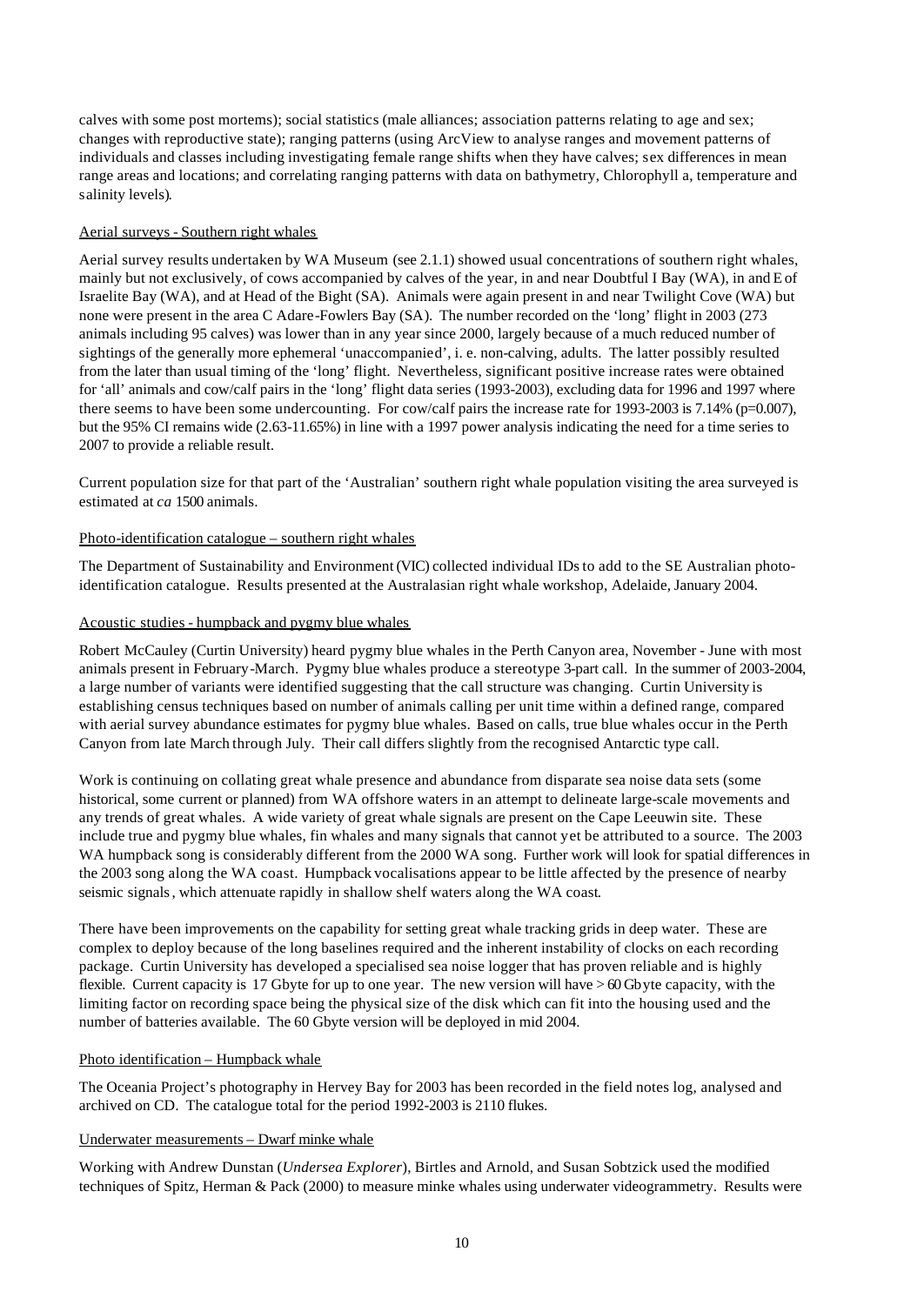calves with some post mortems); social statistics (male alliances; association patterns relating to age and sex; changes with reproductive state); ranging patterns (using ArcView to analyse ranges and movement patterns of individuals and classes including investigating female range shifts when they have calves; sex differences in mean range areas and locations; and correlating ranging patterns with data on bathymetry, Chlorophyll a, temperature and salinity levels).

#### Aerial surveys - Southern right whales

Aerial survey results undertaken by WA Museum (see 2.1.1) showed usual concentrations of southern right whales, mainly but not exclusively, of cows accompanied by calves of the year, in and near Doubtful I Bay (WA), in and E of Israelite Bay (WA), and at Head of the Bight (SA). Animals were again present in and near Twilight Cove (WA) but none were present in the area C Adare-Fowlers Bay (SA). The number recorded on the 'long' flight in 2003 (273 animals including 95 calves) was lower than in any year since 2000, largely because of a much reduced number of sightings of the generally more ephemeral 'unaccompanied', i. e. non-calving, adults. The latter possibly resulted from the later than usual timing of the 'long' flight. Nevertheless, significant positive increase rates were obtained for 'all' animals and cow/calf pairs in the 'long' flight data series (1993-2003), excluding data for 1996 and 1997 where there seems to have been some undercounting. For cow/calf pairs the increase rate for 1993-2003 is 7.14% ( $p=0.007$ ), but the 95% CI remains wide (2.63-11.65%) in line with a 1997 power analysis indicating the need for a time series to 2007 to provide a reliable result.

Current population size for that part of the 'Australian' southern right whale population visiting the area surveyed is estimated at *ca* 1500 animals.

#### Photo-identification catalogue – southern right whales

The Department of Sustainability and Environment (VIC) collected individual IDs to add to the SE Australian photoidentification catalogue. Results presented at the Australasian right whale workshop, Adelaide, January 2004.

#### Acoustic studies - humpback and pygmy blue whales

Robert McCauley (Curtin University) heard pygmy blue whales in the Perth Canyon area, November - June with most animals present in February-March. Pygmy blue whales produce a stereotype 3-part call. In the summer of 2003-2004, a large number of variants were identified suggesting that the call structure was changing. Curtin University is establishing census techniques based on number of animals calling per unit time within a defined range, compared with aerial survey abundance estimates for pygmy blue whales. Based on calls, true blue whales occur in the Perth Canyon from late March through July. Their call differs slightly from the recognised Antarctic type call.

Work is continuing on collating great whale presence and abundance from disparate sea noise data sets (some historical, some current or planned) from WA offshore waters in an attempt to delineate large-scale movements and any trends of great whales. A wide variety of great whale signals are present on the Cape Leeuwin site. These include true and pygmy blue whales, fin whales and many signals that cannot yet be attributed to a source. The 2003 WA humpback song is considerably different from the 2000 WA song. Further work will look for spatial differences in the 2003 song along the WA coast. Humpback vocalisations appear to be little affected by the presence of nearby seismic signals, which attenuate rapidly in shallow shelf waters along the WA coast.

There have been improvements on the capability for setting great whale tracking grids in deep water. These are complex to deploy because of the long baselines required and the inherent instability of clocks on each recording package. Curtin University has developed a specialised sea noise logger that has proven reliable and is highly flexible. Current capacity is 17 Gbyte for up to one year. The new version will have  $> 60$  Gbyte capacity, with the limiting factor on recording space being the physical size of the disk which can fit into the housing used and the number of batteries available. The 60 Gbyte version will be deployed in mid 2004.

## Photo identification – Humpback whale

The Oceania Project's photography in Hervey Bay for 2003 has been recorded in the field notes log, analysed and archived on CD. The catalogue total for the period 1992-2003 is 2110 flukes.

#### Underwater measurements – Dwarf minke whale

Working with Andrew Dunstan (*Undersea Explorer*), Birtles and Arnold, and Susan Sobtzick used the modified techniques of Spitz, Herman & Pack (2000) to measure minke whales using underwater videogrammetry. Results were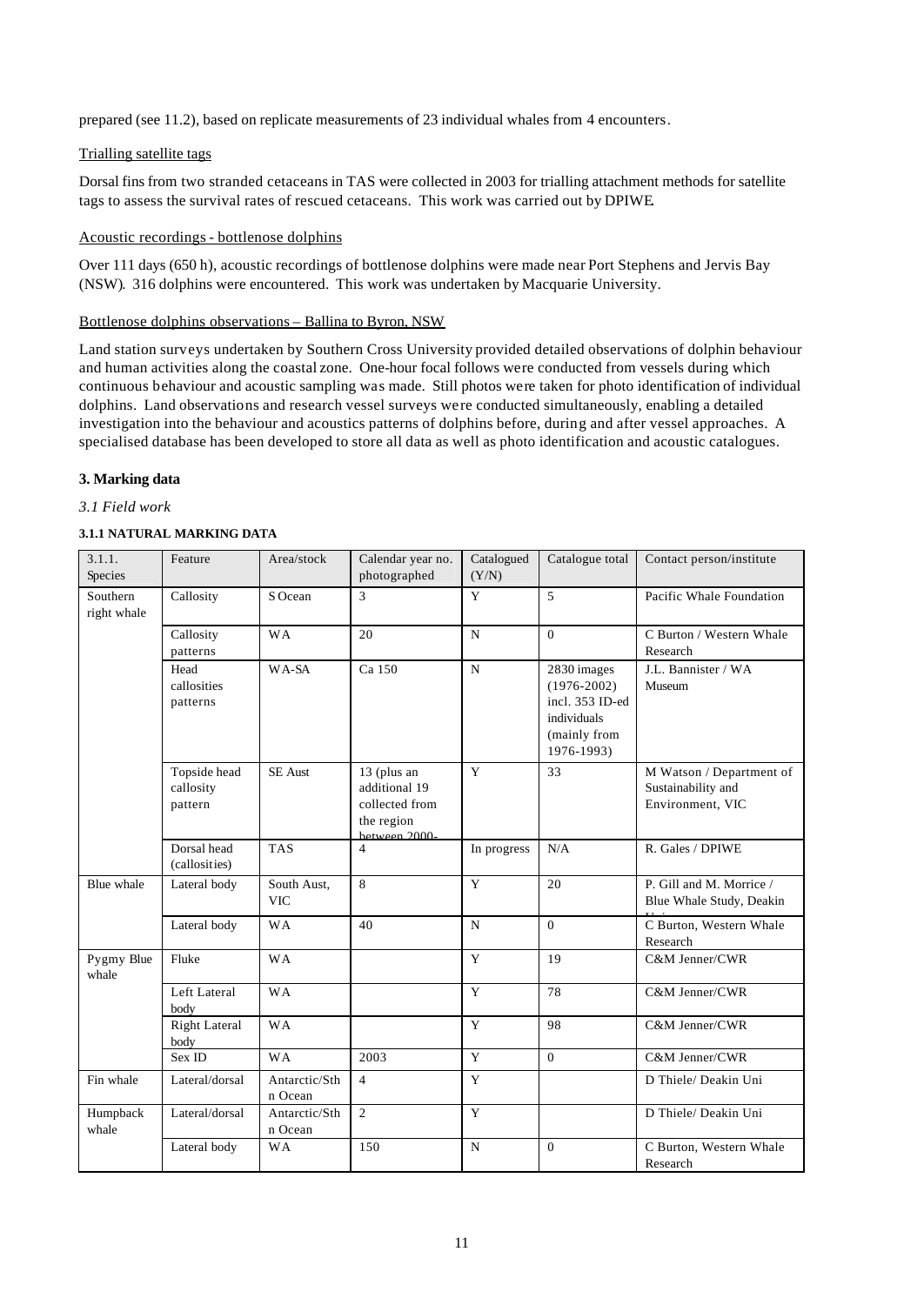prepared (see 11.2), based on replicate measurements of 23 individual whales from 4 encounters.

# Trialling satellite tags

Dorsal fins from two stranded cetaceans in TAS were collected in 2003 for trialling attachment methods for satellite tags to assess the survival rates of rescued cetaceans. This work was carried out by DPIWE.

# Acoustic recordings - bottlenose dolphins

Over 111 days (650 h), acoustic recordings of bottlenose dolphins were made near Port Stephens and Jervis Bay (NSW). 316 dolphins were encountered. This work was undertaken by Macquarie University.

## Bottlenose dolphins observations – Ballina to Byron, NSW

Land station surveys undertaken by Southern Cross University provided detailed observations of dolphin behaviour and human activities along the coastal zone. One-hour focal follows were conducted from vessels during which continuous behaviour and acoustic sampling was made. Still photos were taken for photo identification of individual dolphins. Land observations and research vessel surveys were conducted simultaneously, enabling a detailed investigation into the behaviour and acoustics patterns of dolphins before, during and after vessel approaches. A specialised database has been developed to store all data as well as photo identification and acoustic catalogues.

# **3. Marking data**

# *3.1 Field work*

# **3.1.1 NATURAL MARKING DATA**

| 3.1.1.<br>Species       | Feature                              | Area/stock                | Calendar year no.<br>photographed                                            | Catalogued<br>(Y/N) | Catalogue total                                                                                | Contact person/institute                                           |
|-------------------------|--------------------------------------|---------------------------|------------------------------------------------------------------------------|---------------------|------------------------------------------------------------------------------------------------|--------------------------------------------------------------------|
| Southern<br>right whale | Callosity                            | S Ocean                   | 3                                                                            | Y                   | 5                                                                                              | Pacific Whale Foundation                                           |
|                         | Callosity<br>patterns                | <b>WA</b>                 | 20                                                                           | $\mathbf N$         | $\theta$                                                                                       | C Burton / Western Whale<br>Research                               |
|                         | Head<br>callosities<br>patterns      | WA-SA                     | Ca 150                                                                       | $\mathbf N$         | 2830 images<br>$(1976 - 2002)$<br>incl. 353 ID-ed<br>individuals<br>(mainly from<br>1976-1993) | J.L. Bannister / WA<br>Museum                                      |
|                         | Topside head<br>callosity<br>pattern | <b>SE</b> Aust            | 13 (plus an<br>additional 19<br>collected from<br>the region<br>hetween 2000 | Y                   | 33                                                                                             | M Watson / Department of<br>Sustainability and<br>Environment, VIC |
|                         | Dorsal head<br>(callosities)         | <b>TAS</b>                | $\overline{4}$                                                               | In progress         | N/A                                                                                            | R. Gales / DPIWE                                                   |
| Blue whale              | Lateral body                         | South Aust,<br><b>VIC</b> | 8                                                                            | Y                   | 20                                                                                             | P. Gill and M. Morrice /<br>Blue Whale Study, Deakin               |
|                         | Lateral body                         | <b>WA</b>                 | 40                                                                           | $\mathbf N$         | $\Omega$                                                                                       | C Burton, Western Whale<br>Research                                |
| Pygmy Blue<br>whale     | Fluke                                | <b>WA</b>                 |                                                                              | Y                   | 19                                                                                             | C&M Jenner/CWR                                                     |
|                         | Left Lateral<br>body                 | <b>WA</b>                 |                                                                              | Y                   | 78                                                                                             | C&M Jenner/CWR                                                     |
|                         | <b>Right Lateral</b><br>body         | <b>WA</b>                 |                                                                              | Y                   | 98                                                                                             | C&M Jenner/CWR                                                     |
|                         | Sex ID                               | <b>WA</b>                 | 2003                                                                         | Y                   | $\Omega$                                                                                       | C&M Jenner/CWR                                                     |
| Fin whale               | Lateral/dorsal                       | Antarctic/Sth<br>n Ocean  | $\overline{4}$                                                               | Y                   |                                                                                                | D Thiele/ Deakin Uni                                               |
| Humpback<br>whale       | Lateral/dorsal                       | Antarctic/Sth<br>n Ocean  | $\overline{2}$                                                               | Y                   |                                                                                                | D Thiele/ Deakin Uni                                               |
|                         | Lateral body                         | <b>WA</b>                 | 150                                                                          | $\mathbf N$         | $\Omega$                                                                                       | C Burton, Western Whale<br>Research                                |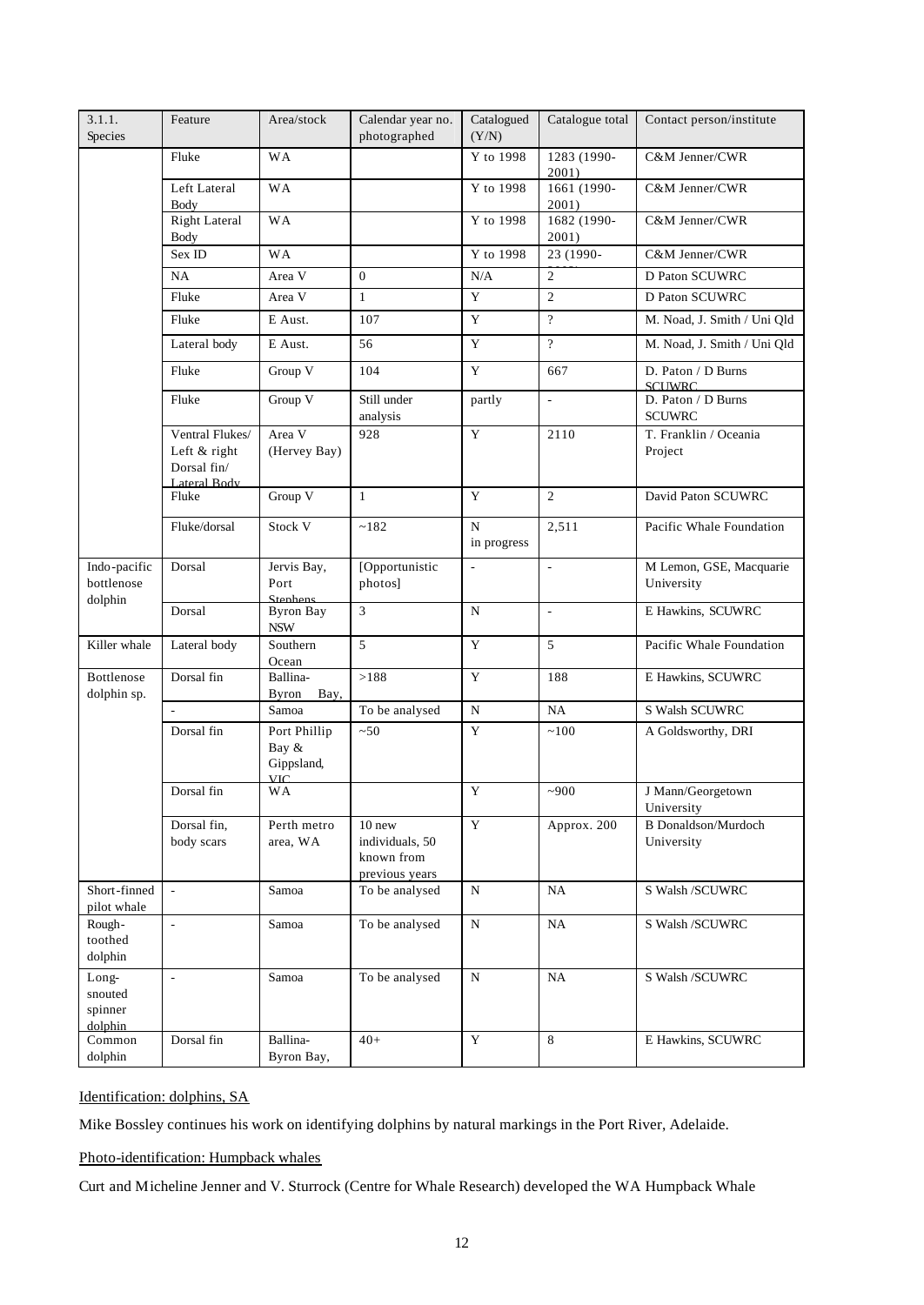| 3.1.1.<br>Species                      | Feature                                                        | Area/stock                                        | Calendar year no.<br>photographed                         | Catalogued<br>(Y/N)      | Catalogue total          | Contact person/institute                 |
|----------------------------------------|----------------------------------------------------------------|---------------------------------------------------|-----------------------------------------------------------|--------------------------|--------------------------|------------------------------------------|
|                                        | Fluke                                                          | <b>WA</b>                                         |                                                           | Y to 1998                | 1283 (1990-<br>2001)     | C&M Jenner/CWR                           |
|                                        | Left Lateral<br>Body                                           | <b>WA</b>                                         |                                                           | Y to 1998                | 1661 (1990-<br>2001)     | C&M Jenner/CWR                           |
|                                        | <b>Right Lateral</b><br><b>Body</b>                            | <b>WA</b>                                         |                                                           | Y to 1998                | 1682 (1990-<br>2001)     | C&M Jenner/CWR                           |
|                                        | Sex ID                                                         | <b>WA</b>                                         |                                                           | Y to 1998                | 23 (1990-                | C&M Jenner/CWR                           |
|                                        | NA                                                             | Area V                                            | $\theta$                                                  | N/A                      | $\mathbf{2}$             | <b>D Paton SCUWRC</b>                    |
|                                        | Fluke                                                          | Area V                                            | $\mathbf{1}$                                              | $\overline{Y}$           | $\mathbf{2}$             | D Paton SCUWRC                           |
|                                        | Fluke                                                          | E Aust.                                           | 107                                                       | $\mathbf Y$              | $\gamma$                 | M. Noad, J. Smith / Uni Qld              |
|                                        | Lateral body                                                   | E Aust.                                           | 56                                                        | Y                        | $\overline{?}$           | M. Noad, J. Smith / Uni Qld              |
|                                        | Fluke                                                          | Group V                                           | 104                                                       | Y                        | 667                      | D. Paton / D Burns<br><b>SCHWRC</b>      |
|                                        | Fluke                                                          | Group V                                           | Still under<br>analysis                                   | partly                   | $\Box$                   | D. Paton / D Burns<br><b>SCUWRC</b>      |
|                                        | Ventral Flukes/<br>Left & right<br>Dorsal fin/<br>Lateral Body | Area V<br>(Hervey Bay)                            | 928                                                       | Y                        | 2110                     | T. Franklin / Oceania<br>Project         |
|                                        | Fluke                                                          | Group V                                           | $\mathbf{1}$                                              | Y                        | $\overline{2}$           | David Paton SCUWRC                       |
|                                        | Fluke/dorsal                                                   | Stock V                                           | ~182                                                      | N<br>in progress         | 2,511                    | Pacific Whale Foundation                 |
| Indo-pacific<br>bottlenose             | Dorsal                                                         | Jervis Bay,<br>Port<br>Stephens                   | [Opportunistic<br>photos]                                 | $\overline{\phantom{a}}$ | $\overline{\phantom{a}}$ | M Lemon, GSE, Macquarie<br>University    |
| dolphin                                | Dorsal                                                         | <b>Byron Bay</b><br>$\ensuremath{\mathsf{NSW}}$   | 3                                                         | N                        | $\omega$                 | E Hawkins, SCUWRC                        |
| Killer whale                           | Lateral body                                                   | Southern<br>Ocean                                 | 5                                                         | Y                        | 5                        | Pacific Whale Foundation                 |
| Bottlenose<br>dolphin sp.              | Dorsal fin                                                     | Ballina-<br><b>Byron</b><br>Bay,                  | >188                                                      | Y                        | 188                      | E Hawkins, SCUWRC                        |
|                                        |                                                                | Samoa                                             | To be analysed                                            | $\mathbf N$              | NA                       | S Walsh SCUWRC                           |
|                                        | Dorsal fin                                                     | Port Phillip<br>Bay &<br>Gippsland,<br><b>VIC</b> | ~50                                                       | Y                        | ~100                     | A Goldsworthy, DRI                       |
|                                        | Dorsal fin                                                     | <b>WA</b>                                         |                                                           | Y                        | ~1000                    | J Mann/Georgetown<br>University          |
|                                        | Dorsal fin,<br>body scars                                      | Perth metro<br>area, WA                           | 10 new<br>individuals, 50<br>known from<br>previous years | Y                        | Approx. 200              | <b>B</b> Donaldson/Murdoch<br>University |
| Short-finned<br>pilot whale            | $\omega$                                                       | Samoa                                             | To be analysed                                            | $\mathbf N$              | NA                       | S Walsh /SCUWRC                          |
| Rough-<br>toothed<br>dolphin           | $\overline{\phantom{a}}$                                       | Samoa                                             | To be analysed                                            | N                        | $_{\rm NA}$              | S Walsh /SCUWRC                          |
| Long-<br>snouted<br>spinner<br>dolphin | $\blacksquare$                                                 | Samoa                                             | To be analysed                                            | N                        | NA                       | S Walsh /SCUWRC                          |
| Common<br>dolphin                      | Dorsal fin                                                     | Ballina-<br>Byron Bay,                            | $40+$                                                     | Y                        | 8                        | E Hawkins, SCUWRC                        |

# Identification: dolphins, SA

Mike Bossley continues his work on identifying dolphins by natural markings in the Port River, Adelaide.

# Photo-identification: Humpback whales

NSW

Curt and Micheline Jenner and V. Sturrock (Centre for Whale Research) developed the WA Humpback Whale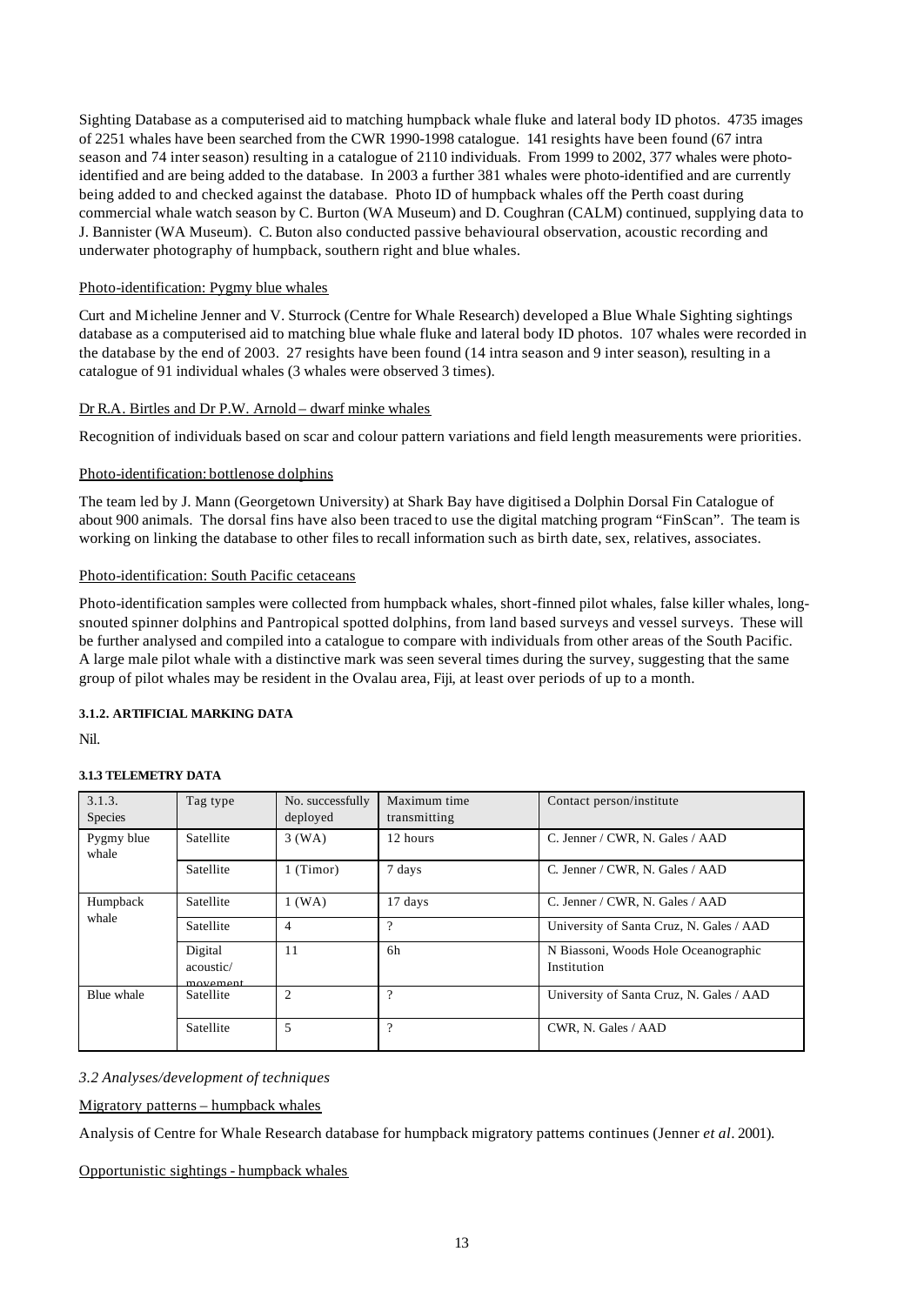Sighting Database as a computerised aid to matching humpback whale fluke and lateral body ID photos. 4735 images of 2251 whales have been searched from the CWR 1990-1998 catalogue. 141 resights have been found (67 intra season and 74 inter season) resulting in a catalogue of 2110 individuals. From 1999 to 2002, 377 whales were photoidentified and are being added to the database. In 2003 a further 381 whales were photo-identified and are currently being added to and checked against the database. Photo ID of humpback whales off the Perth coast during commercial whale watch season by C. Burton (WA Museum) and D. Coughran (CALM) continued, supplying data to J. Bannister (WA Museum). C. Buton also conducted passive behavioural observation, acoustic recording and underwater photography of humpback, southern right and blue whales.

## Photo-identification: Pygmy blue whales

Curt and Micheline Jenner and V. Sturrock (Centre for Whale Research) developed a Blue Whale Sighting sightings database as a computerised aid to matching blue whale fluke and lateral body ID photos. 107 whales were recorded in the database by the end of 2003. 27 resights have been found (14 intra season and 9 inter season), resulting in a catalogue of 91 individual whales (3 whales were observed 3 times).

#### Dr R.A. Birtles and Dr P.W. Arnold – dwarf minke whales

Recognition of individuals based on scar and colour pattern variations and field length measurements were priorities.

#### Photo-identification: bottlenose dolphins

The team led by J. Mann (Georgetown University) at Shark Bay have digitised a Dolphin Dorsal Fin Catalogue of about 900 animals. The dorsal fins have also been traced to use the digital matching program "FinScan". The team is working on linking the database to other files to recall information such as birth date, sex, relatives, associates.

# Photo-identification: South Pacific cetaceans

Photo-identification samples were collected from humpback whales, short-finned pilot whales, false killer whales, longsnouted spinner dolphins and Pantropical spotted dolphins, from land based surveys and vessel surveys. These will be further analysed and compiled into a catalogue to compare with individuals from other areas of the South Pacific. A large male pilot whale with a distinctive mark was seen several times during the survey, suggesting that the same group of pilot whales may be resident in the Ovalau area, Fiji, at least over periods of up to a month.

#### **3.1.2. ARTIFICIAL MARKING DATA**

Nil.

## **3.1.3 TELEMETRY DATA**

| 3.1.3.<br>Species   | Tag type                                               | No. successfully<br>deployed | Maximum time<br>transmitting | Contact person/institute                            |
|---------------------|--------------------------------------------------------|------------------------------|------------------------------|-----------------------------------------------------|
| Pygmy blue<br>whale | Satellite                                              | $3$ (WA)                     | 12 hours                     | C. Jenner / CWR, N. Gales / AAD                     |
|                     | Satellite                                              | $1$ (Timor)                  | 7 days                       | C. Jenner / CWR, N. Gales / AAD                     |
| Humpback            | Satellite                                              | $1$ (WA)                     | 17 days                      | C. Jenner / CWR, N. Gales / AAD                     |
| whale               | Satellite                                              | 4                            | $\overline{\mathcal{L}}$     | University of Santa Cruz, N. Gales / AAD            |
|                     | Digital<br>acoustic/<br>$m$ <sup>n<math>n</math></sup> | 11                           | 6h                           | N Biassoni, Woods Hole Oceanographic<br>Institution |
| Blue whale          | Satellite                                              | 2                            | $\gamma$                     | University of Santa Cruz, N. Gales / AAD            |
|                     | Satellite                                              | 5                            | $\overline{\mathcal{C}}$     | CWR, N. Gales / AAD                                 |

## *3.2 Analyses/development of techniques*

Migratory patterns – humpback whales

Analysis of Centre for Whale Research database for humpback migratory patterns continues (Jenner *et al*. 2001).

## Opportunistic sightings - humpback whales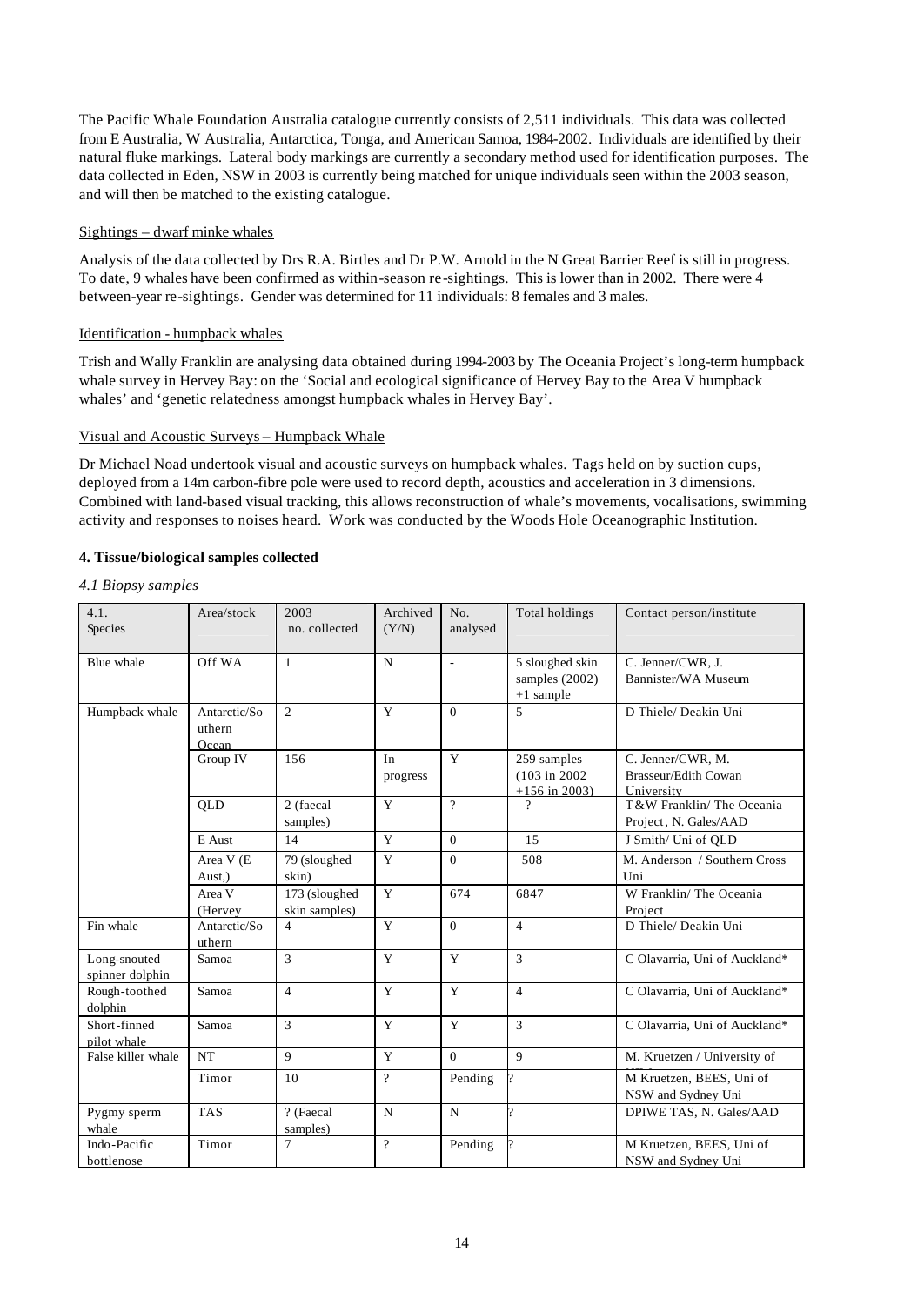The Pacific Whale Foundation Australia catalogue currently consists of 2,511 individuals. This data was collected from E Australia, W Australia, Antarctica, Tonga, and American Samoa, 1984-2002. Individuals are identified by their natural fluke markings. Lateral body markings are currently a secondary method used for identification purposes. The data collected in Eden, NSW in 2003 is currently being matched for unique individuals seen within the 2003 season, and will then be matched to the existing catalogue.

## Sightings – dwarf minke whales

Analysis of the data collected by Drs R.A. Birtles and Dr P.W. Arnold in the N Great Barrier Reef is still in progress. To date, 9 whales have been confirmed as within-season re-sightings. This is lower than in 2002. There were 4 between-year re-sightings. Gender was determined for 11 individuals: 8 females and 3 males.

# Identification - humpback whales

Trish and Wally Franklin are analysing data obtained during 1994-2003 by The Oceania Project's long-term humpback whale survey in Hervey Bay: on the 'Social and ecological significance of Hervey Bay to the Area V humpback whales' and 'genetic relatedness amongst humpback whales in Hervey Bay'.

# Visual and Acoustic Surveys – Humpback Whale

Dr Michael Noad undertook visual and acoustic surveys on humpback whales. Tags held on by suction cups, deployed from a 14m carbon-fibre pole were used to record depth, acoustics and acceleration in 3 dimensions. Combined with land-based visual tracking, this allows reconstruction of whale's movements, vocalisations, swimming activity and responses to noises heard. Work was conducted by the Woods Hole Oceanographic Institution.

# **4. Tissue/biological samples collected**

## *4.1 Biopsy samples*

| 4.1.<br>Species                 | Area/stock                      | 2003<br>no. collected          | Archived<br>(Y/N) | No.<br>analysed | Total holdings                                             | Contact person/institute                                |
|---------------------------------|---------------------------------|--------------------------------|-------------------|-----------------|------------------------------------------------------------|---------------------------------------------------------|
| Blue whale                      | Off WA                          | $\mathbf{1}$                   | $\mathbf N$       | L,              | 5 sloughed skin<br>samples $(2002)$<br>$+1$ sample         | C. Jenner/CWR, J.<br>Bannister/WA Museum                |
| Humpback whale                  | Antarctic/So<br>uthern<br>Ocean | $\overline{2}$                 | Y                 | $\Omega$        | 5                                                          | D Thiele/ Deakin Uni                                    |
|                                 | Group IV                        | 156                            | In<br>progress    | Y               | 259 samples<br>$(103 \text{ in } 2002)$<br>$+156$ in 2003) | C. Jenner/CWR, M.<br>Brasseur/Edith Cowan<br>University |
|                                 | <b>OLD</b>                      | 2 (faecal<br>samples)          | Y                 | $\gamma$        | 9                                                          | T&W Franklin/The Oceania<br>Project, N. Gales/AAD       |
|                                 | E Aust                          | 14                             | Y                 | $\Omega$        | 15                                                         | J Smith/ Uni of QLD                                     |
|                                 | Area V (E<br>Aust.)             | 79 (sloughed<br>skin)          | Y                 | $\overline{0}$  | 508                                                        | M. Anderson / Southern Cross<br>Uni                     |
|                                 | Area V<br>(Hervey               | 173 (sloughed<br>skin samples) | Y                 | 674             | 6847                                                       | W Franklin/ The Oceania<br>Project                      |
| Fin whale                       | Antarctic/So<br>uthern          | $\overline{4}$                 | Y                 | $\theta$        | $\overline{4}$                                             | D Thiele/ Deakin Uni                                    |
| Long-snouted<br>spinner dolphin | Samoa                           | 3                              | Y                 | Y               | 3                                                          | C Olavarria, Uni of Auckland*                           |
| Rough-toothed<br>dolphin        | Samoa                           | $\overline{4}$                 | Y                 | Y               | $\overline{4}$                                             | C Olavarria, Uni of Auckland*                           |
| Short-finned<br>pilot whale     | Samoa                           | 3                              | Y                 | Y               | 3                                                          | C Olavarria, Uni of Auckland*                           |
| False killer whale              | <b>NT</b>                       | $\mathbf{Q}$                   | Y                 | $\theta$        | 9                                                          | M. Kruetzen / University of                             |
|                                 | Timor                           | 10                             | $\gamma$          | Pending         |                                                            | M Kruetzen, BEES, Uni of<br>NSW and Sydney Uni          |
| Pygmy sperm<br>whale            | <b>TAS</b>                      | ? (Faecal<br>samples)          | N                 | $\mathbf N$     |                                                            | DPIWE TAS, N. Gales/AAD                                 |
| Indo-Pacific<br>bottlenose      | Timor                           | $\overline{7}$                 | $\gamma$          | Pending         |                                                            | M Kruetzen, BEES, Uni of<br>NSW and Sydney Uni          |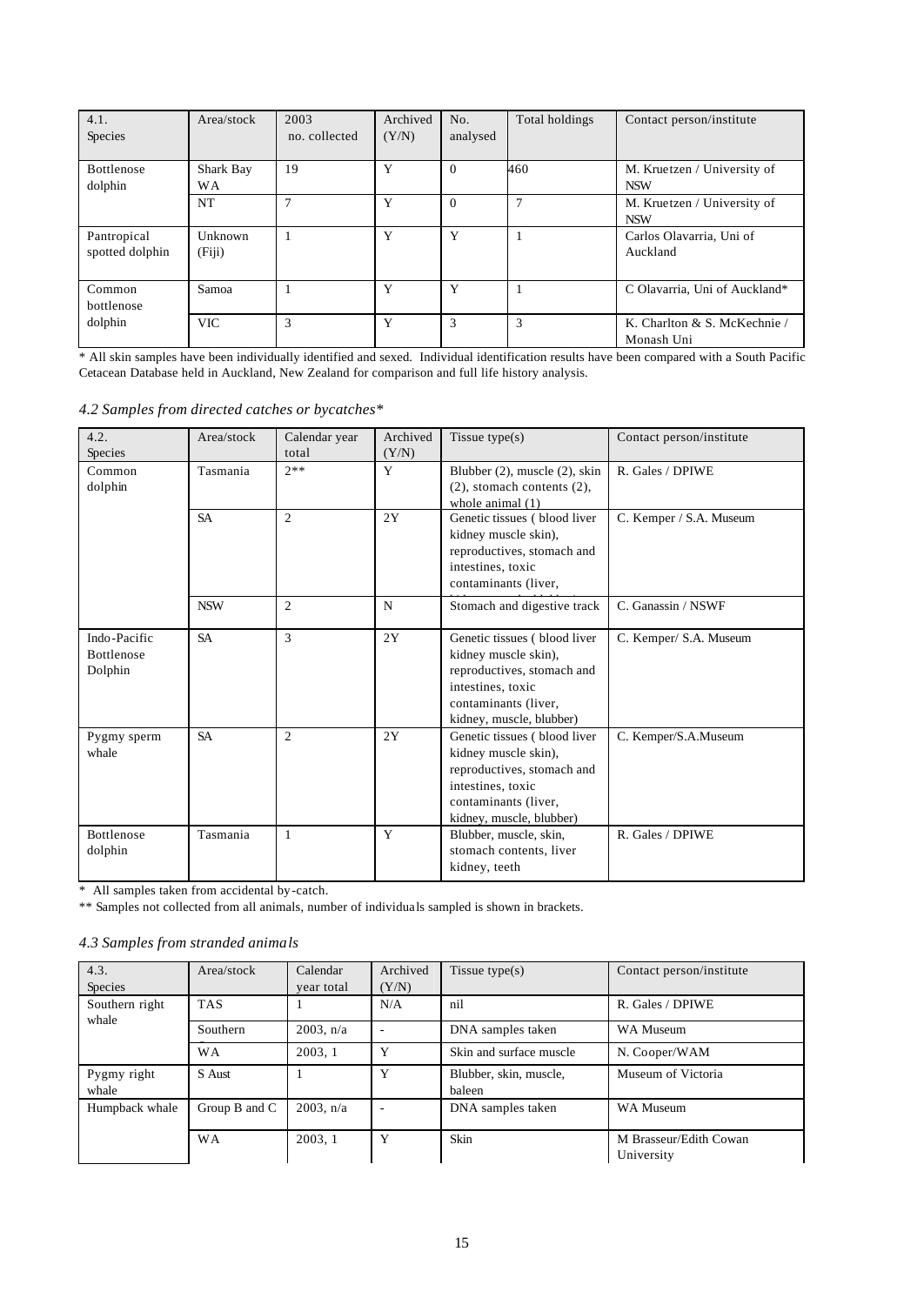| 4.1.<br>Species                | Area/stock             | 2003<br>no. collected | Archived<br>(Y/N) | No.<br>analysed | Total holdings | Contact person/institute                   |
|--------------------------------|------------------------|-----------------------|-------------------|-----------------|----------------|--------------------------------------------|
| Bottlenose<br>dolphin          | Shark Bay<br><b>WA</b> | 19                    | Y                 | $\theta$        | 460            | M. Kruetzen / University of<br><b>NSW</b>  |
|                                | <b>NT</b>              | $\overline{7}$        | Y                 | $\theta$        | 7              | M. Kruetzen / University of<br><b>NSW</b>  |
| Pantropical<br>spotted dolphin | Unknown<br>(Fiji)      |                       | Y                 | Y               |                | Carlos Olavarria, Uni of<br>Auckland       |
| Common<br>bottlenose           | Samoa                  |                       | Y                 | Y               |                | C Olavarria, Uni of Auckland*              |
| dolphin                        | <b>VIC</b>             | 3                     | Y                 | 3               | 3              | K. Charlton & S. McKechnie /<br>Monash Uni |

\* All skin samples have been individually identified and sexed. Individual identification results have been compared with a South Pacific Cetacean Database held in Auckland, New Zealand for comparison and full life history analysis.

|  |  |  |  |  |  | 4.2 Samples from directed catches or bycatches* |
|--|--|--|--|--|--|-------------------------------------------------|
|--|--|--|--|--|--|-------------------------------------------------|

| 4.2.<br>Species                              | Area/stock | Calendar year<br>total | Archived<br>(Y/N) | Tissue $type(s)$                                                                                                                                            | Contact person/institute |
|----------------------------------------------|------------|------------------------|-------------------|-------------------------------------------------------------------------------------------------------------------------------------------------------------|--------------------------|
| Common<br>dolphin                            | Tasmania   | $7**$                  | Y                 | Blubber (2), muscle (2), skin<br>$(2)$ , stomach contents $(2)$ ,<br>whole animal $(1)$                                                                     | R. Gales / DPIWE         |
|                                              | <b>SA</b>  | $\overline{2}$         | 2Y                | Genetic tissues (blood liver<br>kidney muscle skin),<br>reproductives, stomach and<br>intestines, toxic<br>contaminants (liver,                             | C. Kemper / S.A. Museum  |
|                                              | <b>NSW</b> | $\overline{2}$         | N                 | Stomach and digestive track                                                                                                                                 | C. Ganassin / NSWF       |
| Indo-Pacific<br><b>Bottlenose</b><br>Dolphin | <b>SA</b>  | 3                      | 2Y                | Genetic tissues (blood liver<br>kidney muscle skin),<br>reproductives, stomach and<br>intestines, toxic<br>contaminants (liver,<br>kidney, muscle, blubber) | C. Kemper/ S.A. Museum   |
| Pygmy sperm<br>whale                         | <b>SA</b>  | $\overline{2}$         | 2Y                | Genetic tissues (blood liver<br>kidney muscle skin),<br>reproductives, stomach and<br>intestines, toxic<br>contaminants (liver,<br>kidney, muscle, blubber) | C. Kemper/S.A.Museum     |
| Bottlenose<br>dolphin                        | Tasmania   | $\mathbf{1}$           | Y                 | Blubber, muscle, skin,<br>stomach contents, liver<br>kidney, teeth                                                                                          | R. Gales / DPIWE         |

\* All samples taken from accidental by-catch.

\*\* Samples not collected from all animals, number of individuals sampled is shown in brackets.

# *4.3 Samples from stranded animals*

| 4.3.<br>Species      | Area/stock    | Calendar<br>year total | Archived<br>(Y/N) | Tissue type $(s)$                | Contact person/institute             |
|----------------------|---------------|------------------------|-------------------|----------------------------------|--------------------------------------|
| Southern right       | <b>TAS</b>    |                        | N/A               | nil                              | R. Gales / DPIWE                     |
| whale                | Southern      | $2003$ , n/a           |                   | DNA samples taken                | <b>WA Museum</b>                     |
|                      | <b>WA</b>     | 2003.1                 | Y                 | Skin and surface muscle          | N. Cooper/WAM                        |
| Pygmy right<br>whale | S Aust        |                        | Y                 | Blubber, skin, muscle,<br>baleen | Museum of Victoria                   |
| Humpback whale       | Group B and C | $2003$ , n/a           |                   | DNA samples taken                | <b>WA Museum</b>                     |
|                      | <b>WA</b>     | 2003, 1                | Y                 | Skin                             | M Brasseur/Edith Cowan<br>University |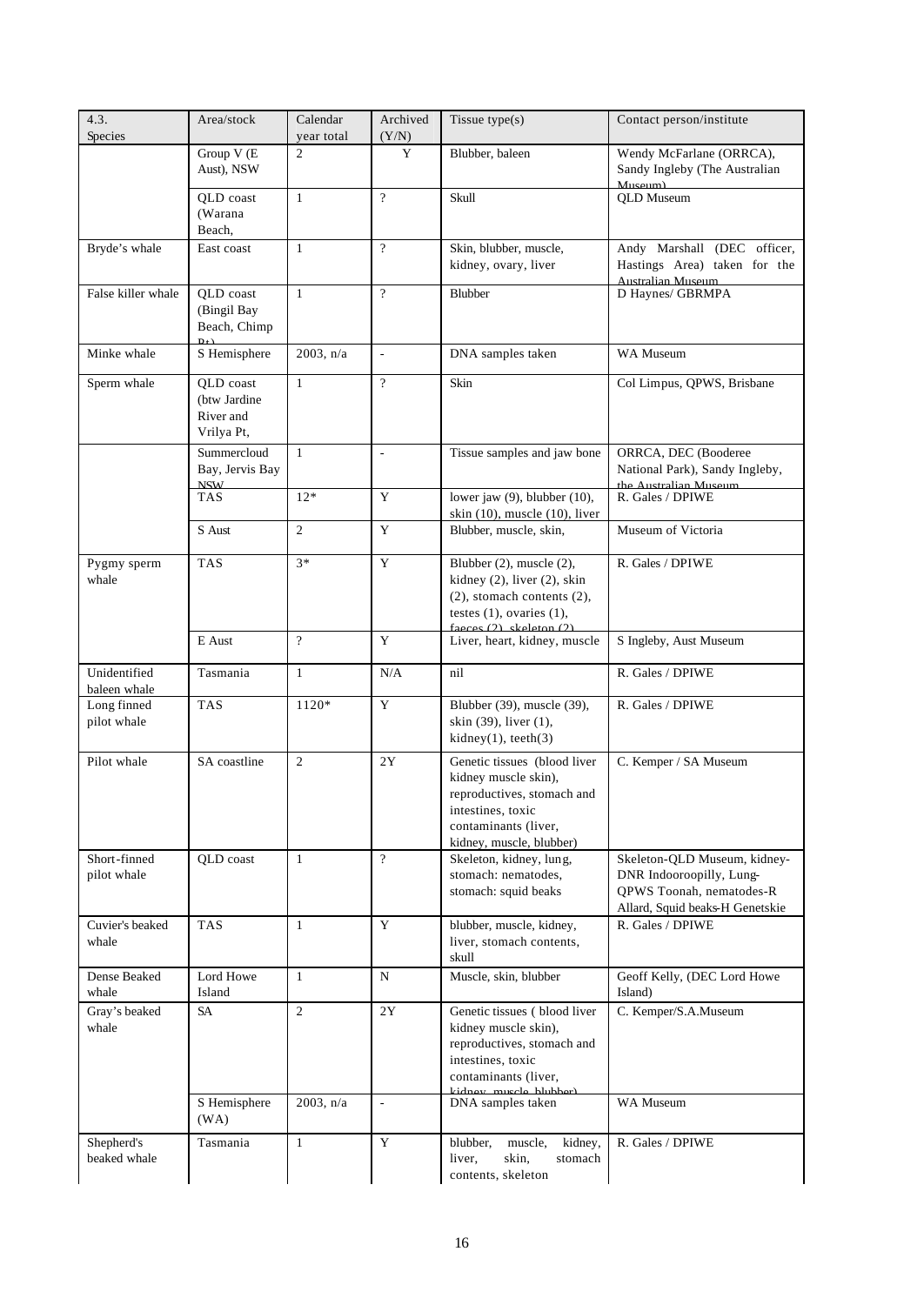| 4.3.<br>Species              | Area/stock                                           | Calendar<br>year total | Archived<br>(Y/N)        | Tissue type $(s)$                                                                                                                                                  | Contact person/institute                                                                                                |  |
|------------------------------|------------------------------------------------------|------------------------|--------------------------|--------------------------------------------------------------------------------------------------------------------------------------------------------------------|-------------------------------------------------------------------------------------------------------------------------|--|
|                              | Group V (E<br>Aust), NSW                             | $\overline{2}$         | Y                        | Blubber, baleen                                                                                                                                                    | Wendy McFarlane (ORRCA),<br>Sandy Ingleby (The Australian<br>Museum)                                                    |  |
|                              | QLD coast<br>(Warana<br>Beach,                       | $\mathbf{1}$           | $\overline{?}$           | Skull                                                                                                                                                              | <b>QLD</b> Museum                                                                                                       |  |
| Bryde's whale                | East coast                                           | $\mathbf{1}$           | $\overline{?}$           | Skin, blubber, muscle,<br>kidney, ovary, liver                                                                                                                     | Andy Marshall (DEC officer,<br>Hastings Area) taken for the<br><b>Australian Museum</b>                                 |  |
| False killer whale           | QLD coast<br>(Bingil Bay<br>Beach, Chimp             | $\mathbf{1}$           | $\gamma$                 | Blubber                                                                                                                                                            | D Haynes/ GBRMPA                                                                                                        |  |
| Minke whale                  | S Hemisphere                                         | $2003$ , n/a           | $\overline{\phantom{a}}$ | DNA samples taken                                                                                                                                                  | WA Museum                                                                                                               |  |
| Sperm whale                  | QLD coast<br>(btw Jardine<br>River and<br>Vrilya Pt, | $\mathbf{1}$           | $\overline{?}$           | Skin                                                                                                                                                               | Col Limpus, QPWS, Brisbane                                                                                              |  |
|                              | Summercloud<br>Bay, Jervis Bay<br><b>NISW</b>        | $\mathbf{1}$           | $\overline{a}$           | Tissue samples and jaw bone                                                                                                                                        | ORRCA, DEC (Booderee<br>National Park), Sandy Ingleby,<br>the Australian Museum                                         |  |
|                              | <b>TAS</b>                                           | $12*$                  | Y                        | lower jaw (9), blubber (10),<br>skin $(10)$ , muscle $(10)$ , liver                                                                                                | R. Gales / DPIWE                                                                                                        |  |
|                              | S Aust                                               | 2                      | Y                        | Blubber, muscle, skin,                                                                                                                                             | Museum of Victoria                                                                                                      |  |
| Pygmy sperm<br>whale         | <b>TAS</b>                                           | $3*$                   | $\mathbf Y$              | Blubber (2), muscle (2),<br>kidney $(2)$ , liver $(2)$ , skin<br>$(2)$ , stomach contents $(2)$ ,<br>testes $(1)$ , ovaries $(1)$ ,<br>faeces $(2)$ skeleton $(2)$ | R. Gales / DPIWE                                                                                                        |  |
|                              | E Aust                                               | $\overline{?}$         | Y                        | Liver, heart, kidney, muscle                                                                                                                                       | S Ingleby, Aust Museum                                                                                                  |  |
| Unidentified<br>baleen whale | Tasmania                                             | $\mathbf{1}$           | N/A                      | nil                                                                                                                                                                | R. Gales / DPIWE                                                                                                        |  |
| Long finned<br>pilot whale   | <b>TAS</b>                                           | 1120*                  | Y                        | Blubber (39), muscle (39),<br>skin (39), liver (1),<br>$kidney(1)$ , teeth $(3)$                                                                                   | R. Gales / DPIWE                                                                                                        |  |
| Pilot whale                  | SA coastline                                         | 2                      | 2Y                       | Genetic tissues (blood liver<br>kidney muscle skin),<br>reproductives, stomach and<br>intestines, toxic<br>contaminants (liver,<br>kidney, muscle, blubber)        | C. Kemper / SA Museum                                                                                                   |  |
| Short-finned<br>pilot whale  | QLD coast                                            | $\mathbf{1}$           | $\gamma$                 | Skeleton, kidney, lung,<br>stomach: nematodes,<br>stomach: squid beaks                                                                                             | Skeleton-QLD Museum, kidney-<br>DNR Indooroopilly, Lung-<br>QPWS Toonah, nematodes-R<br>Allard, Squid beaks-H Genetskie |  |
| Cuvier's beaked<br>whale     | <b>TAS</b>                                           | $\mathbf{1}$           | Y                        | blubber, muscle, kidney,<br>liver, stomach contents,<br>skull                                                                                                      | R. Gales / DPIWE                                                                                                        |  |
| Dense Beaked<br>whale        | Lord Howe<br>Island                                  | 1                      | N                        | Muscle, skin, blubber                                                                                                                                              | Geoff Kelly, (DEC Lord Howe<br>Island)                                                                                  |  |
| Gray's beaked<br>whale       | <b>SA</b>                                            | 2                      | 2Y                       | Genetic tissues (blood liver<br>kidney muscle skin),<br>reproductives, stomach and<br>intestines, toxic<br>contaminants (liver,                                    | C. Kemper/S.A.Museum                                                                                                    |  |
|                              | S Hemisphere<br>(WA)                                 | $2003$ , n/a           | $\bar{\phantom{a}}$      | DNA samples taken                                                                                                                                                  | WA Museum                                                                                                               |  |
| Shepherd's<br>beaked whale   | Tasmania                                             | $\mathbf{1}$           | Y                        | blubber,<br>muscle,<br>kidney,<br>liver,<br>skin,<br>stomach<br>contents, skeleton                                                                                 | R. Gales / DPIWE                                                                                                        |  |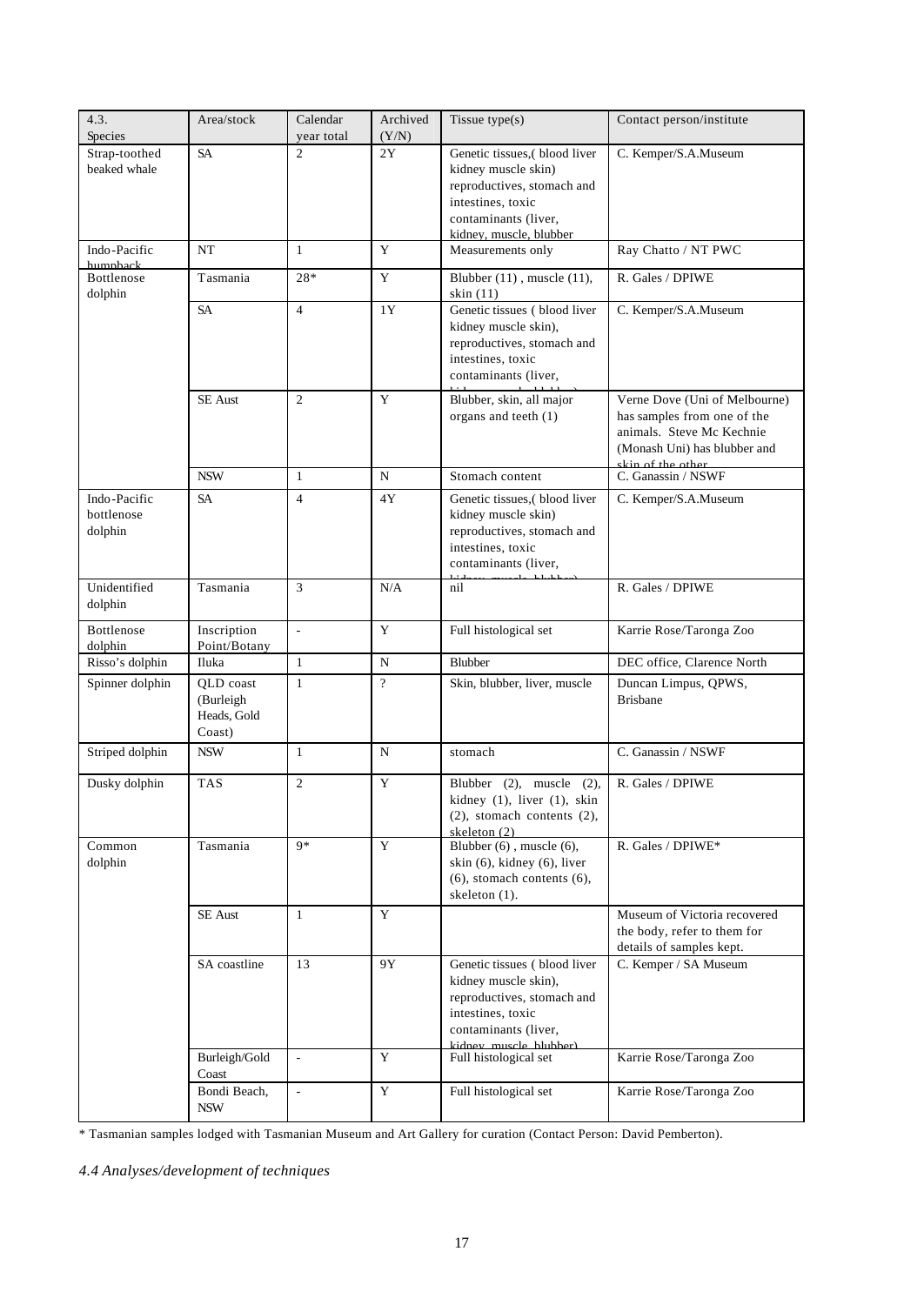| 4.3.<br>Species                       | Area/stock                                      | Calendar<br>year total   | Archived<br>(Y/N) | Tissue $type(s)$                                                                                                                                          | Contact person/institute                                                                                                                       |  |
|---------------------------------------|-------------------------------------------------|--------------------------|-------------------|-----------------------------------------------------------------------------------------------------------------------------------------------------------|------------------------------------------------------------------------------------------------------------------------------------------------|--|
| Strap-toothed<br>beaked whale         | <b>SA</b>                                       | $\overline{2}$           | 2Y                | Genetic tissues,(blood liver<br>kidney muscle skin)<br>reproductives, stomach and<br>intestines, toxic<br>contaminants (liver,<br>kidney, muscle, blubber | C. Kemper/S.A.Museum                                                                                                                           |  |
| Indo-Pacific<br>humphack              | <b>NT</b>                                       | $\mathbf{1}$             | Y                 | Measurements only                                                                                                                                         | Ray Chatto / NT PWC                                                                                                                            |  |
| Bottlenose<br>dolphin                 | Tasmania                                        | 28*                      | Y                 | Blubber (11), muscle (11),<br>skin (11)                                                                                                                   | R. Gales / DPIWE                                                                                                                               |  |
|                                       | <b>SA</b>                                       | $\overline{4}$           | 1Y                | Genetic tissues (blood liver<br>kidney muscle skin),<br>reproductives, stomach and<br>intestines, toxic<br>contaminants (liver,                           | C. Kemper/S.A.Museum                                                                                                                           |  |
|                                       | <b>SE</b> Aust                                  | 2                        | Y                 | Blubber, skin, all major<br>organs and teeth (1)                                                                                                          | Verne Dove (Uni of Melbourne)<br>has samples from one of the<br>animals. Steve Mc Kechnie<br>(Monash Uni) has blubber and<br>skin of the other |  |
|                                       | <b>NSW</b>                                      | 1                        | N                 | Stomach content                                                                                                                                           | C. Ganassin / NSWF                                                                                                                             |  |
| Indo-Pacific<br>bottlenose<br>dolphin | <b>SA</b>                                       | $\overline{4}$           | 4Y                | Genetic tissues,(blood liver<br>kidney muscle skin)<br>reproductives, stomach and<br>intestines, toxic<br>contaminants (liver,                            | C. Kemper/S.A.Museum                                                                                                                           |  |
| Unidentified<br>dolphin               | Tasmania                                        | $\overline{3}$           | N/A               | nil                                                                                                                                                       | R. Gales / DPIWE                                                                                                                               |  |
| Bottlenose<br>dolphin                 | Inscription<br>Point/Botany                     | $\Box$                   | Y                 | Full histological set                                                                                                                                     | Karrie Rose/Taronga Zoo                                                                                                                        |  |
| Risso's dolphin                       | Iluka                                           | 1                        | $\mathbf N$       | Blubber                                                                                                                                                   | DEC office, Clarence North                                                                                                                     |  |
| Spinner dolphin                       | QLD coast<br>(Burleigh<br>Heads, Gold<br>Coast) | $\mathbf{1}$             | $\overline{?}$    | Skin, blubber, liver, muscle                                                                                                                              | Duncan Limpus, QPWS,<br><b>Brisbane</b>                                                                                                        |  |
| Striped dolphin                       | <b>NSW</b>                                      | 1                        | N                 | stomach                                                                                                                                                   | C. Ganassin / NSWF                                                                                                                             |  |
| Dusky dolphin                         | <b>TAS</b>                                      | $\overline{2}$           | Y                 | Blubber $(2)$ , muscle $(2)$ ,<br>kidney (1), liver (1), skin<br>$(2)$ , stomach contents $(2)$ ,<br>skeleton (2)                                         | R. Gales / DPIWE                                                                                                                               |  |
| Common<br>dolphin                     | Tasmania                                        | $9*$                     | Y                 | Blubber (6), muscle (6),<br>skin (6), kidney (6), liver<br>$(6)$ , stomach contents $(6)$ ,<br>skeleton (1).                                              | R. Gales / DPIWE*                                                                                                                              |  |
|                                       | <b>SE</b> Aust                                  | $\mathbf{1}$             | Y                 |                                                                                                                                                           | Museum of Victoria recovered<br>the body, refer to them for<br>details of samples kept.                                                        |  |
|                                       | SA coastline                                    | 13                       | 9Y                | Genetic tissues (blood liver<br>kidney muscle skin),<br>reproductives, stomach and<br>intestines, toxic<br>contaminants (liver,<br>kidney muscle blubber) | C. Kemper / SA Museum                                                                                                                          |  |
|                                       | Burleigh/Gold<br>Coast                          | $\Box$                   | Y                 | Full histological set                                                                                                                                     | Karrie Rose/Taronga Zoo                                                                                                                        |  |
|                                       | Bondi Beach,<br><b>NSW</b>                      | $\overline{\phantom{a}}$ | $\mathbf Y$       | Full histological set                                                                                                                                     | Karrie Rose/Taronga Zoo                                                                                                                        |  |

\* Tasmanian samples lodged with Tasmanian Museum and Art Gallery for curation (Contact Person: David Pemberton).

*4.4 Analyses/development of techniques*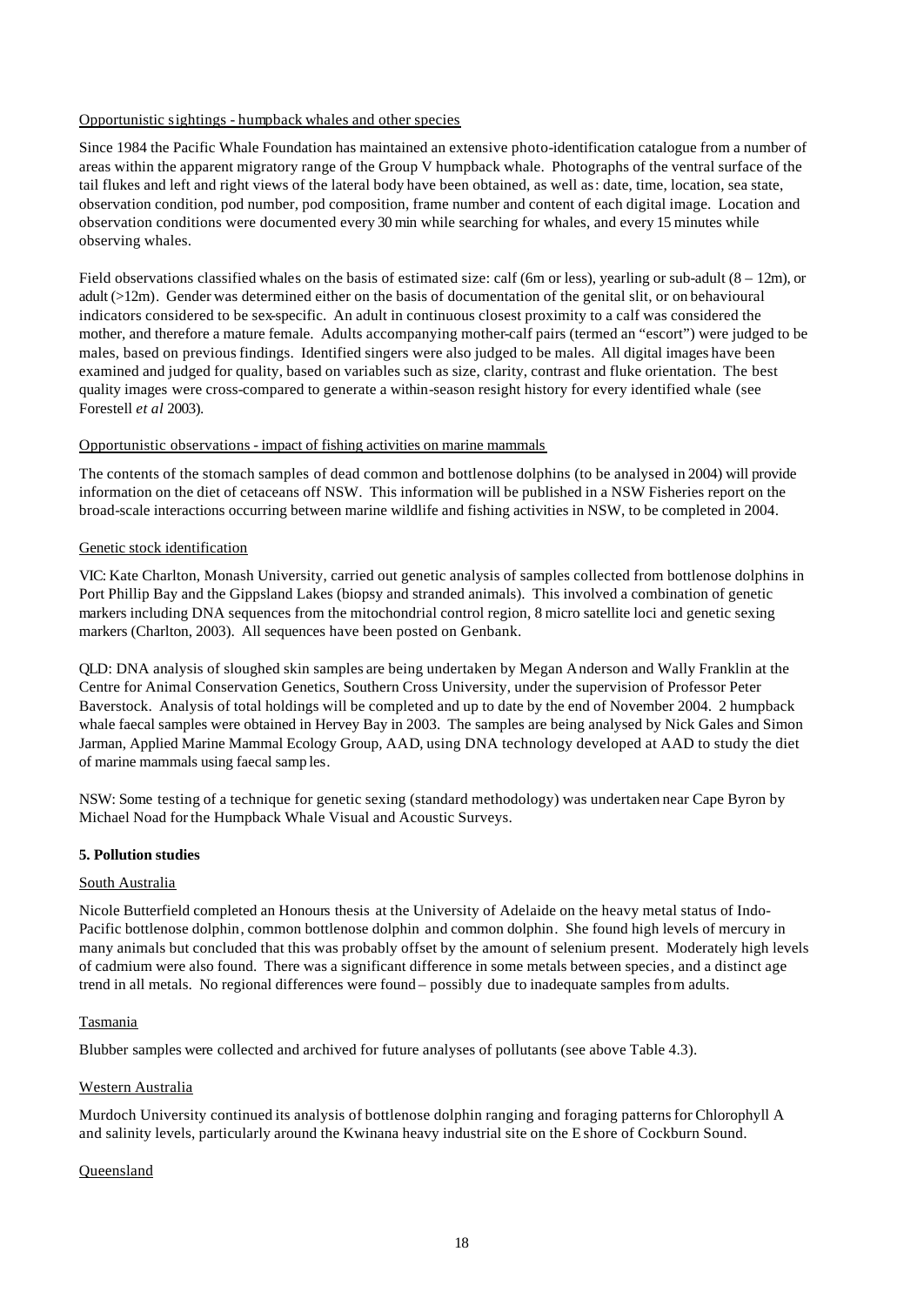#### Opportunistic sightings - humpback whales and other species

Since 1984 the Pacific Whale Foundation has maintained an extensive photo-identification catalogue from a number of areas within the apparent migratory range of the Group V humpback whale. Photographs of the ventral surface of the tail flukes and left and right views of the lateral body have been obtained, as well as: date, time, location, sea state, observation condition, pod number, pod composition, frame number and content of each digital image. Location and observation conditions were documented every 30 min while searching for whales, and every 15 minutes while observing whales.

Field observations classified whales on the basis of estimated size: calf (6m or less), yearling or sub-adult  $(8 - 12m)$ , or adult (>12m). Gender was determined either on the basis of documentation of the genital slit, or on behavioural indicators considered to be sex-specific. An adult in continuous closest proximity to a calf was considered the mother, and therefore a mature female. Adults accompanying mother-calf pairs (termed an "escort") were judged to be males, based on previous findings. Identified singers were also judged to be males. All digital images have been examined and judged for quality, based on variables such as size, clarity, contrast and fluke orientation. The best quality images were cross-compared to generate a within-season resight history for every identified whale (see Forestell *et al* 2003).

#### Opportunistic observations - impact of fishing activities on marine mammals

The contents of the stomach samples of dead common and bottlenose dolphins (to be analysed in 2004) will provide information on the diet of cetaceans off NSW. This information will be published in a NSW Fisheries report on the broad-scale interactions occurring between marine wildlife and fishing activities in NSW, to be completed in 2004.

#### Genetic stock identification

VIC: Kate Charlton, Monash University, carried out genetic analysis of samples collected from bottlenose dolphins in Port Phillip Bay and the Gippsland Lakes (biopsy and stranded animals). This involved a combination of genetic markers including DNA sequences from the mitochondrial control region, 8 micro satellite loci and genetic sexing markers (Charlton, 2003). All sequences have been posted on Genbank.

QLD: DNA analysis of sloughed skin samples are being undertaken by Megan Anderson and Wally Franklin at the Centre for Animal Conservation Genetics, Southern Cross University, under the supervision of Professor Peter Baverstock. Analysis of total holdings will be completed and up to date by the end of November 2004. 2 humpback whale faecal samples were obtained in Hervey Bay in 2003. The samples are being analysed by Nick Gales and Simon Jarman, Applied Marine Mammal Ecology Group, AAD, using DNA technology developed at AAD to study the diet of marine mammals using faecal samp les.

NSW: Some testing of a technique for genetic sexing (standard methodology) was undertaken near Cape Byron by Michael Noad for the Humpback Whale Visual and Acoustic Surveys.

#### **5. Pollution studies**

#### South Australia

Nicole Butterfield completed an Honours thesis at the University of Adelaide on the heavy metal status of Indo-Pacific bottlenose dolphin, common bottlenose dolphin and common dolphin. She found high levels of mercury in many animals but concluded that this was probably offset by the amount of selenium present. Moderately high levels of cadmium were also found. There was a significant difference in some metals between species, and a distinct age trend in all metals. No regional differences were found – possibly due to inadequate samples from adults.

## Tasmania

Blubber samples were collected and archived for future analyses of pollutants (see above Table 4.3).

#### Western Australia

Murdoch University continued its analysis of bottlenose dolphin ranging and foraging patterns for Chlorophyll A and salinity levels, particularly around the Kwinana heavy industrial site on the E shore of Cockburn Sound.

#### Queensland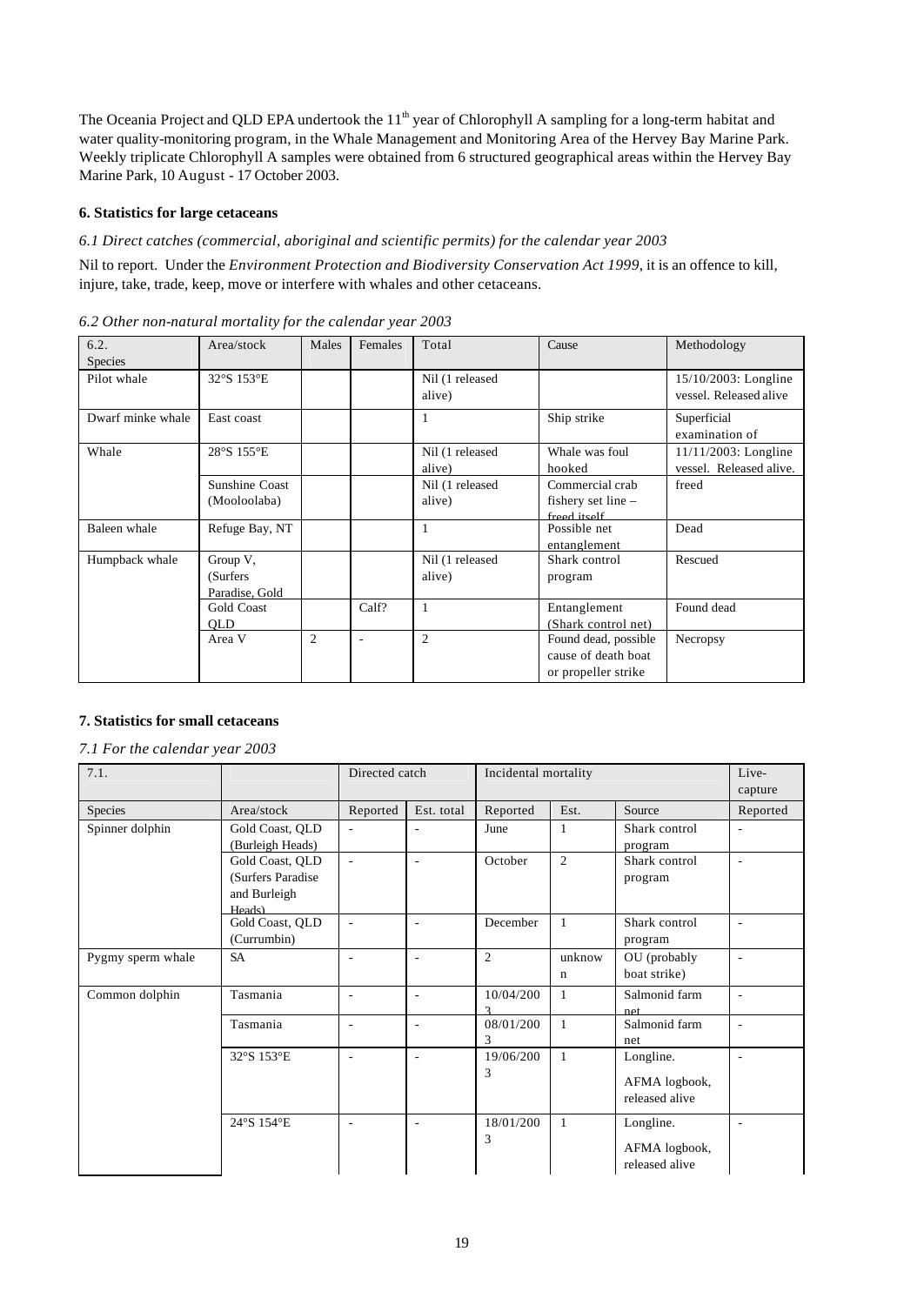The Oceania Project and QLD EPA undertook the 11<sup>th</sup> year of Chlorophyll A sampling for a long-term habitat and water quality-monitoring program, in the Whale Management and Monitoring Area of the Hervey Bay Marine Park. Weekly triplicate Chlorophyll A samples were obtained from 6 structured geographical areas within the Hervey Bay Marine Park, 10 August - 17 October 2003.

# **6. Statistics for large cetaceans**

# *6.1 Direct catches (commercial, aboriginal and scientific permits) for the calendar year 2003*

Nil to report. Under the *Environment Protection and Biodiversity Conservation Act 1999*, it is an offence to kill, injure, take, trade, keep, move or interfere with whales and other cetaceans.

| 6.2.              | Area/stock     | Males | Females | Total           | Cause                | Methodology             |
|-------------------|----------------|-------|---------|-----------------|----------------------|-------------------------|
| <b>Species</b>    |                |       |         |                 |                      |                         |
| Pilot whale       | 32°S 153°E     |       |         | Nil (1 released |                      | 15/10/2003: Longline    |
|                   |                |       |         | alive)          |                      | vessel. Released alive  |
| Dwarf minke whale | East coast     |       |         |                 | Ship strike          | Superficial             |
|                   |                |       |         |                 |                      | examination of          |
| Whale             | 28°S 155°E     |       |         | Nil (1 released | Whale was foul       | 11/11/2003: Longline    |
|                   |                |       |         | alive)          | hooked               | vessel. Released alive. |
|                   | Sunshine Coast |       |         | Nil (1 released | Commercial crab      | freed                   |
|                   | (Mooloolaba)   |       |         | alive)          | fishery set line $-$ |                         |
|                   |                |       |         |                 | freed itself         |                         |
| Baleen whale      | Refuge Bay, NT |       |         |                 | Possible net         | Dead                    |
|                   |                |       |         |                 | entanglement         |                         |
| Humpback whale    | Group V,       |       |         | Nil (1 released | Shark control        | Rescued                 |
|                   | (Surfers)      |       |         | alive)          | program              |                         |
|                   | Paradise, Gold |       |         |                 |                      |                         |
|                   | Gold Coast     |       | Calf?   |                 | Entanglement         | Found dead              |
|                   | QLIQ           |       |         |                 | (Shark control net)  |                         |
|                   | Area V         | 2     | ÷       | 2               | Found dead, possible | Necropsy                |
|                   |                |       |         |                 | cause of death boat  |                         |
|                   |                |       |         |                 | or propeller strike  |                         |

*6.2 Other non-natural mortality for the calendar year 2003*

## **7. Statistics for small cetaceans**

## *7.1 For the calendar year 2003*

| 7.1.              |                                                                | Directed catch           |                          | Incidental mortality |                       |                                              | Live-<br>capture         |
|-------------------|----------------------------------------------------------------|--------------------------|--------------------------|----------------------|-----------------------|----------------------------------------------|--------------------------|
| Species           | Area/stock                                                     | Reported                 | Est. total               | Reported             | Est.                  | Source                                       | Reported                 |
| Spinner dolphin   | Gold Coast, QLD<br>(Burleigh Heads)                            | $\overline{\phantom{a}}$ | $\overline{\phantom{a}}$ | June                 | 1                     | Shark control<br>program                     | $\overline{\phantom{a}}$ |
|                   | Gold Coast, QLD<br>(Surfers Paradise<br>and Burleigh<br>Heads) |                          | $\sim$                   | October              | $\overline{2}$        | Shark control<br>program                     |                          |
|                   | Gold Coast, QLD<br>(Currumbin)                                 | $\overline{\phantom{a}}$ | $\sim$                   | December             | $\mathbf{1}$          | Shark control<br>program                     | $\overline{\phantom{a}}$ |
| Pygmy sperm whale | <b>SA</b>                                                      |                          |                          | $\overline{2}$       | unknow<br>$\mathbf n$ | OU (probably<br>boat strike)                 |                          |
| Common dolphin    | Tasmania                                                       | $\overline{\phantom{a}}$ | $\sim$                   | 10/04/200            | $\mathbf{1}$          | Salmonid farm<br>net                         | ۰                        |
|                   | Tasmania                                                       | $\overline{\phantom{a}}$ | $\sim$                   | 08/01/200<br>3       | $\mathbf{1}$          | Salmonid farm<br>net                         | ٠                        |
|                   | 32°S 153°E                                                     | $\overline{a}$           | $\sim$                   | 19/06/200<br>3       | $\mathbf{1}$          | Longline.<br>AFMA logbook,<br>released alive |                          |
|                   | 24°S 154°E                                                     | $\overline{a}$           | $\sim$                   | 18/01/200<br>3       | $\mathbf{1}$          | Longline.<br>AFMA logbook,<br>released alive |                          |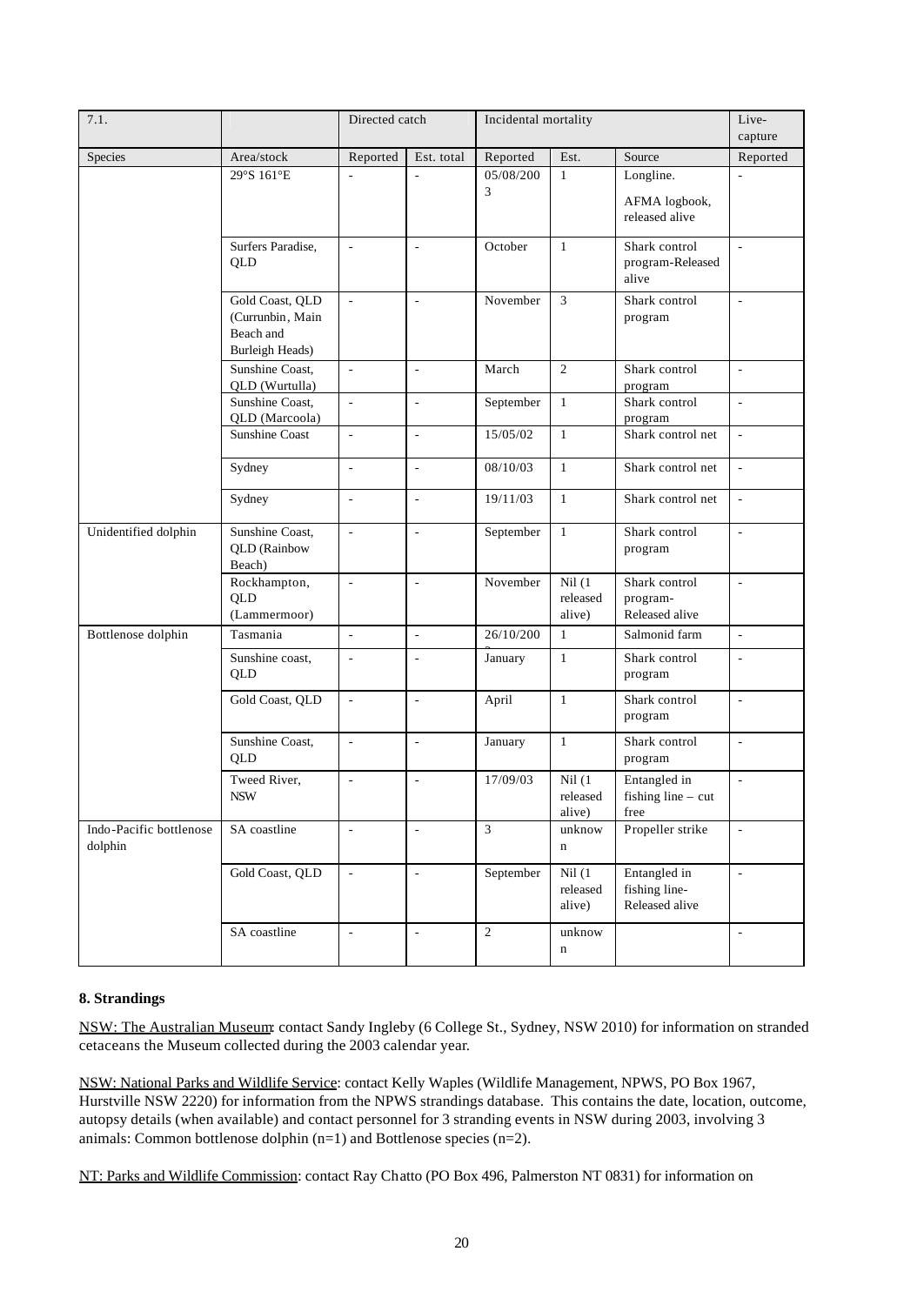| 7.1.                               |                                                                            | Directed catch<br>Incidental mortality |                              |                | Live-<br>capture              |                                                 |                          |
|------------------------------------|----------------------------------------------------------------------------|----------------------------------------|------------------------------|----------------|-------------------------------|-------------------------------------------------|--------------------------|
| Species                            | Area/stock                                                                 | Reported                               | Est. total                   | Reported       | Est.                          | Source                                          | Reported                 |
|                                    | 29°S 161°E                                                                 |                                        |                              | 05/08/200<br>3 | $\mathbf{1}$                  | Longline.<br>AFMA logbook,<br>released alive    | ÷,                       |
|                                    | Surfers Paradise,<br>QLD                                                   | ä,                                     | L,                           | October        | $\mathbf{1}$                  | Shark control<br>program-Released<br>alive      | ÷,                       |
|                                    | Gold Coast, QLD<br>(Currunbin, Main<br>Beach and<br><b>Burleigh Heads)</b> | $\overline{a}$                         | $\overline{a}$               | November       | $\overline{3}$                | Shark control<br>program                        | L.                       |
|                                    | Sunshine Coast,<br>QLD (Wurtulla)                                          | $\Box$                                 | $\overline{\phantom{a}}$     | March          | $\overline{2}$                | Shark control<br>program                        | $\overline{\phantom{a}}$ |
|                                    | Sunshine Coast,<br>QLD (Marcoola)                                          | $\overline{a}$                         | L,                           | September      | $\mathbf{1}$                  | Shark control<br>program                        | L.                       |
|                                    | <b>Sunshine Coast</b>                                                      | $\blacksquare$                         | $\overline{\phantom{a}}$     | 15/05/02       | $\mathbf{1}$                  | Shark control net                               | $\Box$                   |
|                                    | Sydney                                                                     | $\overline{\phantom{a}}$               | L,                           | 08/10/03       | $\mathbf{1}$                  | Shark control net                               | $\overline{\phantom{a}}$ |
|                                    | Sydney                                                                     | $\overline{\phantom{a}}$               | $\frac{1}{2}$                | 19/11/03       | $\mathbf{1}$                  | Shark control net                               | $\overline{\phantom{a}}$ |
| Unidentified dolphin               | Sunshine Coast,<br><b>QLD</b> (Rainbow<br>Beach)                           | $\overline{a}$                         | L,                           | September      | $\mathbf{1}$                  | Shark control<br>program                        | $\overline{\phantom{a}}$ |
|                                    | Rockhampton,<br><b>QLD</b><br>(Lammermoor)                                 | $\overline{\phantom{a}}$               | ÷,                           | November       | Nil(1)<br>released<br>alive)  | Shark control<br>program-<br>Released alive     | $\blacksquare$           |
| Bottlenose dolphin                 | Tasmania                                                                   | $\overline{\phantom{a}}$               | $\overline{\phantom{a}}$     | 26/10/200      | $\mathbf{1}$                  | Salmonid farm                                   | ÷,                       |
|                                    | Sunshine coast,<br>QLD                                                     | $\overline{\phantom{a}}$               | ÷,                           | January        | $\mathbf{1}$                  | Shark control<br>program                        | $\overline{\phantom{a}}$ |
|                                    | Gold Coast, QLD                                                            | $\overline{a}$                         | L,                           | April          | $\mathbf{1}$                  | Shark control<br>program                        | $\overline{\phantom{a}}$ |
|                                    | Sunshine Coast,<br>QLD                                                     | $\overline{\phantom{a}}$               | $\frac{1}{2}$                | January        | $\mathbf{1}$                  | Shark control<br>program                        | $\blacksquare$           |
|                                    | Tweed River,<br><b>NSW</b>                                                 | $\overline{\phantom{a}}$               | $\qquad \qquad \blacksquare$ | 17/09/03       | Nil (1)<br>released<br>alive) | Entangled in<br>fishing line $-$ cut<br>free    | $\blacksquare$           |
| Indo-Pacific bottlenose<br>dolphin | SA coastline                                                               | $\frac{1}{2}$                          | L,                           | $\overline{3}$ | unknow<br>n                   | Propeller strike                                | $\overline{\phantom{a}}$ |
|                                    | Gold Coast, QLD                                                            | $\overline{\phantom{a}}$               | $\overline{\phantom{a}}$     | September      | Nil(1)<br>released<br>alive)  | Entangled in<br>fishing line-<br>Released alive | $\blacksquare$           |
|                                    | SA coastline                                                               | $\overline{a}$                         | $\overline{\phantom{a}}$     | $\sqrt{2}$     | unknow<br>n                   |                                                 | $\overline{\phantom{a}}$ |

## **8. Strandings**

NSW: The Australian Museum: contact Sandy Ingleby (6 College St., Sydney, NSW 2010) for information on stranded cetaceans the Museum collected during the 2003 calendar year.

NSW: National Parks and Wildlife Service: contact Kelly Waples (Wildlife Management, NPWS, PO Box 1967, Hurstville NSW 2220) for information from the NPWS strandings database. This contains the date, location, outcome, autopsy details (when available) and contact personnel for 3 stranding events in NSW during 2003, involving 3 animals: Common bottlenose dolphin (n=1) and Bottlenose species (n=2).

NT: Parks and Wildlife Commission: contact Ray Chatto (PO Box 496, Palmerston NT 0831) for information on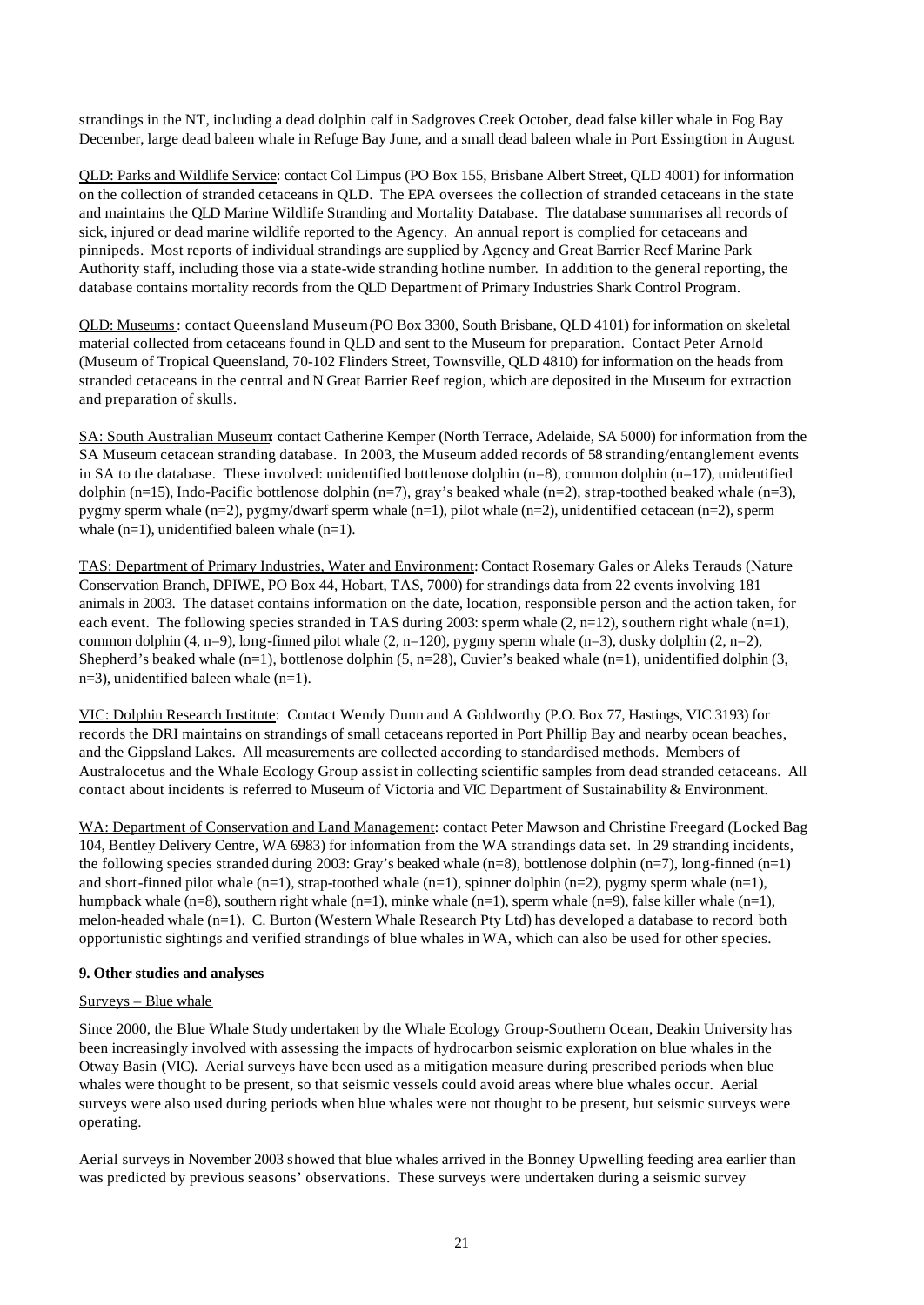strandings in the NT, including a dead dolphin calf in Sadgroves Creek October, dead false killer whale in Fog Bay December, large dead baleen whale in Refuge Bay June, and a small dead baleen whale in Port Essingtion in August.

QLD: Parks and Wildlife Service: contact Col Limpus (PO Box 155, Brisbane Albert Street, QLD 4001) for information on the collection of stranded cetaceans in QLD. The EPA oversees the collection of stranded cetaceans in the state and maintains the QLD Marine Wildlife Stranding and Mortality Database. The database summarises all records of sick, injured or dead marine wildlife reported to the Agency. An annual report is complied for cetaceans and pinnipeds. Most reports of individual strandings are supplied by Agency and Great Barrier Reef Marine Park Authority staff, including those via a state-wide stranding hotline number. In addition to the general reporting, the database contains mortality records from the QLD Department of Primary Industries Shark Control Program.

QLD: Museums: contact Queensland Museum(PO Box 3300, South Brisbane, QLD 4101) for information on skeletal material collected from cetaceans found in QLD and sent to the Museum for preparation. Contact Peter Arnold (Museum of Tropical Queensland, 70-102 Flinders Street, Townsville, QLD 4810) for information on the heads from stranded cetaceans in the central and N Great Barrier Reef region, which are deposited in the Museum for extraction and preparation of skulls.

SA: South Australian Museum: contact Catherine Kemper (North Terrace, Adelaide, SA 5000) for information from the SA Museum cetacean stranding database. In 2003, the Museum added records of 58 stranding/entanglement events in SA to the database. These involved: unidentified bottlenose dolphin  $(n=8)$ , common dolphin  $(n=17)$ , unidentified dolphin (n=15), Indo-Pacific bottlenose dolphin (n=7), gray's beaked whale (n=2), strap-toothed beaked whale (n=3), pygmy sperm whale (n=2), pygmy/dwarf sperm whale (n=1), pilot whale (n=2), unidentified cetacean (n=2), sperm whale (n=1), unidentified baleen whale (n=1).

TAS: Department of Primary Industries, Water and Environment: Contact Rosemary Gales or Aleks Terauds (Nature Conservation Branch, DPIWE, PO Box 44, Hobart, TAS, 7000) for strandings data from 22 events involving 181 animals in 2003. The dataset contains information on the date, location, responsible person and the action taken, for each event. The following species stranded in TAS during 2003: sperm whale  $(2, n=12)$ , southern right whale  $(n=1)$ , common dolphin (4, n=9), long-finned pilot whale  $(2, n=120)$ , pygmy sperm whale  $(n=3)$ , dusky dolphin  $(2, n=2)$ , Shepherd's beaked whale (n=1), bottlenose dolphin (5, n=28), Cuvier's beaked whale (n=1), unidentified dolphin (3, n=3), unidentified baleen whale (n=1).

VIC: Dolphin Research Institute: Contact Wendy Dunn and A Goldworthy (P.O. Box 77, Hastings, VIC 3193) for records the DRI maintains on strandings of small cetaceans reported in Port Phillip Bay and nearby ocean beaches, and the Gippsland Lakes. All measurements are collected according to standardised methods. Members of Australocetus and the Whale Ecology Group assist in collecting scientific samples from dead stranded cetaceans. All contact about incidents is referred to Museum of Victoria and VIC Department of Sustainability & Environment.

WA: Department of Conservation and Land Management: contact Peter Mawson and Christine Freegard (Locked Bag 104, Bentley Delivery Centre, WA 6983) for information from the WA strandings data set. In 29 stranding incidents, the following species stranded during 2003: Gray's beaked whale  $(n=8)$ , bottlenose dolphin  $(n=7)$ , long-finned  $(n=1)$ and short-finned pilot whale  $(n=1)$ , strap-toothed whale  $(n=1)$ , spinner dolphin  $(n=2)$ , pygmy sperm whale  $(n=1)$ , humpback whale  $(n=8)$ , southern right whale  $(n=1)$ , minke whale  $(n=1)$ , sperm whale  $(n=9)$ , false killer whale  $(n=1)$ , melon-headed whale (n=1). C. Burton (Western Whale Research Pty Ltd) has developed a database to record both opportunistic sightings and verified strandings of blue whales in WA, which can also be used for other species.

# **9. Other studies and analyses**

# Surveys – Blue whale

Since 2000, the Blue Whale Study undertaken by the Whale Ecology Group-Southern Ocean, Deakin University has been increasingly involved with assessing the impacts of hydrocarbon seismic exploration on blue whales in the Otway Basin (VIC). Aerial surveys have been used as a mitigation measure during prescribed periods when blue whales were thought to be present, so that seismic vessels could avoid areas where blue whales occur. Aerial surveys were also used during periods when blue whales were not thought to be present, but seismic surveys were operating.

Aerial surveys in November 2003 showed that blue whales arrived in the Bonney Upwelling feeding area earlier than was predicted by previous seasons' observations. These surveys were undertaken during a seismic survey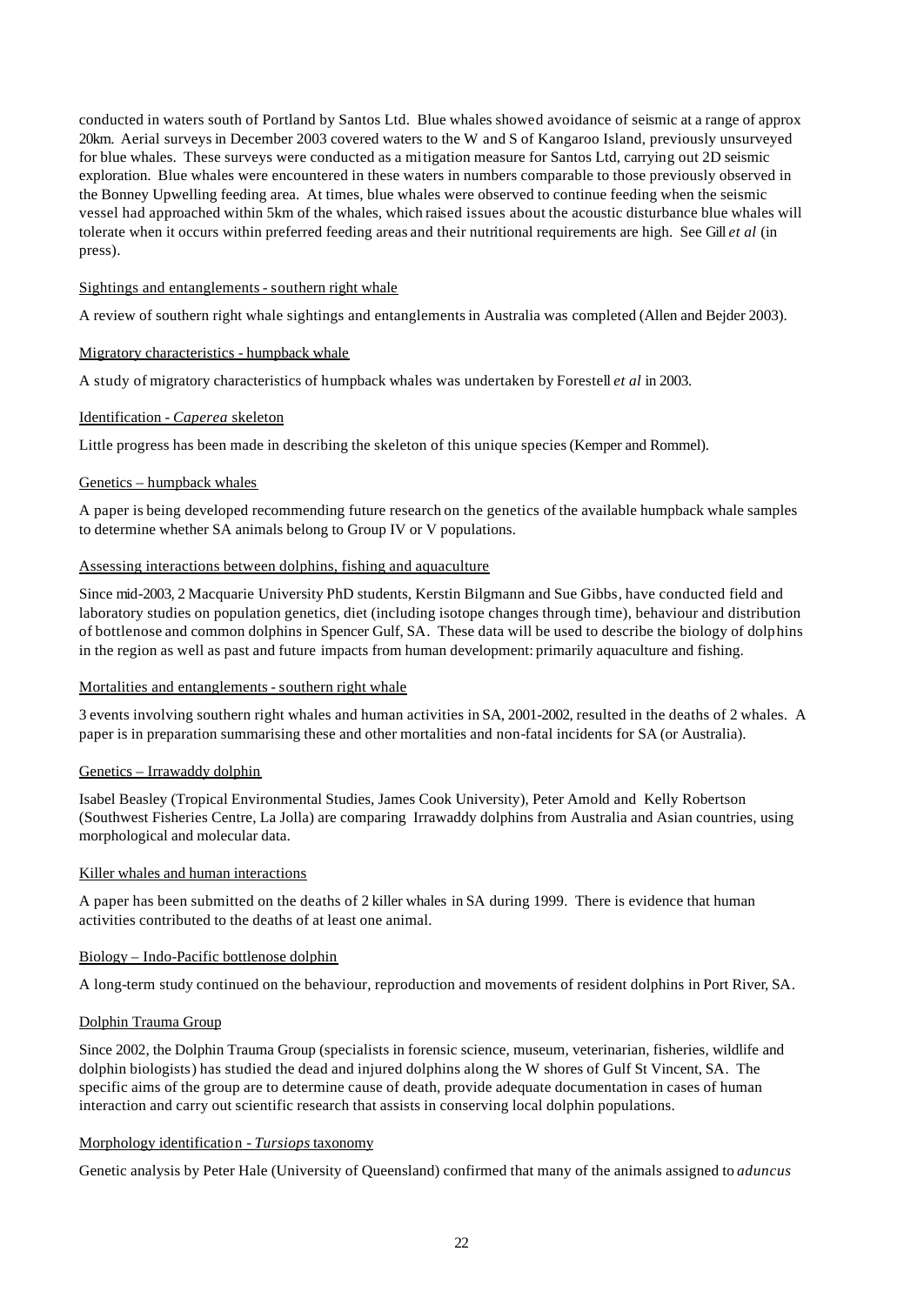conducted in waters south of Portland by Santos Ltd. Blue whales showed avoidance of seismic at a range of approx 20km. Aerial surveys in December 2003 covered waters to the W and S of Kangaroo Island, previously unsurveyed for blue whales. These surveys were conducted as a mitigation measure for Santos Ltd, carrying out 2D seismic exploration. Blue whales were encountered in these waters in numbers comparable to those previously observed in the Bonney Upwelling feeding area. At times, blue whales were observed to continue feeding when the seismic vessel had approached within 5km of the whales, which raised issues about the acoustic disturbance blue whales will tolerate when it occurs within preferred feeding areas and their nutritional requirements are high. See Gill *et al* (in press).

#### Sightings and entanglements - southern right whale

A review of southern right whale sightings and entanglements in Australia was completed (Allen and Bejder 2003).

#### Migratory characteristics - humpback whale

A study of migratory characteristics of humpback whales was undertaken by Forestell *et al* in 2003.

#### Identification *- Caperea* skeleton

Little progress has been made in describing the skeleton of this unique species (Kemper and Rommel).

#### Genetics – humpback whales

A paper is being developed recommending future research on the genetics of the available humpback whale samples to determine whether SA animals belong to Group IV or V populations.

#### Assessing interactions between dolphins, fishing and aquaculture

Since mid-2003, 2 Macquarie University PhD students, Kerstin Bilgmann and Sue Gibbs, have conducted field and laboratory studies on population genetics, diet (including isotope changes through time), behaviour and distribution of bottlenose and common dolphins in Spencer Gulf, SA. These data will be used to describe the biology of dolphins in the region as well as past and future impacts from human development: primarily aquaculture and fishing.

#### Mortalities and entanglements - southern right whale

3 events involving southern right whales and human activities in SA, 2001-2002, resulted in the deaths of 2 whales. A paper is in preparation summarising these and other mortalities and non-fatal incidents for SA (or Australia).

# Genetics – Irrawaddy dolphin

Isabel Beasley (Tropical Environmental Studies, James Cook University), Peter Arnold and Kelly Robertson (Southwest Fisheries Centre, La Jolla) are comparing Irrawaddy dolphins from Australia and Asian countries, using morphological and molecular data.

#### Killer whales and human interactions

A paper has been submitted on the deaths of 2 killer whales in SA during 1999. There is evidence that human activities contributed to the deaths of at least one animal.

# Biology – Indo-Pacific bottlenose dolphin

A long-term study continued on the behaviour, reproduction and movements of resident dolphins in Port River, SA.

## Dolphin Trauma Group

Since 2002, the Dolphin Trauma Group (specialists in forensic science, museum, veterinarian, fisheries, wildlife and dolphin biologists) has studied the dead and injured dolphins along the W shores of Gulf St Vincent, SA. The specific aims of the group are to determine cause of death, provide adequate documentation in cases of human interaction and carry out scientific research that assists in conserving local dolphin populations.

#### Morphology identification *- Tursiops* taxonomy

Genetic analysis by Peter Hale (University of Queensland) confirmed that many of the animals assigned to *aduncus*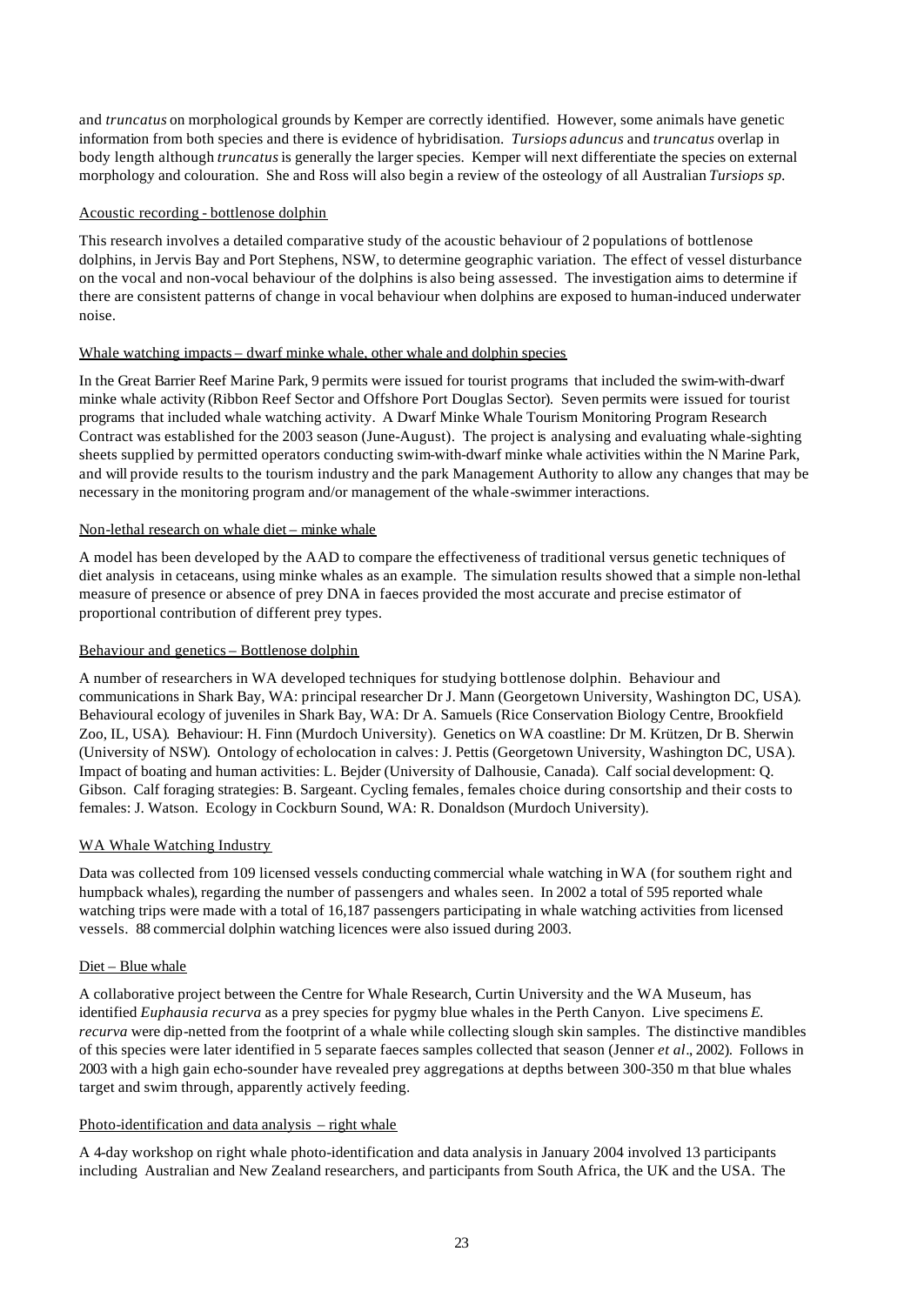and *truncatus* on morphological grounds by Kemper are correctly identified. However, some animals have genetic information from both species and there is evidence of hybridisation. *Tursiops aduncus* and *truncatus* overlap in body length although *truncatus* is generally the larger species. Kemper will next differentiate the species on external morphology and colouration. She and Ross will also begin a review of the osteology of all Australian *Tursiops sp.*

## Acoustic recording - bottlenose dolphin

This research involves a detailed comparative study of the acoustic behaviour of 2 populations of bottlenose dolphins, in Jervis Bay and Port Stephens, NSW, to determine geographic variation. The effect of vessel disturbance on the vocal and non-vocal behaviour of the dolphins is also being assessed. The investigation aims to determine if there are consistent patterns of change in vocal behaviour when dolphins are exposed to human-induced underwater noise.

## Whale watching impacts – dwarf minke whale, other whale and dolphin species

In the Great Barrier Reef Marine Park, 9 permits were issued for tourist programs that included the swim-with-dwarf minke whale activity (Ribbon Reef Sector and Offshore Port Douglas Sector). Seven permits were issued for tourist programs that included whale watching activity. A Dwarf Minke Whale Tourism Monitoring Program Research Contract was established for the 2003 season (June-August). The project is analysing and evaluating whale-sighting sheets supplied by permitted operators conducting swim-with-dwarf minke whale activities within the N Marine Park, and will provide results to the tourism industry and the park Management Authority to allow any changes that may be necessary in the monitoring program and/or management of the whale-swimmer interactions.

## Non-lethal research on whale diet – minke whale

A model has been developed by the AAD to compare the effectiveness of traditional versus genetic techniques of diet analysis in cetaceans, using minke whales as an example. The simulation results showed that a simple non-lethal measure of presence or absence of prey DNA in faeces provided the most accurate and precise estimator of proportional contribution of different prey types.

#### Behaviour and genetics – Bottlenose dolphin

A number of researchers in WA developed techniques for studying bottlenose dolphin. Behaviour and communications in Shark Bay, WA: principal researcher Dr J. Mann (Georgetown University, Washington DC, USA). Behavioural ecology of juveniles in Shark Bay, WA: Dr A. Samuels (Rice Conservation Biology Centre, Brookfield Zoo, IL, USA). Behaviour: H. Finn (Murdoch University). Genetics on WA coastline: Dr M. Krützen, Dr B. Sherwin (University of NSW). Ontology of echolocation in calves: J. Pettis (Georgetown University, Washington DC, USA). Impact of boating and human activities: L. Bejder (University of Dalhousie, Canada). Calf social development: Q. Gibson. Calf foraging strategies: B. Sargeant. Cycling females, females choice during consortship and their costs to females: J. Watson. Ecology in Cockburn Sound, WA: R. Donaldson (Murdoch University).

## WA Whale Watching Industry

Data was collected from 109 licensed vessels conducting commercial whale watching in WA (for southern right and humpback whales), regarding the number of passengers and whales seen. In 2002 a total of 595 reported whale watching trips were made with a total of 16,187 passengers participating in whale watching activities from licensed vessels. 88 commercial dolphin watching licences were also issued during 2003.

## Diet – Blue whale

A collaborative project between the Centre for Whale Research, Curtin University and the WA Museum, has identified *Euphausia recurva* as a prey species for pygmy blue whales in the Perth Canyon. Live specimens *E. recurva* were dip-netted from the footprint of a whale while collecting slough skin samples. The distinctive mandibles of this species were later identified in 5 separate faeces samples collected that season (Jenner *et al*., 2002). Follows in 2003 with a high gain echo-sounder have revealed prey aggregations at depths between 300-350 m that blue whales target and swim through, apparently actively feeding.

## Photo-identification and data analysis – right whale

A 4-day workshop on right whale photo-identification and data analysis in January 2004 involved 13 participants including Australian and New Zealand researchers, and participants from South Africa, the UK and the USA. The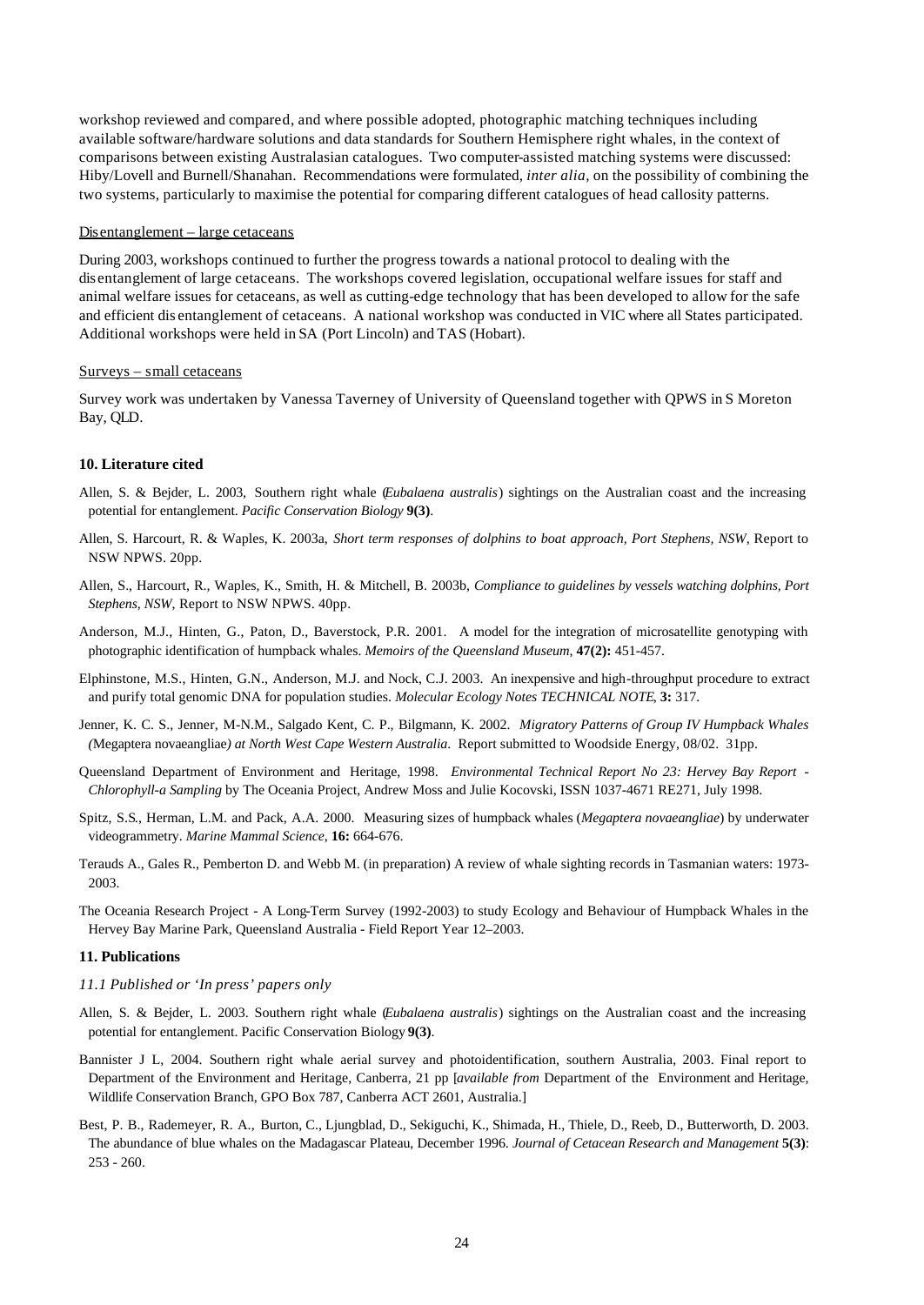workshop reviewed and compared, and where possible adopted, photographic matching techniques including available software/hardware solutions and data standards for Southern Hemisphere right whales, in the context of comparisons between existing Australasian catalogues. Two computer-assisted matching systems were discussed: Hiby/Lovell and Burnell/Shanahan. Recommendations were formulated, *inter alia*, on the possibility of combining the two systems, particularly to maximise the potential for comparing different catalogues of head callosity patterns.

#### Disentanglement – large cetaceans

During 2003, workshops continued to further the progress towards a national protocol to dealing with the dis entanglement of large cetaceans. The workshops covered legislation, occupational welfare issues for staff and animal welfare issues for cetaceans, as well as cutting-edge technology that has been developed to allow for the safe and efficient dis entanglement of cetaceans. A national workshop was conducted in VIC where all States participated. Additional workshops were held in SA (Port Lincoln) and TAS (Hobart).

#### Surveys – small cetaceans

Survey work was undertaken by Vanessa Taverney of University of Queensland together with QPWS in S Moreton Bay, QLD.

#### **10. Literature cited**

- Allen, S. & Bejder, L. 2003, Southern right whale (*Eubalaena australis*) sightings on the Australian coast and the increasing potential for entanglement. *Pacific Conservation Biology* **9(3)**.
- Allen, S. Harcourt, R. & Waples, K. 2003a, *Short term responses of dolphins to boat approach, Port Stephens, NSW*, Report to NSW NPWS. 20pp.
- Allen, S., Harcourt, R., Waples, K., Smith, H. & Mitchell, B. 2003b, *Compliance to guidelines by vessels watching dolphins, Port Stephens, NSW*, Report to NSW NPWS. 40pp.
- Anderson, M.J., Hinten, G., Paton, D., Baverstock, P.R. 2001. A model for the integration of microsatellite genotyping with photographic identification of humpback whales. *Memoirs of the Queensland Museum*, **47(2):** 451-457.
- Elphinstone, M.S., Hinten, G.N., Anderson, M.J. and Nock, C.J. 2003. An inexpensive and high-throughput procedure to extract and purify total genomic DNA for population studies. *Molecular Ecology Notes TECHNICAL NOTE*, **3:** 317.
- Jenner, K. C. S., Jenner, M-N.M., Salgado Kent, C. P., Bilgmann, K. 2002. *Migratory Patterns of Group IV Humpback Whales (*Megaptera novaeangliae*) at North West Cape Western Australia*. Report submitted to Woodside Energy, 08/02. 31pp.
- Queensland Department of Environment and Heritage, 1998. *Environmental Technical Report No 23: Hervey Bay Report - Chlorophyll-a Sampling* by The Oceania Project, Andrew Moss and Julie Kocovski, ISSN 1037-4671 RE271, July 1998.
- Spitz, S.S., Herman, L.M. and Pack, A.A. 2000. Measuring sizes of humpback whales (*Megaptera novaeangliae*) by underwater videogrammetry. *Marine Mammal Science*, **16:** 664-676.
- Terauds A., Gales R., Pemberton D. and Webb M. (in preparation) A review of whale sighting records in Tasmanian waters: 1973- 2003.
- The Oceania Research Project A Long-Term Survey (1992-2003) to study Ecology and Behaviour of Humpback Whales in the Hervey Bay Marine Park, Queensland Australia - Field Report Year 12–2003.

#### **11. Publications**

#### *11.1 Published or 'In press' papers only*

- Allen, S. & Bejder, L. 2003. Southern right whale (*Eubalaena australis*) sightings on the Australian coast and the increasing potential for entanglement. Pacific Conservation Biology **9(3)**.
- Bannister J L, 2004. Southern right whale aerial survey and photoidentification, southern Australia, 2003. Final report to Department of the Environment and Heritage, Canberra, 21 pp [*available from* Department of the Environment and Heritage, Wildlife Conservation Branch, GPO Box 787, Canberra ACT 2601, Australia.]
- Best, P. B., Rademeyer, R. A., Burton, C., Ljungblad, D., Sekiguchi, K., Shimada, H., Thiele, D., Reeb, D., Butterworth, D. 2003. The abundance of blue whales on the Madagascar Plateau, December 1996. *Journal of Cetacean Research and Management* **5(3)**: 253 - 260.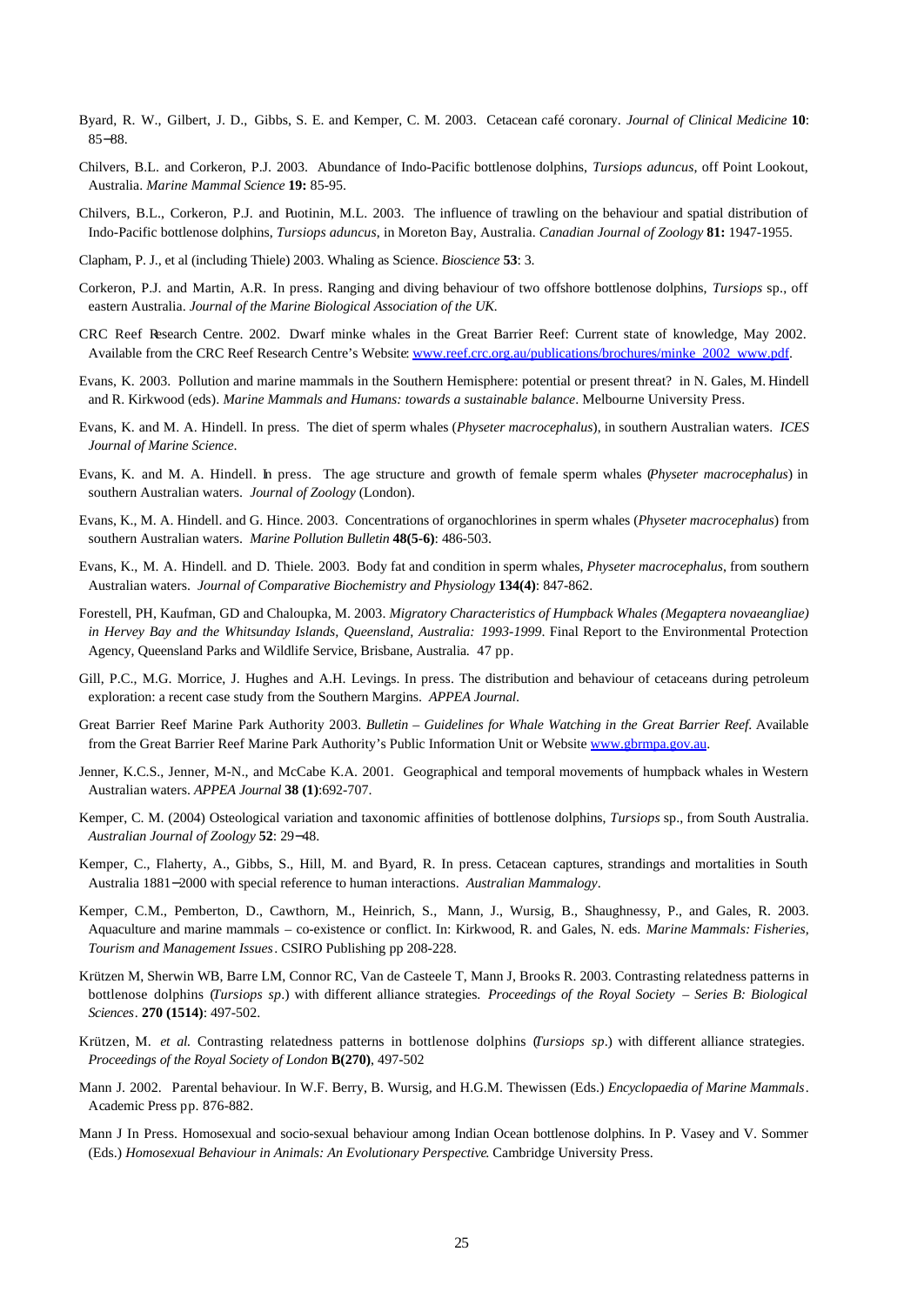- Byard, R. W., Gilbert, J. D., Gibbs, S. E. and Kemper, C. M. 2003. Cetacean café coronary. *Journal of Clinical Medicine* **10**: 85−88.
- Chilvers, B.L. and Corkeron, P.J. 2003. Abundance of Indo-Pacific bottlenose dolphins, *Tursiops aduncus*, off Point Lookout, Australia. *Marine Mammal Science* **19:** 85-95.
- Chilvers, B.L., Corkeron, P.J. and Puotinin, M.L. 2003. The influence of trawling on the behaviour and spatial distribution of Indo-Pacific bottlenose dolphins, *Tursiops aduncus*, in Moreton Bay, Australia. *Canadian Journal of Zoology* **81:** 1947-1955.
- Clapham, P. J., et al (including Thiele) 2003. Whaling as Science. *Bioscience* **53**: 3.
- Corkeron, P.J. and Martin, A.R. In press. Ranging and diving behaviour of two offshore bottlenose dolphins, *Tursiops* sp., off eastern Australia. *Journal of the Marine Biological Association of the UK.*
- CRC Reef Research Centre. 2002. Dwarf minke whales in the Great Barrier Reef: Current state of knowledge, May 2002. Available from the CRC Reef Research Centre's Website: www.reef.crc.org.au/publications/brochures/minke\_2002\_www.pdf.
- Evans, K. 2003. Pollution and marine mammals in the Southern Hemisphere: potential or present threat? in N. Gales, M. Hindell and R. Kirkwood (eds). *Marine Mammals and Humans: towards a sustainable balance*. Melbourne University Press.
- Evans, K. and M. A. Hindell. In press. The diet of sperm whales (*Physeter macrocephalus*), in southern Australian waters. *ICES Journal of Marine Science*.
- Evans, K. and M. A. Hindell. In press. The age structure and growth of female sperm whales (*Physeter macrocephalus*) in southern Australian waters. *Journal of Zoology* (London).
- Evans, K., M. A. Hindell. and G. Hince. 2003. Concentrations of organochlorines in sperm whales (*Physeter macrocephalus*) from southern Australian waters. *Marine Pollution Bulletin* **48(5-6)**: 486-503.
- Evans, K., M. A. Hindell. and D. Thiele. 2003. Body fat and condition in sperm whales, *Physeter macrocephalus*, from southern Australian waters. *Journal of Comparative Biochemistry and Physiology* **134(4)**: 847-862.
- Forestell, PH, Kaufman, GD and Chaloupka, M. 2003. *Migratory Characteristics of Humpback Whales (Megaptera novaeangliae) in Hervey Bay and the Whitsunday Islands, Queensland, Australia: 1993-1999*. Final Report to the Environmental Protection Agency, Queensland Parks and Wildlife Service, Brisbane, Australia. 47 pp.
- Gill, P.C., M.G. Morrice, J. Hughes and A.H. Levings. In press. The distribution and behaviour of cetaceans during petroleum exploration: a recent case study from the Southern Margins. *APPEA Journal*.
- Great Barrier Reef Marine Park Authority 2003. *Bulletin Guidelines for Whale Watching in the Great Barrier Reef*. Available from the Great Barrier Reef Marine Park Authority's Public Information Unit or Website www.gbrmpa.gov.au.
- Jenner, K.C.S., Jenner, M-N., and McCabe K.A. 2001. Geographical and temporal movements of humpback whales in Western Australian waters. *APPEA Journal* **38 (1)**:692-707.
- Kemper, C. M. (2004) Osteological variation and taxonomic affinities of bottlenose dolphins, *Tursiops* sp., from South Australia. *Australian Journal of Zoology* **52**: 29−48.
- Kemper, C., Flaherty, A., Gibbs, S., Hill, M. and Byard, R. In press. Cetacean captures, strandings and mortalities in South Australia 1881−2000 with special reference to human interactions. *Australian Mammalogy*.
- Kemper, C.M., Pemberton, D., Cawthorn, M., Heinrich, S., Mann, J., Wursig, B., Shaughnessy, P., and Gales, R. 2003. Aquaculture and marine mammals – co-existence or conflict. In: Kirkwood, R. and Gales, N. eds. *Marine Mammals: Fisheries, Tourism and Management Issues*. CSIRO Publishing pp 208-228.
- Krützen M, Sherwin WB, Barre LM, Connor RC, Van de Casteele T, Mann J, Brooks R. 2003. Contrasting relatedness patterns in bottlenose dolphins (*Tursiops sp*.) with different alliance strategies. *Proceedings of the Royal Society – Series B: Biological Sciences*. **270 (1514)**: 497-502.
- Krützen, M. *et al.* Contrasting relatedness patterns in bottlenose dolphins (*Tursiops sp*.) with different alliance strategies. *Proceedings of the Royal Society of London* **B(270)**, 497-502
- Mann J. 2002. Parental behaviour. In W.F. Berry, B. Wursig, and H.G.M. Thewissen (Eds.) *Encyclopaedia of Marine Mammals*. Academic Press pp. 876-882.
- Mann J In Press. Homosexual and socio-sexual behaviour among Indian Ocean bottlenose dolphins. In P. Vasey and V. Sommer (Eds.) *Homosexual Behaviour in Animals: An Evolutionary Perspective*. Cambridge University Press.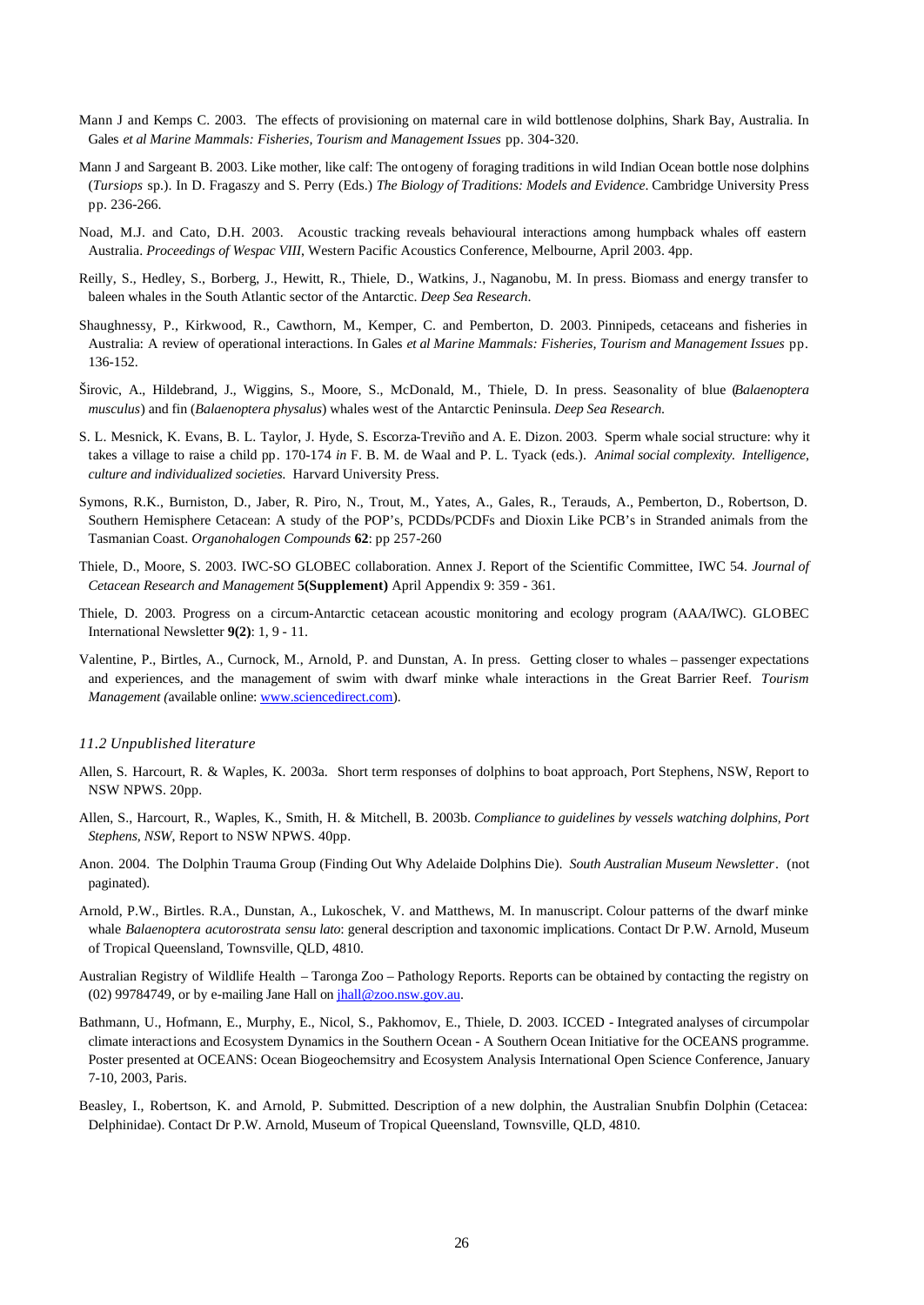- Mann J and Kemps C. 2003. The effects of provisioning on maternal care in wild bottlenose dolphins, Shark Bay, Australia. In Gales *et al Marine Mammals: Fisheries, Tourism and Management Issues* pp. 304-320.
- Mann J and Sargeant B. 2003. Like mother, like calf: The ontogeny of foraging traditions in wild Indian Ocean bottle nose dolphins (*Tursiops* sp.). In D. Fragaszy and S. Perry (Eds.) *The Biology of Traditions: Models and Evidence*. Cambridge University Press pp. 236-266.
- Noad, M.J. and Cato, D.H. 2003. Acoustic tracking reveals behavioural interactions among humpback whales off eastern Australia. *Proceedings of Wespac VIII*, Western Pacific Acoustics Conference, Melbourne, April 2003. 4pp.
- Reilly, S., Hedley, S., Borberg, J., Hewitt, R., Thiele, D., Watkins, J., Naganobu, M. In press. Biomass and energy transfer to baleen whales in the South Atlantic sector of the Antarctic. *Deep Sea Research*.
- Shaughnessy, P., Kirkwood, R., Cawthorn, M., Kemper, C. and Pemberton, D. 2003. Pinnipeds, cetaceans and fisheries in Australia: A review of operational interactions. In Gales *et al Marine Mammals: Fisheries, Tourism and Management Issues* pp. 136-152.
- Širovic, A., Hildebrand, J., Wiggins, S., Moore, S., McDonald, M., Thiele, D. In press. Seasonality of blue (*Balaenoptera musculus*) and fin (*Balaenoptera physalus*) whales west of the Antarctic Peninsula. *Deep Sea Research*.
- S. L. Mesnick, K. Evans, B. L. Taylor, J. Hyde, S. Escorza-Treviño and A. E. Dizon. 2003. Sperm whale social structure: why it takes a village to raise a child pp. 170-174 *in* F. B. M. de Waal and P. L. Tyack (eds.). *Animal social complexity. Intelligence, culture and individualized societies.* Harvard University Press.
- Symons, R.K., Burniston, D., Jaber, R. Piro, N., Trout, M., Yates, A., Gales, R., Terauds, A., Pemberton, D., Robertson, D. Southern Hemisphere Cetacean: A study of the POP's, PCDDs/PCDFs and Dioxin Like PCB's in Stranded animals from the Tasmanian Coast. *Organohalogen Compounds* **62**: pp 257-260
- Thiele, D., Moore, S. 2003. IWC-SO GLOBEC collaboration. Annex J. Report of the Scientific Committee, IWC 54. *Journal of Cetacean Research and Management* **5(Supplement)** April Appendix 9: 359 - 361.
- Thiele, D. 2003. Progress on a circum-Antarctic cetacean acoustic monitoring and ecology program (AAA/IWC). GLOBEC International Newsletter **9(2)**: 1, 9 - 11.
- Valentine, P., Birtles, A., Curnock, M., Arnold, P. and Dunstan, A. In press. Getting closer to whales passenger expectations and experiences, and the management of swim with dwarf minke whale interactions in the Great Barrier Reef. *Tourism Management (available online: www.sciencedirect.com).*

#### *11.2 Unpublished literature*

- Allen, S. Harcourt, R. & Waples, K. 2003a. Short term responses of dolphins to boat approach, Port Stephens, NSW, Report to NSW NPWS. 20pp.
- Allen, S., Harcourt, R., Waples, K., Smith, H. & Mitchell, B. 2003b. *Compliance to guidelines by vessels watching dolphins, Port Stephens, NSW*, Report to NSW NPWS. 40pp.
- Anon. 2004. The Dolphin Trauma Group (Finding Out Why Adelaide Dolphins Die). *South Australian Museum Newsletter*. (not paginated).
- Arnold, P.W., Birtles. R.A., Dunstan, A., Lukoschek, V. and Matthews, M. In manuscript. Colour patterns of the dwarf minke whale *Balaenoptera acutorostrata sensu lato*: general description and taxonomic implications. Contact Dr P.W. Arnold, Museum of Tropical Queensland, Townsville, QLD, 4810.
- Australian Registry of Wildlife Health Taronga Zoo Pathology Reports. Reports can be obtained by contacting the registry on (02) 99784749, or by e-mailing Jane Hall on jhall@zoo.nsw.gov.au.
- Bathmann, U., Hofmann, E., Murphy, E., Nicol, S., Pakhomov, E., Thiele, D. 2003. ICCED Integrated analyses of circumpolar climate interactions and Ecosystem Dynamics in the Southern Ocean - A Southern Ocean Initiative for the OCEANS programme. Poster presented at OCEANS: Ocean Biogeochemsitry and Ecosystem Analysis International Open Science Conference, January 7-10, 2003, Paris.
- Beasley, I., Robertson, K. and Arnold, P. Submitted. Description of a new dolphin, the Australian Snubfin Dolphin (Cetacea: Delphinidae). Contact Dr P.W. Arnold, Museum of Tropical Queensland, Townsville, QLD, 4810.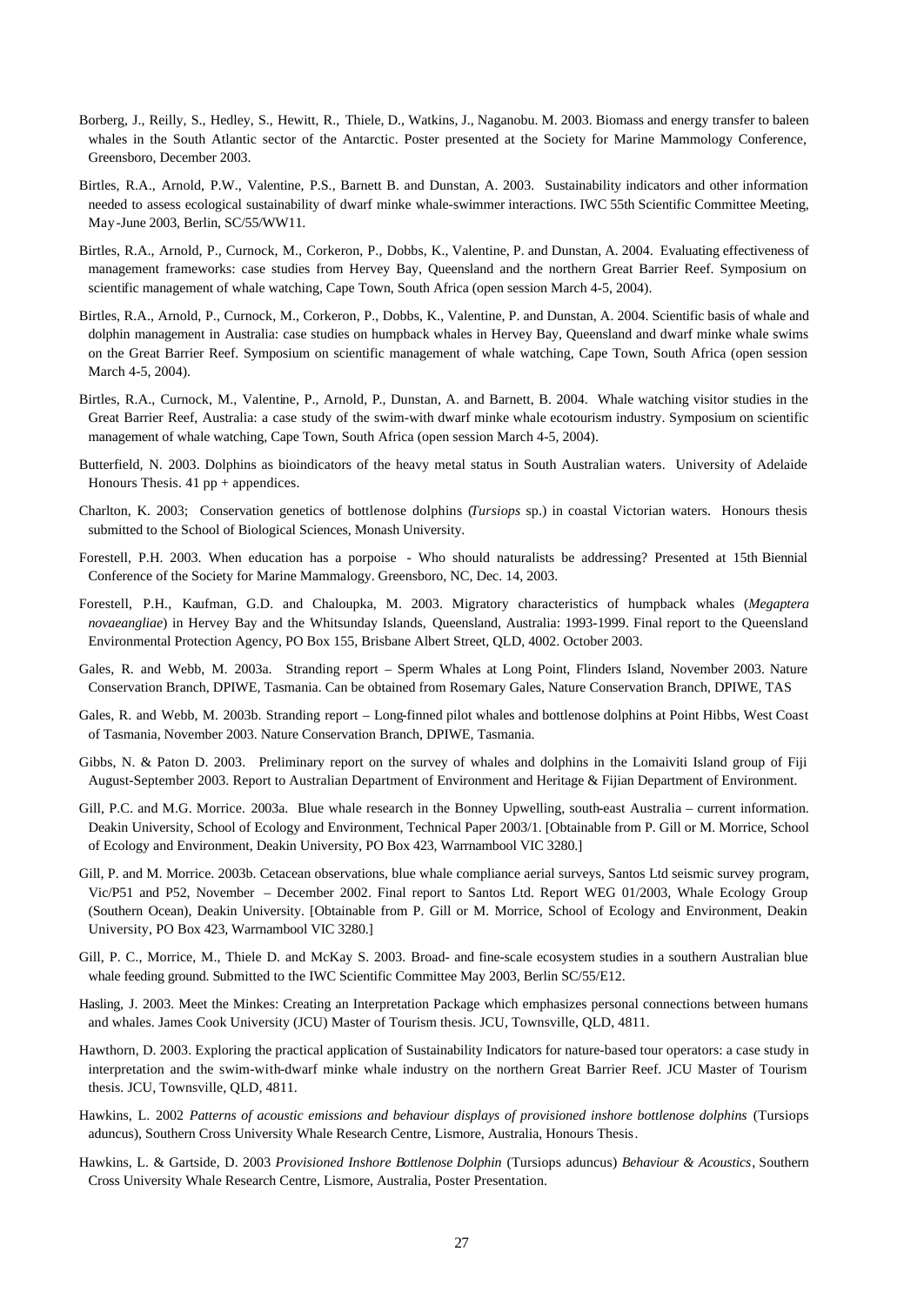- Borberg, J., Reilly, S., Hedley, S., Hewitt, R., Thiele, D., Watkins, J., Naganobu. M. 2003. Biomass and energy transfer to baleen whales in the South Atlantic sector of the Antarctic. Poster presented at the Society for Marine Mammology Conference, Greensboro, December 2003.
- Birtles, R.A., Arnold, P.W., Valentine, P.S., Barnett B. and Dunstan, A. 2003. Sustainability indicators and other information needed to assess ecological sustainability of dwarf minke whale-swimmer interactions. IWC 55th Scientific Committee Meeting, May-June 2003, Berlin, SC/55/WW11.
- Birtles, R.A., Arnold, P., Curnock, M., Corkeron, P., Dobbs, K., Valentine, P. and Dunstan, A. 2004. Evaluating effectiveness of management frameworks: case studies from Hervey Bay, Queensland and the northern Great Barrier Reef. Symposium on scientific management of whale watching, Cape Town, South Africa (open session March 4-5, 2004).
- Birtles, R.A., Arnold, P., Curnock, M., Corkeron, P., Dobbs, K., Valentine, P. and Dunstan, A. 2004. Scientific basis of whale and dolphin management in Australia: case studies on humpback whales in Hervey Bay, Queensland and dwarf minke whale swims on the Great Barrier Reef. Symposium on scientific management of whale watching, Cape Town, South Africa (open session March 4-5, 2004).
- Birtles, R.A., Curnock, M., Valentine, P., Arnold, P., Dunstan, A. and Barnett, B. 2004. Whale watching visitor studies in the Great Barrier Reef, Australia: a case study of the swim-with dwarf minke whale ecotourism industry. Symposium on scientific management of whale watching, Cape Town, South Africa (open session March 4-5, 2004).
- Butterfield, N. 2003. Dolphins as bioindicators of the heavy metal status in South Australian waters. University of Adelaide Honours Thesis.  $41$  pp + appendices.
- Charlton, K. 2003; Conservation genetics of bottlenose dolphins (*Tursiops* sp.) in coastal Victorian waters. Honours thesis submitted to the School of Biological Sciences, Monash University.
- Forestell, P.H. 2003. When education has a porpoise Who should naturalists be addressing? Presented at 15th Biennial Conference of the Society for Marine Mammalogy. Greensboro, NC, Dec. 14, 2003.
- Forestell, P.H., Kaufman, G.D. and Chaloupka, M. 2003. Migratory characteristics of humpback whales (*Megaptera novaeangliae*) in Hervey Bay and the Whitsunday Islands, Queensland, Australia: 1993-1999. Final report to the Queensland Environmental Protection Agency, PO Box 155, Brisbane Albert Street, QLD, 4002. October 2003.
- Gales, R. and Webb, M. 2003a. Stranding report Sperm Whales at Long Point, Flinders Island, November 2003. Nature Conservation Branch, DPIWE, Tasmania. Can be obtained from Rosemary Gales, Nature Conservation Branch, DPIWE, TAS
- Gales, R. and Webb, M. 2003b. Stranding report Long-finned pilot whales and bottlenose dolphins at Point Hibbs, West Coast of Tasmania, November 2003. Nature Conservation Branch, DPIWE, Tasmania.
- Gibbs, N. & Paton D. 2003. Preliminary report on the survey of whales and dolphins in the Lomaiviti Island group of Fiji August-September 2003. Report to Australian Department of Environment and Heritage & Fijian Department of Environment.
- Gill, P.C. and M.G. Morrice. 2003a. Blue whale research in the Bonney Upwelling, south-east Australia current information. Deakin University, School of Ecology and Environment, Technical Paper 2003/1. [Obtainable from P. Gill or M. Morrice, School of Ecology and Environment, Deakin University, PO Box 423, Warrnambool VIC 3280.]
- Gill, P. and M. Morrice. 2003b. Cetacean observations, blue whale compliance aerial surveys, Santos Ltd seismic survey program, Vic/P51 and P52, November – December 2002. Final report to Santos Ltd. Report WEG 01/2003, Whale Ecology Group (Southern Ocean), Deakin University. [Obtainable from P. Gill or M. Morrice, School of Ecology and Environment, Deakin University, PO Box 423, Warrnambool VIC 3280.]
- Gill, P. C., Morrice, M., Thiele D. and McKay S. 2003. Broad- and fine-scale ecosystem studies in a southern Australian blue whale feeding ground. Submitted to the IWC Scientific Committee May 2003, Berlin SC/55/E12.
- Hasling, J. 2003. Meet the Minkes: Creating an Interpretation Package which emphasizes personal connections between humans and whales. James Cook University (JCU) Master of Tourism thesis. JCU, Townsville, QLD, 4811.
- Hawthorn, D. 2003. Exploring the practical application of Sustainability Indicators for nature-based tour operators: a case study in interpretation and the swim-with-dwarf minke whale industry on the northern Great Barrier Reef. JCU Master of Tourism thesis. JCU, Townsville, QLD, 4811.
- Hawkins, L. 2002 *Patterns of acoustic emissions and behaviour displays of provisioned inshore bottlenose dolphins* (Tursiops aduncus), Southern Cross University Whale Research Centre, Lismore, Australia, Honours Thesis.
- Hawkins, L. & Gartside, D. 2003 *Provisioned Inshore Bottlenose Dolphin* (Tursiops aduncus) *Behaviour & Acoustics*, Southern Cross University Whale Research Centre, Lismore, Australia, Poster Presentation.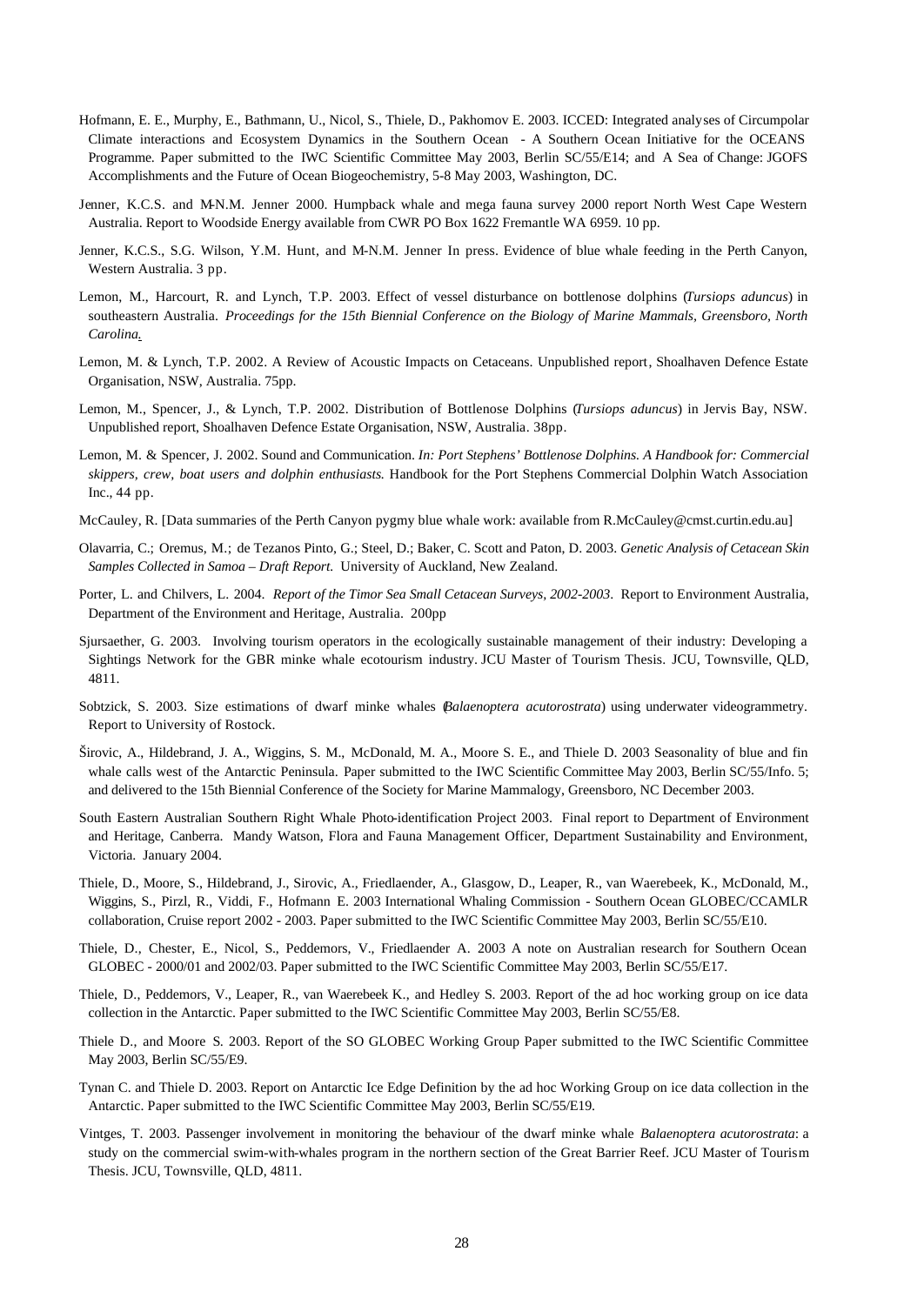- Hofmann, E. E., Murphy, E., Bathmann, U., Nicol, S., Thiele, D., Pakhomov E. 2003. ICCED: Integrated analyses of Circumpolar Climate interactions and Ecosystem Dynamics in the Southern Ocean - A Southern Ocean Initiative for the OCEANS Programme. Paper submitted to the IWC Scientific Committee May 2003, Berlin SC/55/E14; and A Sea of Change: JGOFS Accomplishments and the Future of Ocean Biogeochemistry, 5-8 May 2003, Washington, DC.
- Jenner, K.C.S. and M-N.M. Jenner 2000. Humpback whale and mega fauna survey 2000 report North West Cape Western Australia. Report to Woodside Energy available from CWR PO Box 1622 Fremantle WA 6959. 10 pp.
- Jenner, K.C.S., S.G. Wilson, Y.M. Hunt, and M-N.M. Jenner In press. Evidence of blue whale feeding in the Perth Canyon, Western Australia. 3 pp.
- Lemon, M., Harcourt, R. and Lynch, T.P. 2003. Effect of vessel disturbance on bottlenose dolphins (*Tursiops aduncus*) in southeastern Australia. *Proceedings for the 15th Biennial Conference on the Biology of Marine Mammals, Greensboro, North Carolina.*
- Lemon, M. & Lynch, T.P. 2002. A Review of Acoustic Impacts on Cetaceans. Unpublished report, Shoalhaven Defence Estate Organisation, NSW, Australia. 75pp.
- Lemon, M., Spencer, J., & Lynch, T.P. 2002. Distribution of Bottlenose Dolphins (*Tursiops aduncus*) in Jervis Bay, NSW. Unpublished report, Shoalhaven Defence Estate Organisation, NSW, Australia. 38pp.
- Lemon, M. & Spencer, J. 2002. Sound and Communication. *In: Port Stephens' Bottlenose Dolphins. A Handbook for: Commercial skippers, crew, boat users and dolphin enthusiasts.* Handbook for the Port Stephens Commercial Dolphin Watch Association Inc., 44 pp.
- McCauley, R. [Data summaries of the Perth Canyon pygmy blue whale work: available from R.McCauley@cmst.curtin.edu.au]
- Olavarria, C.; Oremus, M.; de Tezanos Pinto, G.; Steel, D.; Baker, C. Scott and Paton, D. 2003. *Genetic Analysis of Cetacean Skin Samples Collected in Samoa – Draft Report.* University of Auckland, New Zealand.
- Porter, L. and Chilvers, L. 2004. *Report of the Timor Sea Small Cetacean Surveys, 2002-2003*. Report to Environment Australia, Department of the Environment and Heritage, Australia. 200pp
- Sjursaether, G. 2003. Involving tourism operators in the ecologically sustainable management of their industry: Developing a Sightings Network for the GBR minke whale ecotourism industry. JCU Master of Tourism Thesis. JCU, Townsville, QLD, 4811.
- Sobtzick, S. 2003. Size estimations of dwarf minke whales (*Balaenoptera acutorostrata*) using underwater videogrammetry. Report to University of Rostock.
- Širovic, A., Hildebrand, J. A., Wiggins, S. M., McDonald, M. A., Moore S. E., and Thiele D. 2003 Seasonality of blue and fin whale calls west of the Antarctic Peninsula. Paper submitted to the IWC Scientific Committee May 2003, Berlin SC/55/Info. 5; and delivered to the 15th Biennial Conference of the Society for Marine Mammalogy, Greensboro, NC December 2003.
- South Eastern Australian Southern Right Whale Photo-identification Project 2003. Final report to Department of Environment and Heritage, Canberra. Mandy Watson, Flora and Fauna Management Officer, Department Sustainability and Environment, Victoria. January 2004.
- Thiele, D., Moore, S., Hildebrand, J., Sirovic, A., Friedlaender, A., Glasgow, D., Leaper, R., van Waerebeek, K., McDonald, M., Wiggins, S., Pirzl, R., Viddi, F., Hofmann E. 2003 International Whaling Commission - Southern Ocean GLOBEC/CCAMLR collaboration, Cruise report 2002 - 2003. Paper submitted to the IWC Scientific Committee May 2003, Berlin SC/55/E10.
- Thiele, D., Chester, E., Nicol, S., Peddemors, V., Friedlaender A. 2003 A note on Australian research for Southern Ocean GLOBEC - 2000/01 and 2002/03. Paper submitted to the IWC Scientific Committee May 2003, Berlin SC/55/E17.
- Thiele, D., Peddemors, V., Leaper, R., van Waerebeek K., and Hedley S. 2003. Report of the ad hoc working group on ice data collection in the Antarctic. Paper submitted to the IWC Scientific Committee May 2003, Berlin SC/55/E8.
- Thiele D., and Moore S. 2003. Report of the SO GLOBEC Working Group Paper submitted to the IWC Scientific Committee May 2003, Berlin SC/55/E9.
- Tynan C. and Thiele D. 2003. Report on Antarctic Ice Edge Definition by the ad hoc Working Group on ice data collection in the Antarctic. Paper submitted to the IWC Scientific Committee May 2003, Berlin SC/55/E19.
- Vintges, T. 2003. Passenger involvement in monitoring the behaviour of the dwarf minke whale *Balaenoptera acutorostrata*: a study on the commercial swim-with-whales program in the northern section of the Great Barrier Reef. JCU Master of Tourism Thesis. JCU, Townsville, QLD, 4811.